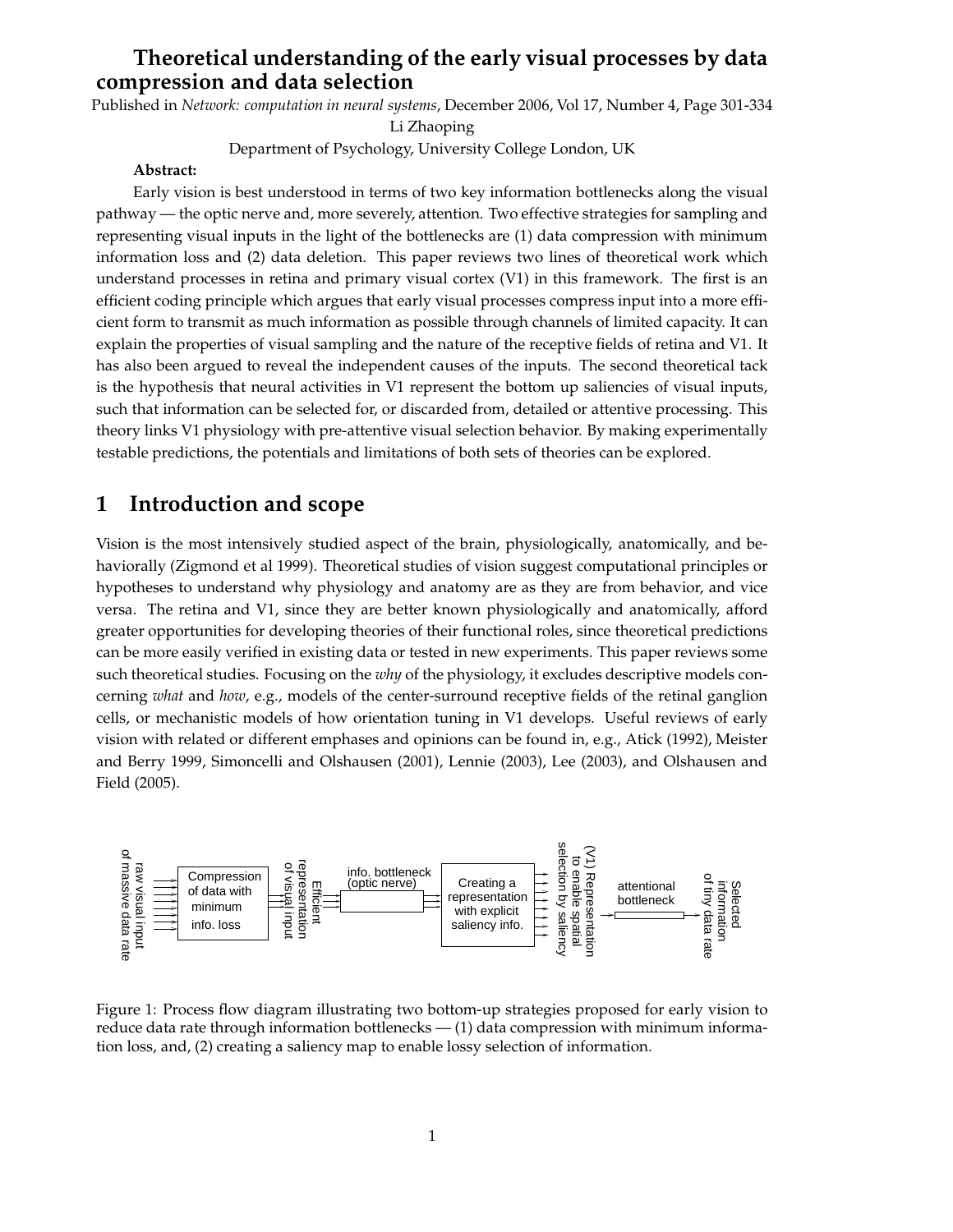# **Theoretical understanding of the early visual processes by data compression and data selection**

Published in *Network: computation in neural systems*, December 2006, Vol 17, Number 4, Page 301-334

Li Zhaoping

Department of Psychology, University College London, UK

## **Abstract:**

Early vision is best understood in terms of two key information bottlenecks along the visual pathway — the optic nerve and, more severely, attention. Two effective strategies for sampling and representing visual inputs in the light of the bottlenecks are (1) data compression with minimum information loss and (2) data deletion. This paper reviews two lines of theoretical work which understand processes in retina and primary visual cortex (V1) in this framework. The first is an efficient coding principle which argues that early visual processes compress input into a more efficient form to transmit as much information as possible through channels of limited capacity. It can explain the properties of visual sampling and the nature of the receptive fields of retina and V1. It has also been argued to reveal the independent causes of the inputs. The second theoretical tack is the hypothesis that neural activities in V1 represent the bottom up saliencies of visual inputs, such that information can be selected for, or discarded from, detailed or attentive processing. This theory links V1 physiology with pre-attentive visual selection behavior. By making experimentally testable predictions, the potentials and limitations of both sets of theories can be explored.

# **1 Introduction and scope**

Vision is the most intensively studied aspect of the brain, physiologically, anatomically, and behaviorally (Zigmond et al 1999). Theoretical studies of vision suggest computational principles or hypotheses to understand why physiology and anatomy are as they are from behavior, and vice versa. The retina and V1, since they are better known physiologically and anatomically, afford greater opportunities for developing theories of their functional roles, since theoretical predictions can be more easily verified in existing data or tested in new experiments. This paper reviews some such theoretical studies. Focusing on the *why* of the physiology, it excludes descriptive models concerning *what* and *how*, e.g., models of the center-surround receptive fields of the retinal ganglion cells, or mechanistic models of how orientation tuning in V1 develops. Useful reviews of early vision with related or different emphases and opinions can be found in, e.g., Atick (1992), Meister and Berry 1999, Simoncelli and Olshausen (2001), Lennie (2003), Lee (2003), and Olshausen and Field (2005).



Figure 1: Process flow diagram illustrating two bottom-up strategies proposed for early vision to reduce data rate through information bottlenecks — (1) data compression with minimum information loss, and, (2) creating a saliency map to enable lossy selection of information.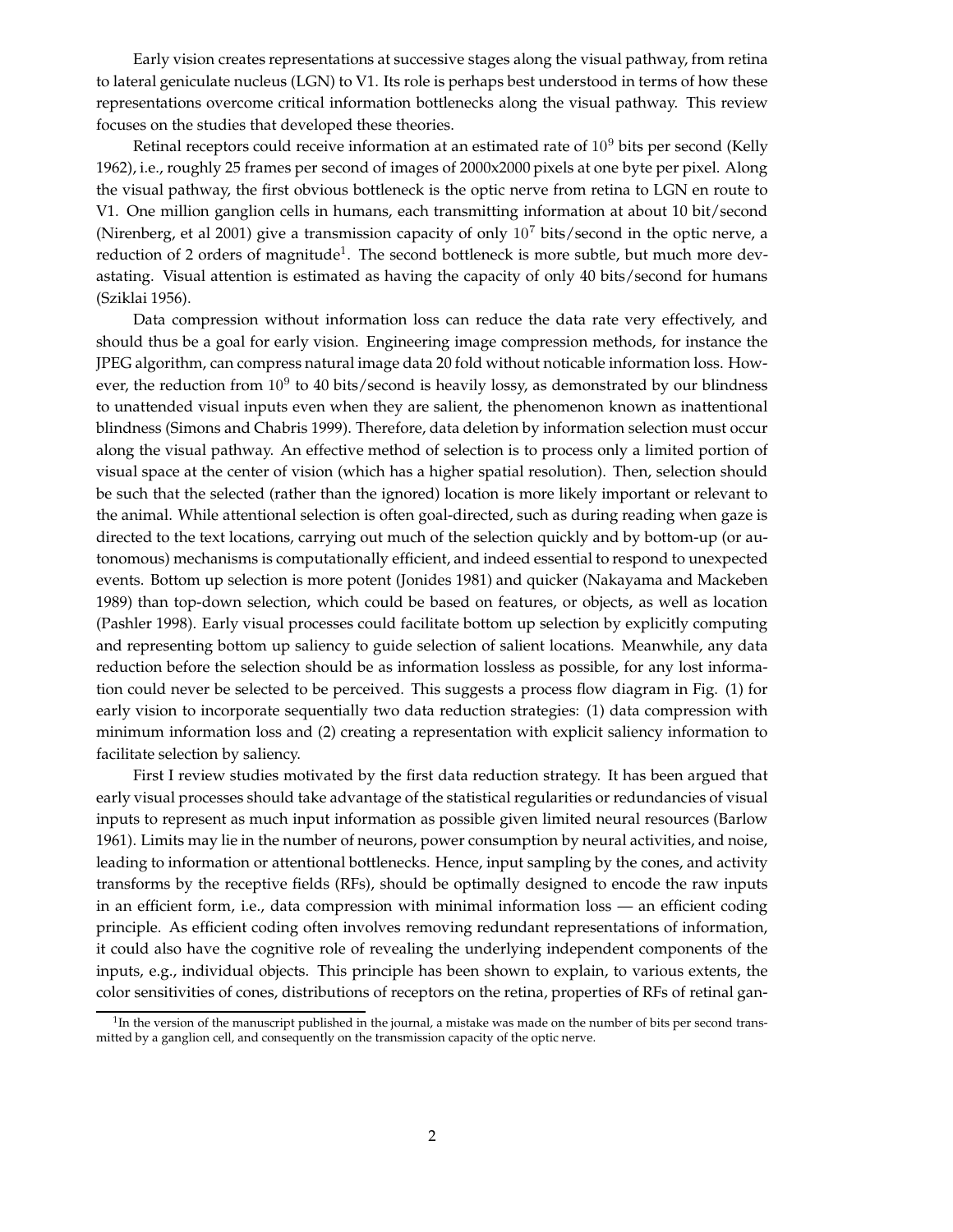Early vision creates representations at successive stages along the visual pathway, from retina to lateral geniculate nucleus (LGN) to V1. Its role is perhaps best understood in terms of how these representations overcome critical information bottlenecks along the visual pathway. This review focuses on the studies that developed these theories.

Retinal receptors could receive information at an estimated rate of  $10<sup>9</sup>$  bits per second (Kelly 1962), i.e., roughly 25 frames per second of images of 2000x2000 pixels at one byte per pixel. Along the visual pathway, the first obvious bottleneck is the optic nerve from retina to LGN en route to V1. One million ganglion cells in humans, each transmitting information at about 10 bit/second (Nirenberg, et al 2001) give a transmission capacity of only  $10^7$  bits/second in the optic nerve, a reduction of 2 orders of magnitude<sup>1</sup>. The second bottleneck is more subtle, but much more devastating. Visual attention is estimated as having the capacity of only 40 bits/second for humans (Sziklai 1956).

Data compression without information loss can reduce the data rate very effectively, and should thus be a goal for early vision. Engineering image compression methods, for instance the JPEG algorithm, can compress natural image data 20 fold without noticable information loss. However, the reduction from  $10^9$  to 40 bits/second is heavily lossy, as demonstrated by our blindness to unattended visual inputs even when they are salient, the phenomenon known as inattentional blindness (Simons and Chabris 1999). Therefore, data deletion by information selection must occur along the visual pathway. An effective method of selection is to process only a limited portion of visual space at the center of vision (which has a higher spatial resolution). Then, selection should be such that the selected (rather than the ignored) location is more likely important or relevant to the animal. While attentional selection is often goal-directed, such as during reading when gaze is directed to the text locations, carrying out much of the selection quickly and by bottom-up (or autonomous) mechanisms is computationally efficient, and indeed essential to respond to unexpected events. Bottom up selection is more potent (Jonides 1981) and quicker (Nakayama and Mackeben 1989) than top-down selection, which could be based on features, or objects, as well as location (Pashler 1998). Early visual processes could facilitate bottom up selection by explicitly computing and representing bottom up saliency to guide selection of salient locations. Meanwhile, any data reduction before the selection should be as information lossless as possible, for any lost information could never be selected to be perceived. This suggests a process flow diagram in Fig. (1) for early vision to incorporate sequentially two data reduction strategies: (1) data compression with minimum information loss and (2) creating a representation with explicit saliency information to facilitate selection by saliency.

First I review studies motivated by the first data reduction strategy. It has been argued that early visual processes should take advantage of the statistical regularities or redundancies of visual inputs to represent as much input information as possible given limited neural resources (Barlow 1961). Limits may lie in the number of neurons, power consumption by neural activities, and noise, leading to information or attentional bottlenecks. Hence, input sampling by the cones, and activity transforms by the receptive fields (RFs), should be optimally designed to encode the raw inputs in an efficient form, i.e., data compression with minimal information loss — an efficient coding principle. As efficient coding often involves removing redundant representations of information, it could also have the cognitive role of revealing the underlying independent components of the inputs, e.g., individual objects. This principle has been shown to explain, to various extents, the color sensitivities of cones, distributions of receptors on the retina, properties of RFs of retinal gan-

 $1$ In the version of the manuscript published in the journal, a mistake was made on the number of bits per second transmitted by a ganglion cell, and consequently on the transmission capacity of the optic nerve.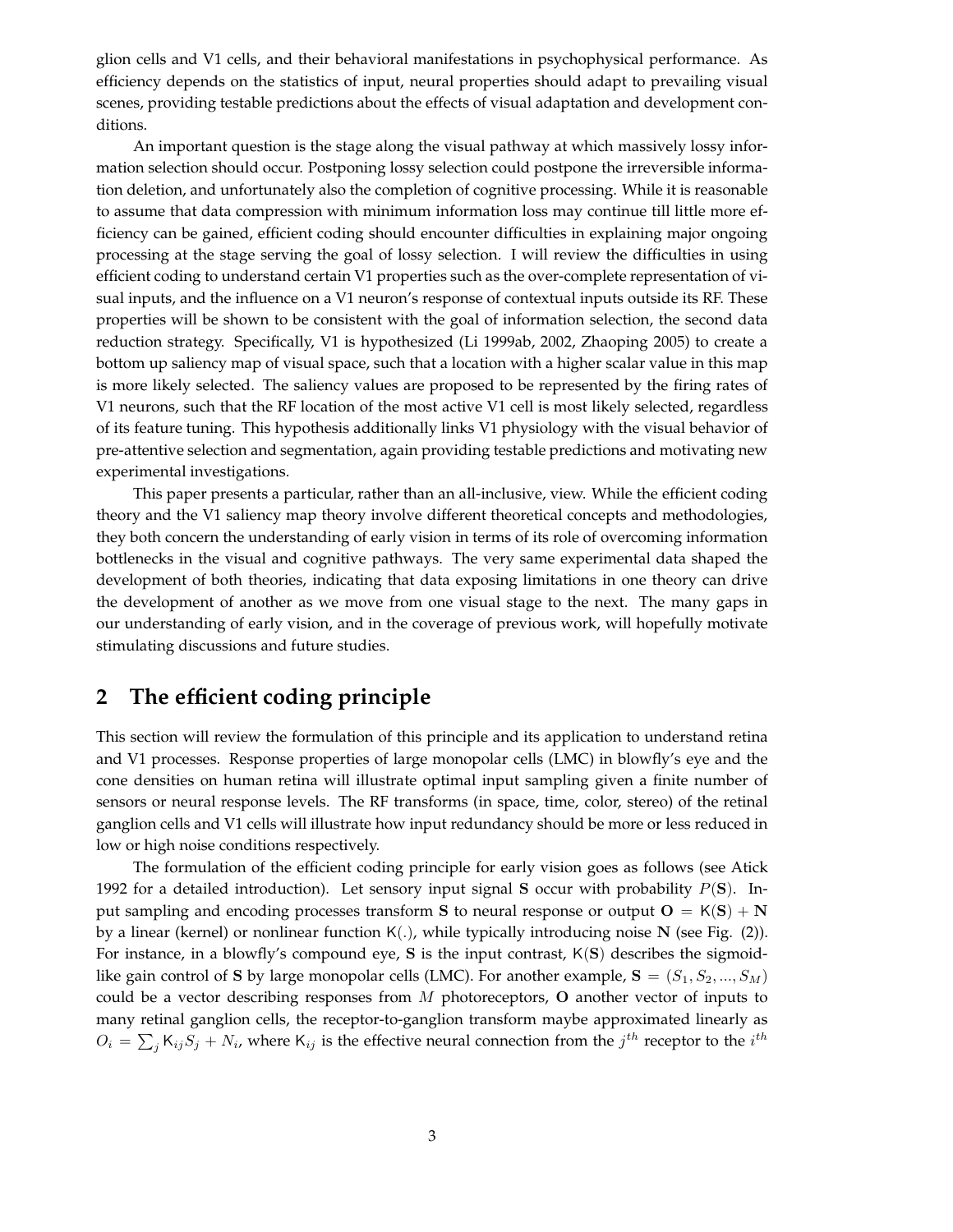glion cells and V1 cells, and their behavioral manifestations in psychophysical performance. As efficiency depends on the statistics of input, neural properties should adapt to prevailing visual scenes, providing testable predictions about the effects of visual adaptation and development conditions.

An important question is the stage along the visual pathway at which massively lossy information selection should occur. Postponing lossy selection could postpone the irreversible information deletion, and unfortunately also the completion of cognitive processing. While it is reasonable to assume that data compression with minimum information loss may continue till little more efficiency can be gained, efficient coding should encounter difficulties in explaining major ongoing processing at the stage serving the goal of lossy selection. I will review the difficulties in using efficient coding to understand certain V1 properties such as the over-complete representation of visual inputs, and the influence on a V1 neuron's response of contextual inputs outside its RF. These properties will be shown to be consistent with the goal of information selection, the second data reduction strategy. Specifically, V1 is hypothesized (Li 1999ab, 2002, Zhaoping 2005) to create a bottom up saliency map of visual space, such that a location with a higher scalar value in this map is more likely selected. The saliency values are proposed to be represented by the firing rates of V1 neurons, such that the RF location of the most active V1 cell is most likely selected, regardless of its feature tuning. This hypothesis additionally links V1 physiology with the visual behavior of pre-attentive selection and segmentation, again providing testable predictions and motivating new experimental investigations.

This paper presents a particular, rather than an all-inclusive, view. While the efficient coding theory and the V1 saliency map theory involve different theoretical concepts and methodologies, they both concern the understanding of early vision in terms of its role of overcoming information bottlenecks in the visual and cognitive pathways. The very same experimental data shaped the development of both theories, indicating that data exposing limitations in one theory can drive the development of another as we move from one visual stage to the next. The many gaps in our understanding of early vision, and in the coverage of previous work, will hopefully motivate stimulating discussions and future studies.

# **2 The efficient coding principle**

This section will review the formulation of this principle and its application to understand retina and V1 processes. Response properties of large monopolar cells (LMC) in blowfly's eye and the cone densities on human retina will illustrate optimal input sampling given a finite number of sensors or neural response levels. The RF transforms (in space, time, color, stereo) of the retinal ganglion cells and V1 cells will illustrate how input redundancy should be more or less reduced in low or high noise conditions respectively.

The formulation of the efficient coding principle for early vision goes as follows (see Atick 1992 for a detailed introduction). Let sensory input signal S occur with probability  $P(S)$ . Input sampling and encoding processes transform S to neural response or output  $O = K(S) + N$ by a linear (kernel) or nonlinear function  $K(.)$ , while typically introducing noise N (see Fig. (2)). For instance, in a blowfly's compound eye,  $S$  is the input contrast,  $K(S)$  describes the sigmoidlike gain control of S by large monopolar cells (LMC). For another example,  $S = (S_1, S_2, ..., S_M)$ could be a vector describing responses from  $M$  photoreceptors,  $O$  another vector of inputs to many retinal ganglion cells, the receptor-to-ganglion transform maybe approximated linearly as  $O_i = \sum_j K_{ij} S_j + N_i$ , where  $K_{ij}$  is the effective neural connection from the  $j^{th}$  receptor to the  $i^{th}$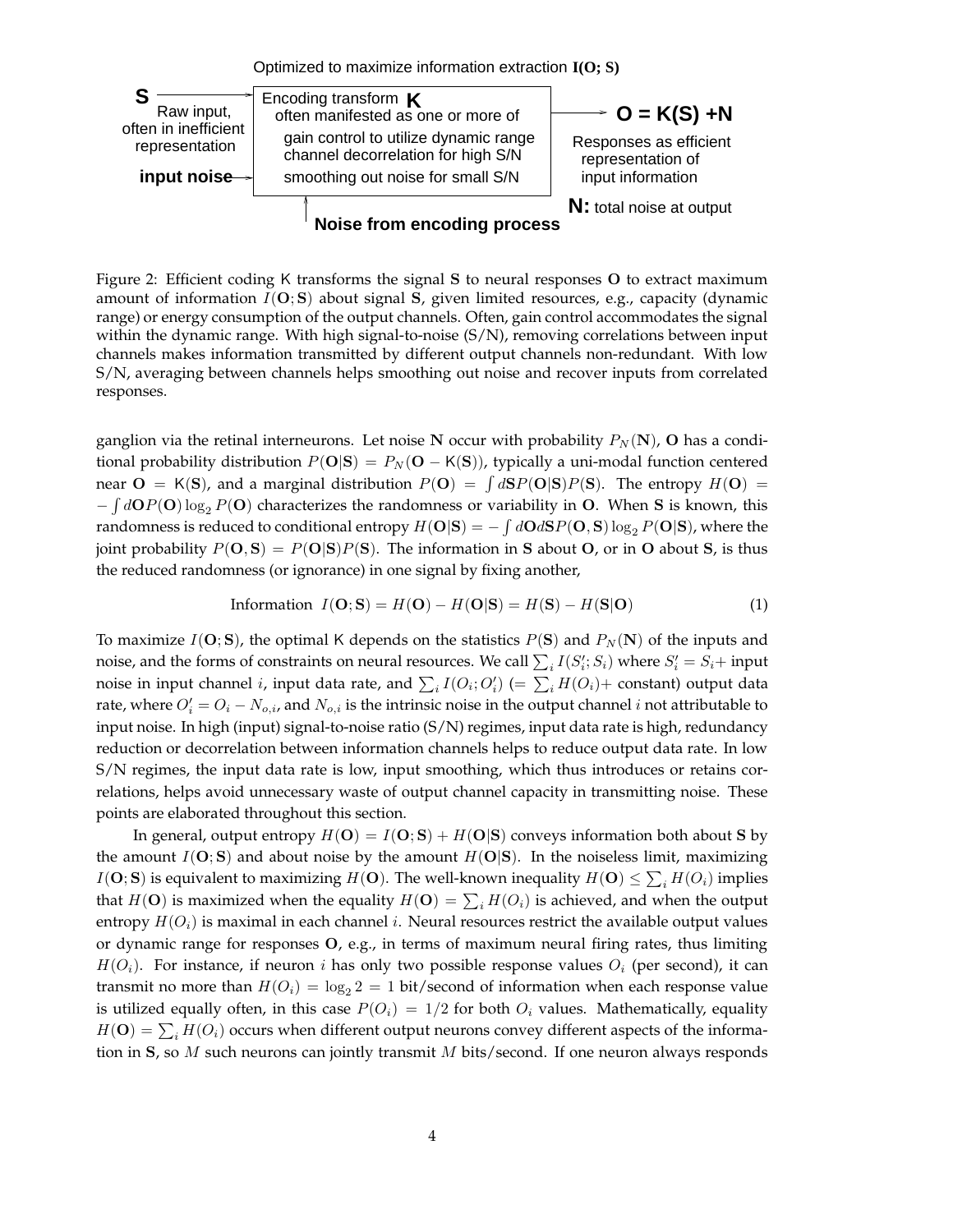

Figure 2: Efficient coding K transforms the signal S to neural responses O to extract maximum amount of information  $I(O; S)$  about signal S, given limited resources, e.g., capacity (dynamic range) or energy consumption of the output channels. Often, gain control accommodates the signal within the dynamic range. With high signal-to-noise  $(S/N)$ , removing correlations between input channels makes information transmitted by different output channels non-redundant. With low S/N, averaging between channels helps smoothing out noise and recover inputs from correlated responses.

ganglion via the retinal interneurons. Let noise N occur with probability  $P_N(\mathbf{N})$ , O has a conditional probability distribution  $P(\mathbf{O}|\mathbf{S}) = P_N(\mathbf{O} - K(\mathbf{S}))$ , typically a uni-modal function centered near  $O = K(S)$ , and a marginal distribution  $P(O) = \int dS P(O|S) P(S)$ . The entropy  $H(O) =$  $-\int d\mathbf{O}P(\mathbf{O})\log_2 P(\mathbf{O})$  characterizes the randomness or variability in O. When S is known, this randomness is reduced to conditional entropy  $H(O|S) = -\int dO dS P(O, S) \log_2 P(O|S)$ , where the joint probability  $P(\mathbf{O}, \mathbf{S}) = P(\mathbf{O}|\mathbf{S})P(\mathbf{S})$ . The information in S about O, or in O about S, is thus the reduced randomness (or ignorance) in one signal by fixing another,

Information 
$$
I(\mathbf{O}; \mathbf{S}) = H(\mathbf{O}) - H(\mathbf{O}|\mathbf{S}) = H(\mathbf{S}) - H(\mathbf{S}|\mathbf{O})
$$
 (1)

To maximize  $I(\mathbf{O}; \mathbf{S})$ , the optimal K depends on the statistics  $P(\mathbf{S})$  and  $P_N(\mathbf{N})$  of the inputs and noise, and the forms of constraints on neural resources. We call  $\sum_i I(S'_i;S_i)$  where  $S'_i = S_i +$  input noise in input channel *i*, input data rate, and  $\sum_i I(O_i; O'_i)$  (=  $\sum_i H(O_i)$ + constant) output data rate, where  $O_i' = O_i - N_{o,i}$ , and  $N_{o,i}$  is the intrinsic noise in the output channel *i* not attributable to input noise. In high (input) signal-to-noise ratio (S/N) regimes, input data rate is high, redundancy reduction or decorrelation between information channels helps to reduce output data rate. In low S/N regimes, the input data rate is low, input smoothing, which thus introduces or retains correlations, helps avoid unnecessary waste of output channel capacity in transmitting noise. These points are elaborated throughout this section.

In general, output entropy  $H(O) = I(O; S) + H(O|S)$  conveys information both about S by the amount  $I(O; S)$  and about noise by the amount  $H(O|S)$ . In the noiseless limit, maximizing  $I(\mathbf{O};\mathbf{S})$  is equivalent to maximizing  $H(\mathbf{O})$ . The well-known inequality  $H(\mathbf{O}) \le \sum_i H(O_i)$  implies that  $H(\mathbf{O})$  is maximized when the equality  $H(\mathbf{O}) = \sum_i H(O_i)$  is achieved, and when the output entropy  $H(O_i)$  is maximal in each channel *i*. Neural resources restrict the available output values or dynamic range for responses  $O$ , e.g., in terms of maximum neural firing rates, thus limiting  $H(O_i)$ . For instance, if neuron i has only two possible response values  $O_i$  (per second), it can transmit no more than  $H(O_i) = \log_2 2 = 1$  bit/second of information when each response value is utilized equally often, in this case  $P(O_i) = 1/2$  for both  $O_i$  values. Mathematically, equality  $H(\mathbf{O}) = \sum_i H(O_i)$  occurs when different output neurons convey different aspects of the information in S, so  $M$  such neurons can jointly transmit  $M$  bits/second. If one neuron always responds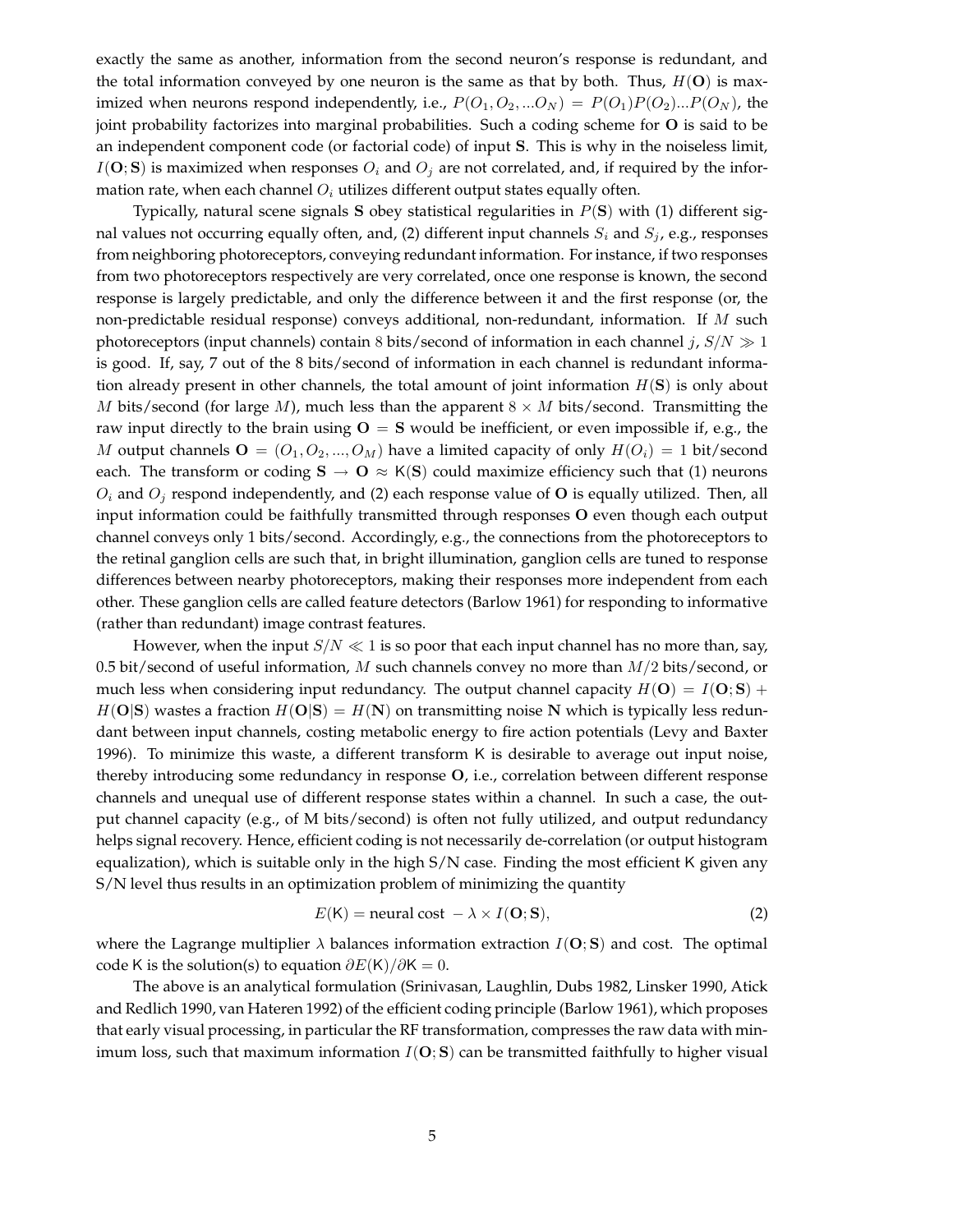exactly the same as another, information from the second neuron's response is redundant, and the total information conveyed by one neuron is the same as that by both. Thus,  $H(\mathbf{O})$  is maximized when neurons respond independently, i.e.,  $P(O_1, O_2, ... O_N) = P(O_1)P(O_2)...P(O_N)$ , the joint probability factorizes into marginal probabilities. Such a coding scheme for O is said to be an independent component code (or factorial code) of input S. This is why in the noiseless limit,  $I(\mathbf{O}; \mathbf{S})$  is maximized when responses  $O_i$  and  $O_j$  are not correlated, and, if required by the information rate, when each channel  $O_i$  utilizes different output states equally often.

Typically, natural scene signals S obey statistical regularities in  $P(S)$  with (1) different signal values not occurring equally often, and, (2) different input channels  $S_i$  and  $S_j$ , e.g., responses from neighboring photoreceptors, conveying redundant information. For instance, if two responses from two photoreceptors respectively are very correlated, once one response is known, the second response is largely predictable, and only the difference between it and the first response (or, the non-predictable residual response) conveys additional, non-redundant, information. If M such photoreceptors (input channels) contain 8 bits/second of information in each channel j,  $S/N \gg 1$ is good. If, say, 7 out of the 8 bits/second of information in each channel is redundant information already present in other channels, the total amount of joint information  $H(S)$  is only about M bits/second (for large M), much less than the apparent  $8 \times M$  bits/second. Transmitting the raw input directly to the brain using  $O = S$  would be inefficient, or even impossible if, e.g., the M output channels  $\mathbf{O} = (O_1, O_2, ..., O_M)$  have a limited capacity of only  $H(O_i) = 1$  bit/second each. The transform or coding  $S \to O \approx K(S)$  could maximize efficiency such that (1) neurons  $O_i$  and  $O_j$  respond independently, and (2) each response value of **O** is equally utilized. Then, all input information could be faithfully transmitted through responses O even though each output channel conveys only 1 bits/second. Accordingly, e.g., the connections from the photoreceptors to the retinal ganglion cells are such that, in bright illumination, ganglion cells are tuned to response differences between nearby photoreceptors, making their responses more independent from each other. These ganglion cells are called feature detectors (Barlow 1961) for responding to informative (rather than redundant) image contrast features.

However, when the input  $S/N \ll 1$  is so poor that each input channel has no more than, say, 0.5 bit/second of useful information, M such channels convey no more than  $M/2$  bits/second, or much less when considering input redundancy. The output channel capacity  $H(\mathbf{O}) = I(\mathbf{O}; \mathbf{S}) + I(\mathbf{O}; \mathbf{S})$  $H(O|S)$  wastes a fraction  $H(O|S) = H(N)$  on transmitting noise N which is typically less redundant between input channels, costing metabolic energy to fire action potentials (Levy and Baxter 1996). To minimize this waste, a different transform K is desirable to average out input noise, thereby introducing some redundancy in response O, i.e., correlation between different response channels and unequal use of different response states within a channel. In such a case, the output channel capacity (e.g., of M bits/second) is often not fully utilized, and output redundancy helps signal recovery. Hence, efficient coding is not necessarily de-correlation (or output histogram equalization), which is suitable only in the high  $S/N$  case. Finding the most efficient K given any S/N level thus results in an optimization problem of minimizing the quantity

$$
E(K) = neural cost - \lambda \times I(O; S),
$$
 (2)

where the Lagrange multiplier  $\lambda$  balances information extraction  $I(O; S)$  and cost. The optimal code K is the solution(s) to equation  $\partial E(K)/\partial K = 0$ .

The above is an analytical formulation (Srinivasan, Laughlin, Dubs 1982, Linsker 1990, Atick and Redlich 1990, van Hateren 1992) of the efficient coding principle (Barlow 1961), which proposes that early visual processing, in particularthe RF transformation, compresses the raw data with minimum loss, such that maximum information  $I(O; S)$  can be transmitted faithfully to higher visual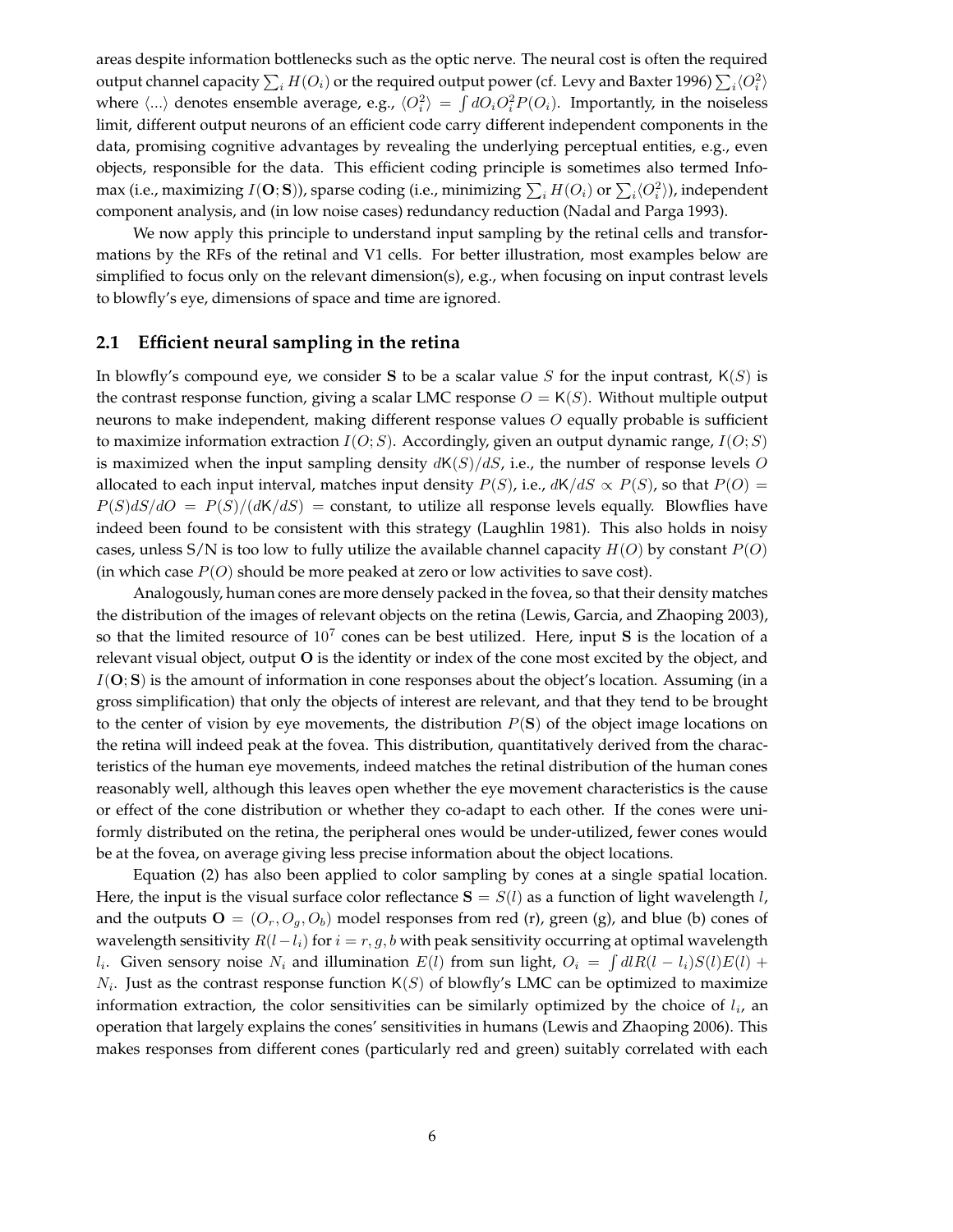areas despite information bottlenecks such as the optic nerve. The neural cost is often the required output channel capacity  $\sum_i H(O_i)$  or the required output power (cf. Levy and Baxter 1996)  $\sum_i\langle O_i^2\rangle$ where  $\langle ... \rangle$  denotes ensemble average, e.g.,  $\langle O_i^2 \rangle = \int dO_i O_i^2 P(O_i)$ . Importantly, in the noiseless limit, different output neurons of an efficient code carry different independent components in the data, promising cognitive advantages by revealing the underlying perceptual entities, e.g., even objects, responsible for the data. This efficient coding principle is sometimes also termed Infomax (i.e., maximizing  $I({\bf O};{\bf S})),$  sparse coding (i.e., minimizing  $\sum_i H(O_i)$  or  $\sum_i\langle O_i^2\rangle$ ), independent component analysis, and (in low noise cases) redundancy reduction (Nadal and Parga 1993).

We now apply this principle to understand input sampling by the retinal cells and transformations by the RFs of the retinal and V1 cells. For better illustration, most examples below are simplified to focus only on the relevant dimension(s), e.g., when focusing on input contrast levels to blowfly's eye, dimensions of space and time are ignored.

## **2.1 Efficient neural sampling in the retina**

In blowfly's compound eye, we consider S to be a scalar value S for the input contrast,  $K(S)$  is the contrast response function, giving a scalar LMC response  $O = K(S)$ . Without multiple output neurons to make independent, making different response values  $O$  equally probable is sufficient to maximize information extraction  $I(O; S)$ . Accordingly, given an output dynamic range,  $I(O; S)$ is maximized when the input sampling density  $dK(S)/dS$ , i.e., the number of response levels O allocated to each input interval, matches input density  $P(S)$ , i.e.,  $dK/dS \propto P(S)$ , so that  $P(O)$  =  $P(S)dS/dO = P(S)/(dK/dS)$  = constant, to utilize all response levels equally. Blowflies have indeed been found to be consistent with this strategy (Laughlin 1981). This also holds in noisy cases, unless S/N is too low to fully utilize the available channel capacity  $H(O)$  by constant  $P(O)$ (in which case  $P(O)$  should be more peaked at zero or low activities to save cost).

Analogously, human cones are more densely packed in the fovea, so that their density matches the distribution of the images of relevant objects on the retina (Lewis, Garcia, and Zhaoping 2003), so that the limited resource of  $10<sup>7</sup>$  cones can be best utilized. Here, input S is the location of a relevant visual object, output O is the identity or index of the cone most excited by the object, and  $I(O; S)$  is the amount of information in cone responses about the object's location. Assuming (in a gross simplification) that only the objects of interest are relevant, and that they tend to be brought to the center of vision by eye movements, the distribution  $P(S)$  of the object image locations on the retina will indeed peak at the fovea. This distribution, quantitatively derived from the characteristics of the human eye movements, indeed matches the retinal distribution of the human cones reasonably well, although this leaves open whether the eye movement characteristics is the cause or effect of the cone distribution or whether they co-adapt to each other. If the cones were uniformly distributed on the retina, the peripheral ones would be under-utilized, fewer cones would be at the fovea, on average giving less precise information about the object locations.

Equation (2) has also been applied to color sampling by cones at a single spatial location. Here, the input is the visual surface color reflectance  $S = S(l)$  as a function of light wavelength l, and the outputs  $\mathbf{O} = (O_r, O_q, O_b)$  model responses from red (r), green (g), and blue (b) cones of wavelength sensitivity  $R(l-l_i)$  for  $i = r, g, b$  with peak sensitivity occurring at optimal wavelength l<sub>i</sub>. Given sensory noise  $N_i$  and illumination  $E(l)$  from sun light,  $O_i = \int dl R(l - l_i)S(l)E(l)$  +  $N_i$ . Just as the contrast response function  $K(S)$  of blowfly's LMC can be optimized to maximize information extraction, the color sensitivities can be similarly optimized by the choice of  $l_i$ , an operation that largely explains the cones' sensitivities in humans (Lewis and Zhaoping 2006). This makes responses from different cones (particularly red and green) suitably correlated with each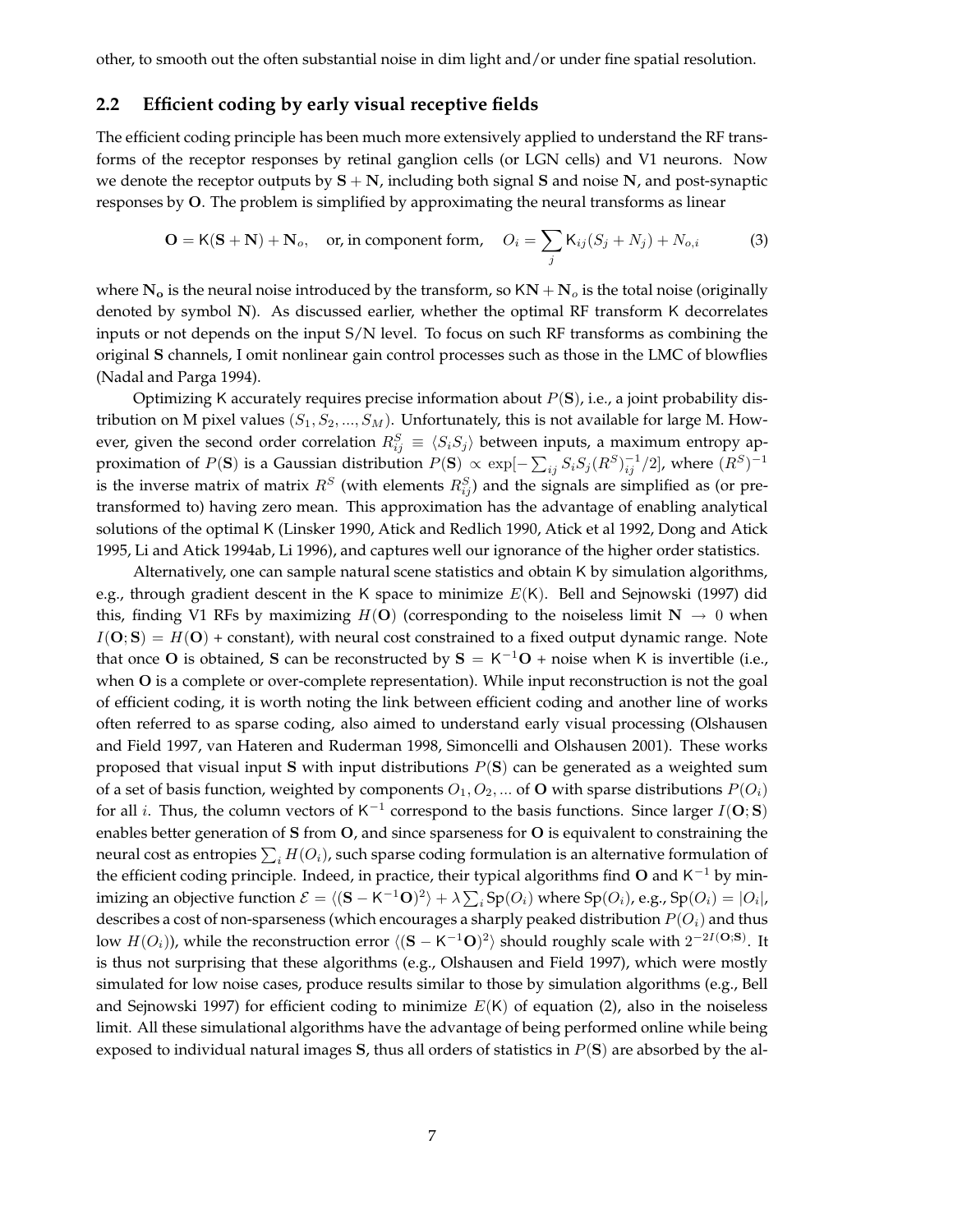other, to smooth out the often substantial noise in dim light and/or under fine spatial resolution.

#### **2.2 Efficient coding by early visual receptive fields**

The efficient coding principle has been much more extensively applied to understand the RF transforms of the receptor responses by retinal ganglion cells (or LGN cells) and V1 neurons. Now we denote the receptor outputs by  $S + N$ , including both signal S and noise N, and post-synaptic responses by O. The problem is simplified by approximating the neural transforms as linear

$$
\mathbf{O} = \mathsf{K}(\mathbf{S} + \mathbf{N}) + \mathbf{N}_o, \quad \text{or, in component form,} \quad O_i = \sum_j \mathsf{K}_{ij}(S_j + N_j) + N_{o,i} \tag{3}
$$

where  $N_o$  is the neural noise introduced by the transform, so  $KN + N_o$  is the total noise (originally denoted by symbol N). As discussed earlier, whether the optimal RF transform K decorrelates inputs or not depends on the input S/N level. To focus on such RF transforms as combining the original S channels, I omit nonlinear gain control processes such as those in the LMC of blowflies (Nadal and Parga 1994).

Optimizing K accurately requires precise information about  $P(S)$ , i.e., a joint probability distribution on M pixel values  $(S_1, S_2, ..., S_M)$ . Unfortunately, this is not available for large M. However, given the second order correlation  $R_{ij}^S \equiv \langle S_i S_j \rangle$  between inputs, a maximum entropy approximation of  $P({\bf S})$  is a Gaussian distribution  $P({\bf S}) \propto \exp[-\sum_{ij} S_i S_j (R^S)^{-1}_{ij}/2]$ , where  $(R^S)^{-1}$ is the inverse matrix of matrix  $R^S$  (with elements  $R_{ij}^S$ ) and the signals are simplified as (or pretransformed to) having zero mean. This approximation has the advantage of enabling analytical solutions of the optimal K (Linsker 1990, Atick and Redlich 1990, Atick et al 1992, Dong and Atick 1995, Li and Atick 1994ab, Li 1996), and captures well our ignorance of the higher order statistics.

Alternatively, one can sample natural scene statistics and obtain K by simulation algorithms, e.g., through gradient descent in the K space to minimize  $E(K)$ . Bell and Sejnowski (1997) did this, finding V1 RFs by maximizing  $H(O)$  (corresponding to the noiseless limit  $N \to 0$  when  $I(O; S) = H(O)$  + constant), with neural cost constrained to a fixed output dynamic range. Note that once O is obtained, S can be reconstructed by  $S = K^{-1}O$  + noise when K is invertible (i.e., when **O** is a complete or over-complete representation). While input reconstruction is not the goal of efficient coding, it is worth noting the link between efficient coding and another line of works often referred to as sparse coding, also aimed to understand early visual processing (Olshausen and Field 1997, van Hateren and Ruderman 1998, Simoncelli and Olshausen 2001). These works proposed that visual input S with input distributions  $P(S)$  can be generated as a weighted sum of a set of basis function, weighted by components  $O_1, O_2, ...$  of **O** with sparse distributions  $P(O_i)$ for all *i*. Thus, the column vectors of K<sup>-1</sup> correspond to the basis functions. Since larger  $I(\mathbf{O}; \mathbf{S})$ enables better generation of S from O, and since sparseness for O is equivalent to constraining the neural cost as entropies  $\sum_i H(O_i)$ , such sparse coding formulation is an alternative formulation of the efficient coding principle. Indeed, in practice, their typical algorithms find O and  $K^{-1}$  by minimizing an objective function  $\mathcal{E} = \langle (\mathbf{S} - \mathsf{K}^{-1}\mathbf{O})^2 \rangle + \lambda \sum_i \mathrm{Sp}(O_i)$  where  $\mathrm{Sp}(O_i)$ , e.g.,  $\mathrm{Sp}(O_i) = |O_i|$ , describes a cost of non-sparseness (which encourages a sharply peaked distribution  $P(O_i)$  and thus low  $H(O_i)$ ), while the reconstruction error  $\langle (S - K^{-1}O)^2 \rangle$  should roughly scale with  $2^{-2I(O;S)}$ . It is thus not surprising that these algorithms (e.g., Olshausen and Field 1997), which were mostly simulated for low noise cases, produce results similar to those by simulation algorithms (e.g., Bell and Sejnowski 1997) for efficient coding to minimize  $E(K)$  of equation (2), also in the noiseless limit. All these simulational algorithms have the advantage of being performed online while being exposed to individual natural images S, thus all orders of statistics in  $P(S)$  are absorbed by the al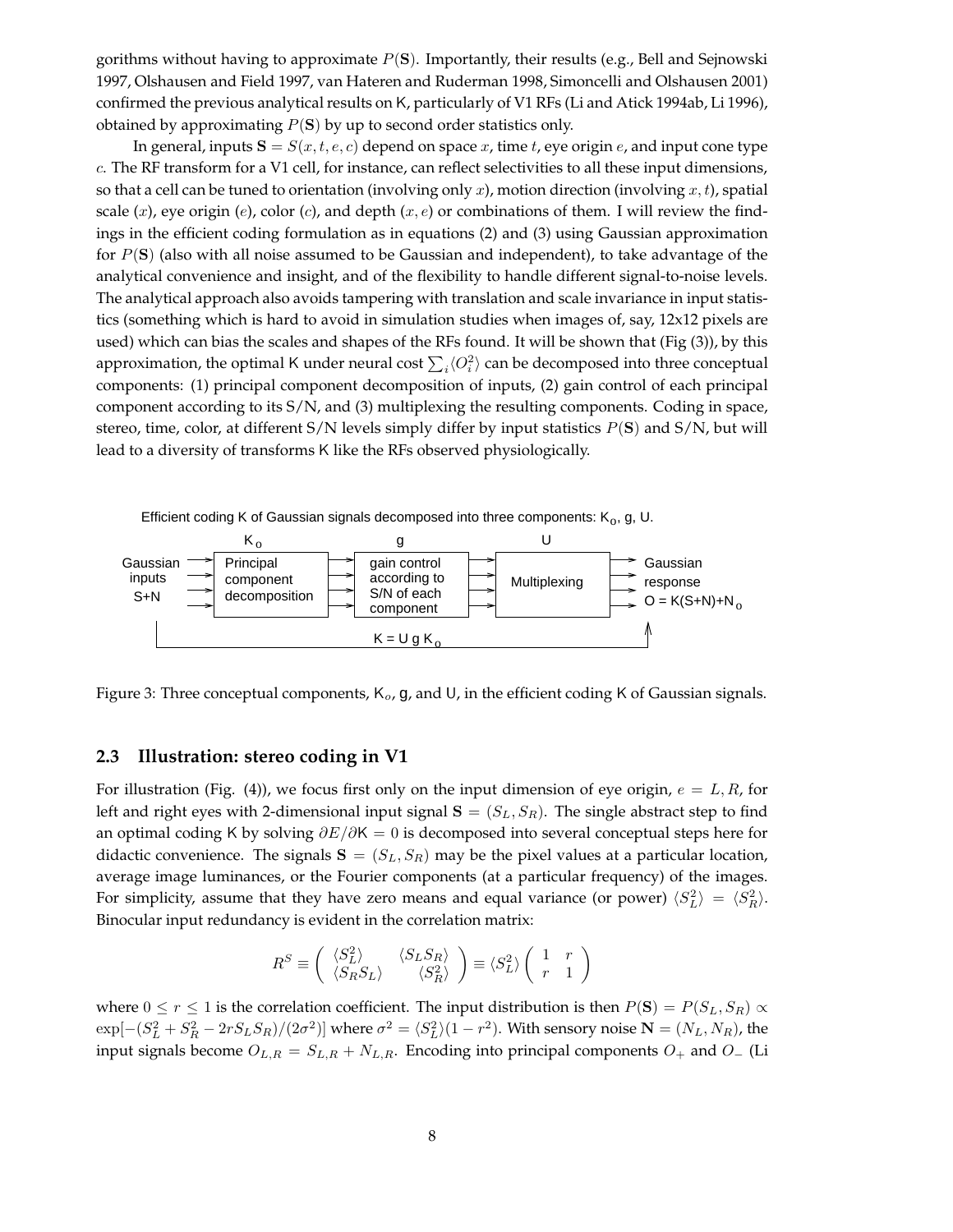gorithms without having to approximate  $P(S)$ . Importantly, their results (e.g., Bell and Sejnowski 1997, Olshausen and Field 1997, van Hateren and Ruderman 1998, Simoncelli and Olshausen 2001) confirmed the previous analytical results on K, particularly of V1 RFs (Li and Atick 1994ab, Li 1996), obtained by approximating  $P(S)$  by up to second order statistics only.

In general, inputs  $S = S(x, t, e, c)$  depend on space x, time t, eye origin e, and input cone type c. The RF transform for a V1 cell, for instance, can reflect selectivities to all these input dimensions, so that a cell can be tuned to orientation (involving only x), motion direction (involving x, t), spatial scale  $(x)$ , eye origin  $(e)$ , color  $(c)$ , and depth  $(x, e)$  or combinations of them. I will review the findings in the efficient coding formulation as in equations (2) and (3) using Gaussian approximation for  $P(S)$  (also with all noise assumed to be Gaussian and independent), to take advantage of the analytical convenience and insight, and of the flexibility to handle different signal-to-noise levels. The analytical approach also avoids tampering with translation and scale invariance in input statistics (something which is hard to avoid in simulation studies when images of, say, 12x12 pixels are used) which can bias the scales and shapes of the RFs found. It will be shown that (Fig (3)), by this approximation, the optimal K under neural cost  $\sum_i \langle O_i^2 \rangle$  can be decomposed into three conceptual components: (1) principal component decomposition of inputs, (2) gain control of each principal component according to its S/N, and (3) multiplexing the resulting components. Coding in space, stereo, time, color, at different  $S/N$  levels simply differ by input statistics  $P(S)$  and  $S/N$ , but will lead to a diversity of transforms K like the RFs observed physiologically.



Figure 3: Three conceptual components,  $K_o$ , g, and U, in the efficient coding K of Gaussian signals.

## **2.3 Illustration: stereo coding in V1**

For illustration (Fig. (4)), we focus first only on the input dimension of eye origin,  $e = L, R$ , for left and right eyes with 2-dimensional input signal  $S = (S_L, S_R)$ . The single abstract step to find an optimal coding K by solving  $\partial E/\partial K = 0$  is decomposed into several conceptual steps here for didactic convenience. The signals  $S = (S_L, S_R)$  may be the pixel values at a particular location, average image luminances, or the Fourier components (at a particular frequency) of the images. For simplicity, assume that they have zero means and equal variance (or power)  $\langle S_L^2 \rangle = \langle S_R^2 \rangle$ . Binocular input redundancy is evident in the correlation matrix:

$$
R^{S} \equiv \begin{pmatrix} \langle S_{L}^{2} \rangle & \langle S_{L} S_{R} \rangle \\ \langle S_{R} S_{L} \rangle & \langle S_{R}^{2} \rangle \end{pmatrix} \equiv \langle S_{L}^{2} \rangle \begin{pmatrix} 1 & r \\ r & 1 \end{pmatrix}
$$

where  $0 \le r \le 1$  is the correlation coefficient. The input distribution is then  $P(S) = P(S_L, S_R) \propto$  $\exp[-(S_L^2 + S_R^2 - 2rS_L S_R)/(2\sigma^2)]$  where  $\sigma^2 = \langle S_L^2 \rangle (1 - r^2)$ . With sensory noise  $\mathbf{N} = (N_L, N_R)$ , the input signals become  $O_{L,R} = S_{L,R} + N_{L,R}$ . Encoding into principal components  $O_+$  and  $O_-$  (Li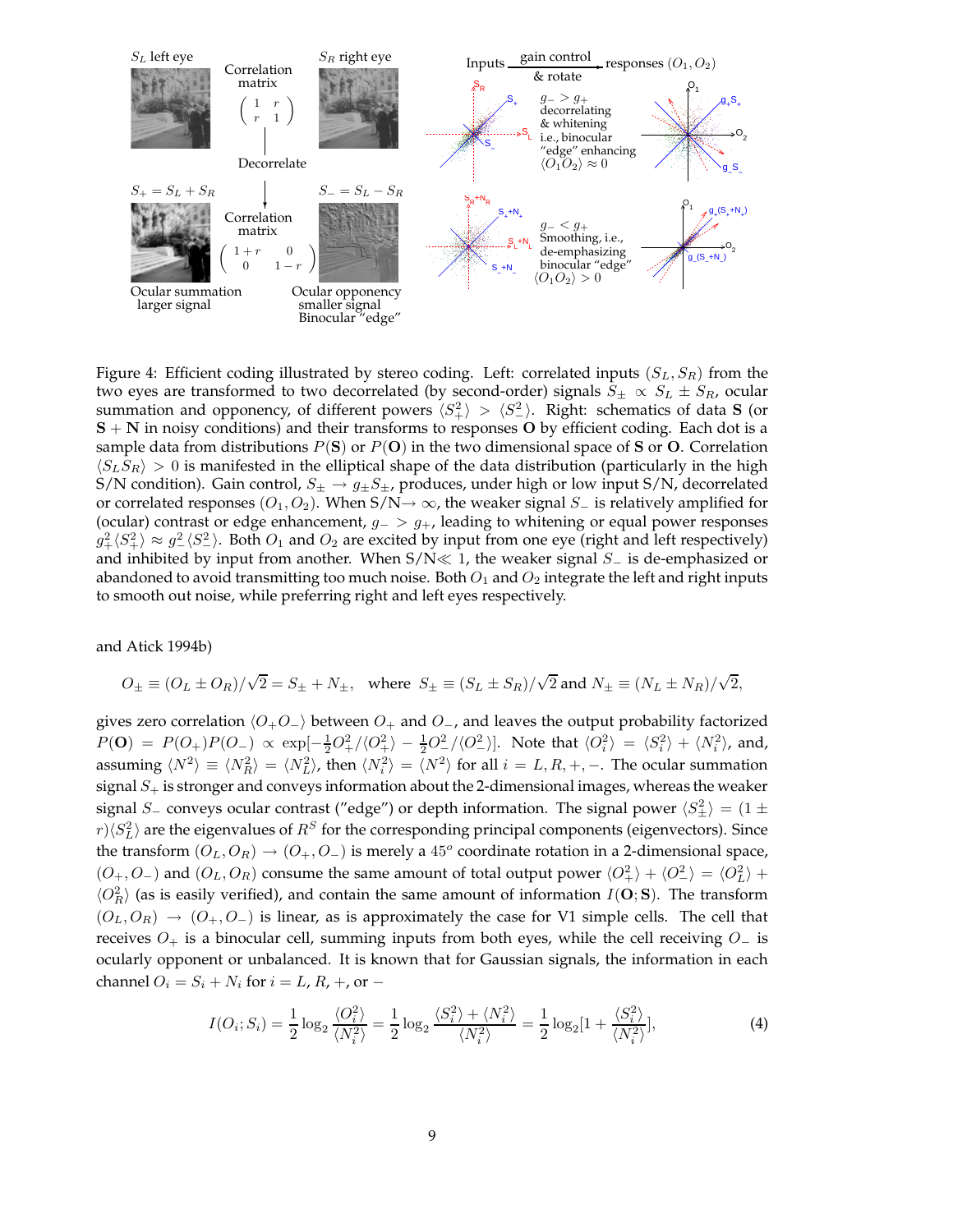

Figure 4: Efficient coding illustrated by stereo coding. Left: correlated inputs  $(S_L, S_R)$  from the two eyes are transformed to two decorrelated (by second-order) signals  $S_{\pm} \propto S_L \pm S_R$ , ocular summation and opponency, of different powers  $\langle S_+^2 \rangle > \langle S_-^2 \rangle$ . Right: schematics of data S (or  $S + N$  in noisy conditions) and their transforms to responses O by efficient coding. Each dot is a sample data from distributions  $P(S)$  or  $P(O)$  in the two dimensional space of S or O. Correlation  $\langle S_L S_R \rangle > 0$  is manifested in the elliptical shape of the data distribution (particularly in the high S/N condition). Gain control,  $S_{\pm} \rightarrow g_{\pm} S_{\pm}$ , produces, under high or low input S/N, decorrelated or correlated responses  $(O_1, O_2)$ . When S/N→  $\infty$ , the weaker signal S<sub>−</sub> is relatively amplified for (ocular) contrast or edge enhancement,  $g_-> g_+$ , leading to whitening or equal power responses  $g_+^2 \langle S_+^2 \rangle \approx g_-^2 \langle S_-^2 \rangle$ . Both  $O_1$  and  $O_2$  are excited by input from one eye (right and left respectively) and inhibited by input from another. When  $S/N \ll 1$ , the weaker signal  $S_$  is de-emphasized or abandoned to avoid transmitting too much noise. Both  $O_1$  and  $O_2$  integrate the left and right inputs to smooth out noise, while preferring right and left eyes respectively.

and Atick 1994b)

$$
O_{\pm}\equiv (O_L\pm O_R)/\sqrt{2}=S_{\pm}+N_{\pm},\ \ \, \text{where}\;\;S_{\pm}\equiv (S_L\pm S_R)/\sqrt{2}\text{ and }N_{\pm}\equiv (N_L\pm N_R)/\sqrt{2},
$$

gives zero correlation  $\langle O_+O_-\rangle$  between  $O_+$  and  $O_-$ , and leaves the output probability factorized  $P(\mathbf{O}) = P(O_+)P(O_-) \propto \exp[-\frac{1}{2}O_+^2/\langle O_+^2 \rangle - \frac{1}{2}O_-^2/\langle O_-^2 \rangle].$  Note that  $\langle O_i^2 \rangle = \langle S_i^2 \rangle + \langle N_i^2 \rangle$ , and, assuming  $\langle N^2 \rangle \equiv \langle N_R^2 \rangle = \langle N_L^2 \rangle$ , then  $\langle N_i^2 \rangle = \langle N^2 \rangle$  for all  $i = L, R, +, -$ . The ocular summation signal  $S_{+}$  is stronger and conveys information about the 2-dimensional images, whereas the weaker signal  $S_+$  conveys ocular contrast ("edge") or depth information. The signal power  $\langle S_{\pm}^2 \rangle = (1 \pm 1)$  $r$ ) $\langle S_L^2 \rangle$  are the eigenvalues of  $R^S$  for the corresponding principal components (eigenvectors). Since the transform  $(O_L, O_R) \rightarrow (O_+, O_-)$  is merely a 45<sup>o</sup> coordinate rotation in a 2-dimensional space,  $(O_+, O_-)$  and  $(O_L, O_R)$  consume the same amount of total output power  $\langle O_+^2 \rangle + \langle O_-^2 \rangle = \langle O_L^2 \rangle + \langle O_-^2 \rangle$  $\langle O_R^2 \rangle$  (as is easily verified), and contain the same amount of information  $I(\mathbf{O};\mathbf{S})$ . The transform  $(O_L, O_R) \rightarrow (O_+, O_-)$  is linear, as is approximately the case for V1 simple cells. The cell that receives  $O_+$  is a binocular cell, summing inputs from both eyes, while the cell receiving  $O_-$  is ocularly opponent or unbalanced. It is known that for Gaussian signals, the information in each channel  $O_i = S_i + N_i$  for  $i = L, R, +$ , or  $-$ 

$$
I(O_i; S_i) = \frac{1}{2} \log_2 \frac{\langle O_i^2 \rangle}{\langle N_i^2 \rangle} = \frac{1}{2} \log_2 \frac{\langle S_i^2 \rangle + \langle N_i^2 \rangle}{\langle N_i^2 \rangle} = \frac{1}{2} \log_2 \left[ 1 + \frac{\langle S_i^2 \rangle}{\langle N_i^2 \rangle} \right],\tag{4}
$$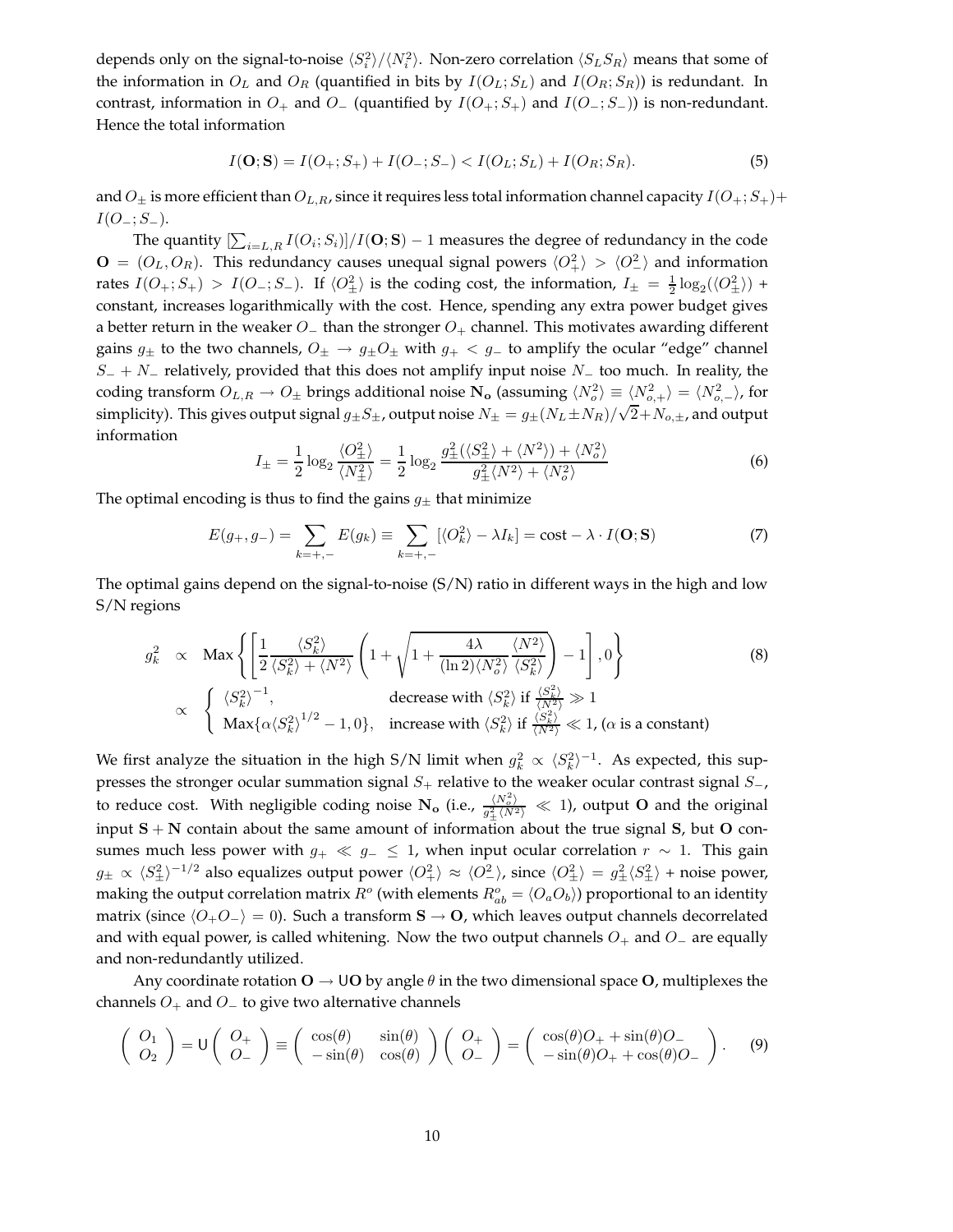depends only on the signal-to-noise  $\langle S_i^2\rangle/\langle N_i^2\rangle$ . Non-zero correlation  $\langle S_L S_R\rangle$  means that some of the information in  $O_L$  and  $O_R$  (quantified in bits by  $I(O_L; S_L)$ ) and  $I(O_R; S_R)$ ) is redundant. In contrast, information in  $O_+$  and  $O_-$  (quantified by  $I(O_+; S_+)$  and  $I(O_-; S_-)$ ) is non-redundant. Hence the total information

$$
I(\mathbf{O}; \mathbf{S}) = I(O_+; S_+) + I(O_-; S_-) < I(O_L; S_L) + I(O_R; S_R). \tag{5}
$$

and  $O_{\pm}$  is more efficient than  $O_{L,R}$ , since it requires less total information channel capacity  $I(O_+; S_+)$ +  $I(O_-\;;S_-\;).$ 

The quantity  $[\sum_{i=L,R} I(O_i;S_i)]/I(\mathbf{O};\mathbf{S})-1$  measures the degree of redundancy in the code  $\mathbf{O} = (O_L, O_R)$ . This redundancy causes unequal signal powers  $\langle O_+^2 \rangle > \langle O_-^2 \rangle$  and information rates  $I(O_+; S_+) > I(O_-; S_-)$ . If  $\langle O_{\pm}^2 \rangle$  is the coding cost, the information,  $I_{\pm} = \frac{1}{2} \log_2(\langle O_{\pm}^2 \rangle)$  + constant, increases logarithmically with the cost. Hence, spending any extra power budget gives a better return in the weaker  $O_-\$  than the stronger  $O_+$  channel. This motivates awarding different gains  $g_{\pm}$  to the two channels,  $O_{\pm} \rightarrow g_{\pm}O_{\pm}$  with  $g_{+} < g_{-}$  to amplify the ocular "edge" channel  $S_+ + N_-$  relatively, provided that this does not amplify input noise  $N_-$  too much. In reality, the coding transform  $O_{L,R} \to O_{\pm}$  brings additional noise  $\mathbf{N_o}$  (assuming  $\langle N_o^2 \rangle \equiv \langle N_{o,+}^2 \rangle = \langle N_{o,-}^2 \rangle$ , for simplicity). This gives output signal  $g_{\pm}S_{\pm}$ , output noise  $N_{\pm} = g_{\pm}(N_L \pm N_R)/\sqrt{2+N_{o,\pm}}$ , and output information

$$
I_{\pm} = \frac{1}{2} \log_2 \frac{\langle O_{\pm}^2 \rangle}{\langle N_{\pm}^2 \rangle} = \frac{1}{2} \log_2 \frac{g_{\pm}^2(\langle S_{\pm}^2 \rangle + \langle N^2 \rangle) + \langle N_o^2 \rangle}{g_{\pm}^2 \langle N^2 \rangle + \langle N_o^2 \rangle} \tag{6}
$$

The optimal encoding is thus to find the gains  $g_{\pm}$  that minimize

$$
E(g_+, g_-) = \sum_{k=+,-} E(g_k) \equiv \sum_{k=+,-} [\langle O_k^2 \rangle - \lambda I_k] = \text{cost} - \lambda \cdot I(\mathbf{O}; \mathbf{S}) \tag{7}
$$

The optimal gains depend on the signal-to-noise  $(S/N)$  ratio in different ways in the high and low S/N regions

$$
g_k^2 \propto \text{Max}\left\{ \left[ \frac{1}{2} \frac{\langle S_k^2 \rangle}{\langle S_k^2 \rangle + \langle N^2 \rangle} \left( 1 + \sqrt{1 + \frac{4\lambda}{(\ln 2) \langle N_\sigma^2 \rangle} \frac{\langle N^2 \rangle}{\langle S_k^2 \rangle}} \right) - 1 \right], 0 \right\}
$$
\n
$$
\propto \left\{ \frac{\langle S_k^2 \rangle^{-1}}{\text{Max}\{\alpha \langle S_k^2 \rangle^{1/2} - 1, 0\}}, \text{ increase with } \langle S_k^2 \rangle \text{ if } \frac{\langle S_k^2 \rangle}{\langle N^2 \rangle} \ll 1, (\alpha \text{ is a constant}) \right\}
$$
\n(8)

We first analyze the situation in the high S/N limit when  $g_k^2 \propto \langle S_k^2 \rangle^{-1}$ . As expected, this suppresses the stronger ocular summation signal  $S_+$  relative to the weaker ocular contrast signal  $S_-$ , to reduce cost. With negligible coding noise N<sub>o</sub> (i.e.,  $\frac{\langle N_o^2 \rangle}{\Delta^2 \sqrt{N_o^2}}$  $\frac{\langle N_c^2 \rangle}{g_{\pm}^2 \langle N^2 \rangle} \ll 1$ ), output **O** and the original input  $S + N$  contain about the same amount of information about the true signal S, but O consumes much less power with  $g_+ \ll g_- \leq 1$ , when input ocular correlation  $r \sim 1$ . This gain  $g_\pm \propto \langle S_\pm^2\rangle^{-1/2}$  also equalizes output power  $\langle O_+^2\rangle \approx \langle O_-^2\rangle$ , since  $\langle O_\pm^2\rangle = g_\pm^2\langle S_\pm^2\rangle$  + noise power, making the output correlation matrix  $R^o$  (with elements  $R^o_{ab} = \langle O_a O_b \rangle$ ) proportional to an identity matrix (since  $\langle O_+O_-\rangle = 0$ ). Such a transform  $S \to O$ , which leaves output channels decorrelated and with equal power, is called whitening. Now the two output channels  $O_+$  and  $O_-$  are equally and non-redundantly utilized.

Any coordinate rotation  $O \rightarrow \bigcup O$  by angle  $\theta$  in the two dimensional space O, multiplexes the channels  $O_+$  and  $O_-$  to give two alternative channels

$$
\begin{pmatrix}\nO_1 \\
O_2\n\end{pmatrix} = U \begin{pmatrix}\nO_+ \\
O_-\n\end{pmatrix} \equiv \begin{pmatrix}\n\cos(\theta) & \sin(\theta) \\
-\sin(\theta) & \cos(\theta)\n\end{pmatrix} \begin{pmatrix}\nO_+ \\
O_-\n\end{pmatrix} = \begin{pmatrix}\n\cos(\theta)O_+ + \sin(\theta)O_-\n\end{pmatrix}.
$$
\n(9)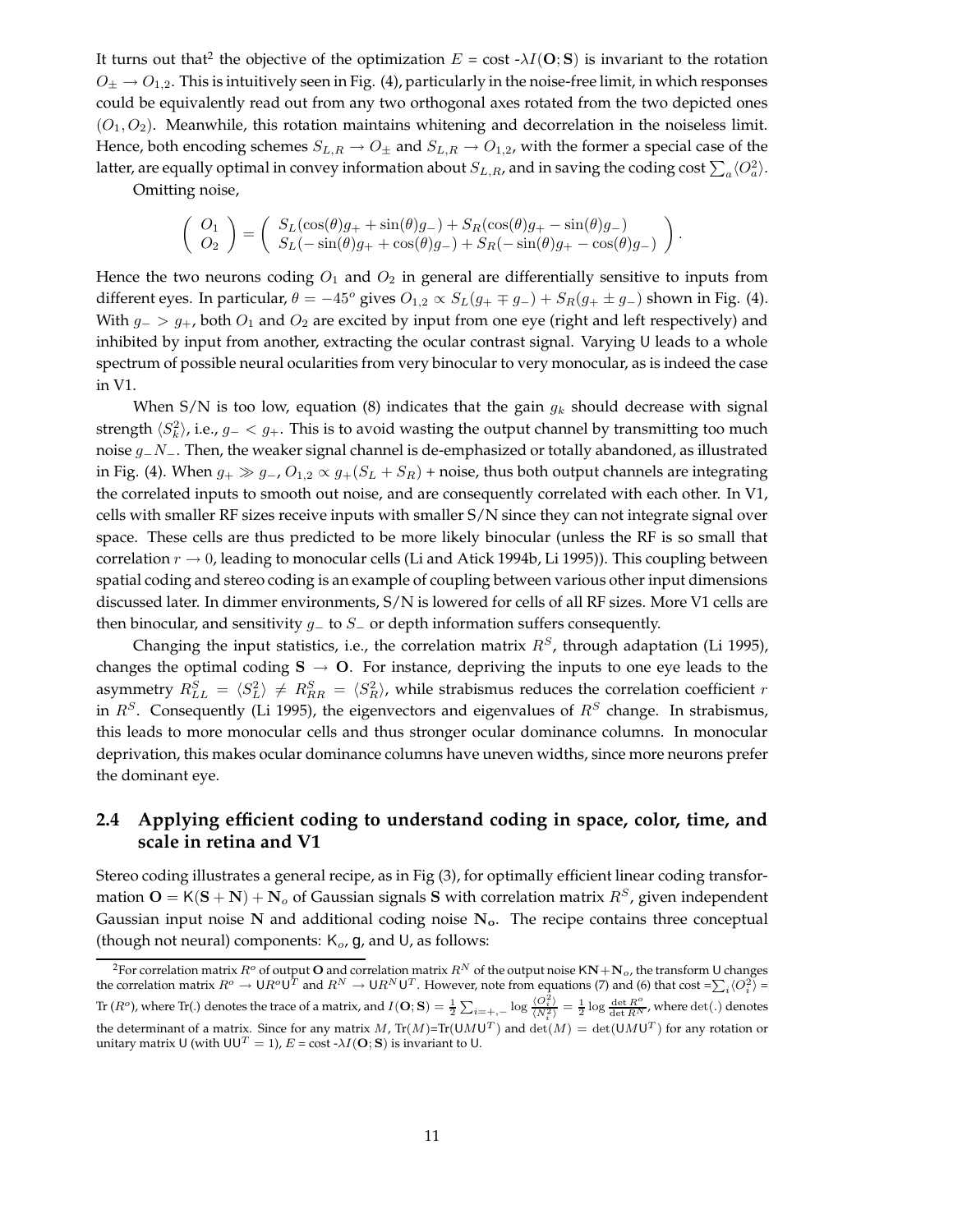It turns out that<sup>2</sup> the objective of the optimization  $E = \text{cost} \cdot \lambda I(\mathbf{O}; \mathbf{S})$  is invariant to the rotation  $O_\pm \to O_{1,2}$ . This is intuitively seen in Fig. (4), particularly in the noise-free limit, in which responses could be equivalently read out from any two orthogonal axes rotated from the two depicted ones  $(O_1, O_2)$ . Meanwhile, this rotation maintains whitening and decorrelation in the noiseless limit. Hence, both encoding schemes  $S_{L,R} \to O_{\pm}$  and  $S_{L,R} \to O_{1,2}$ , with the former a special case of the latter, are equally optimal in convey information about  $S_{L,R}$ , and in saving the coding cost  $\sum_a\langle O_a^2\rangle.$ 

Omitting noise,

$$
\begin{pmatrix}\nO_1 \\
O_2\n\end{pmatrix} = \begin{pmatrix}\nS_L(\cos(\theta)g_+ + \sin(\theta)g_-) + S_R(\cos(\theta)g_+ - \sin(\theta)g_-) \\
S_L(-\sin(\theta)g_+ + \cos(\theta)g_-) + S_R(-\sin(\theta)g_+ - \cos(\theta)g_-)\n\end{pmatrix}.
$$

Hence the two neurons coding  $O_1$  and  $O_2$  in general are differentially sensitive to inputs from different eyes. In particular,  $\theta = -45^{\circ}$  gives  $O_{1,2} \propto S_L(g_+ \mp g_-) + S_R(g_+ \pm g_-)$  shown in Fig. (4). With  $g_-> g_+$ , both  $O_1$  and  $O_2$  are excited by input from one eye (right and left respectively) and inhibited by input from another, extracting the ocular contrast signal. Varying U leads to a whole spectrum of possible neural ocularities from very binocular to very monocular, as is indeed the case in V1.

When S/N is too low, equation (8) indicates that the gain  $g_k$  should decrease with signal strength  $\langle S_k^2 \rangle$ , i.e.,  $g_- < g_+$ . This is to avoid wasting the output channel by transmitting too much noise g<sub>−</sub>N<sub>−</sub>. Then, the weaker signal channel is de-emphasized or totally abandoned, as illustrated in Fig. (4). When  $g_+ \gg g_-, O_{1,2} \propto g_+(S_L + S_R)$  + noise, thus both output channels are integrating the correlated inputs to smooth out noise, and are consequently correlated with each other. In V1, cells with smaller RF sizes receive inputs with smaller S/N since they can not integrate signal over space. These cells are thus predicted to be more likely binocular (unless the RF is so small that correlation  $r \to 0$ , leading to monocular cells (Li and Atick 1994b, Li 1995)). This coupling between spatial coding and stereo coding is an example of coupling between various other input dimensions discussed later. In dimmer environments, S/N is lowered for cells of all RF sizes. More V1 cells are then binocular, and sensitivity  $g_$  to  $S_$  or depth information suffers consequently.

Changing the input statistics, i.e., the correlation matrix  $R<sup>S</sup>$ , through adaptation (Li 1995), changes the optimal coding  $S \rightarrow O$ . For instance, depriving the inputs to one eye leads to the asymmetry  $R_{LL}^S = \langle S_L^2 \rangle \neq R_{RR}^S = \langle S_R^2 \rangle$ , while strabismus reduces the correlation coefficient r in  $R<sup>S</sup>$ . Consequently (Li 1995), the eigenvectors and eigenvalues of  $R<sup>S</sup>$  change. In strabismus, this leads to more monocular cells and thus stronger ocular dominance columns. In monocular deprivation, this makes ocular dominance columns have uneven widths, since more neurons prefer the dominant eye.

## **2.4 Applying efficient coding to understand coding in space, color, time, and scale in retina and V1**

Stereo coding illustrates a general recipe, as in Fig (3), for optimally efficient linear coding transformation  $O = K(S + N) + N_o$  of Gaussian signals S with correlation matrix  $R<sup>S</sup>$ , given independent Gaussian input noise N and additional coding noise  $N<sub>o</sub>$ . The recipe contains three conceptual (though not neural) components:  $K_o$ , g, and U, as follows:

 $^2$ For correlation matrix  $R^o$  of output  ${\bf O}$  and correlation matrix  $R^N$  of the output noise  ${\sf KN+N}_o$ , the transform U changes the correlation matrix  $R^o \to \mathsf{U} R^o \mathsf{U}^T$  and  $R^N \to \mathsf{U} R^N \mathsf{U}^T$ . However, note from equations (7) and (6) that cost =  $\sum_i \langle O_i^2 \rangle$  = Tr  $(R^o)$ , where Tr(.) denotes the trace of a matrix, and  $I(\mathbf{O}; \mathbf{S}) = \frac{1}{2} \sum_{i=+,-} \log \frac{\langle O_i^2 \rangle}{\langle N_i^2 \rangle} = \frac{1}{2} \log \frac{\det R^o}{\det R^N}$ , where  $\det(.)$  denotes the determinant of a matrix. Since for any matrix M,  $Tr(M)=Tr(UMU^T)$  and  $det(M) = det(UMU^T)$  for any rotation or unitary matrix U (with  $UU^T = 1$ ),  $E = \text{cost} \cdot \lambda I(\mathbf{O}; \mathbf{S})$  is invariant to U.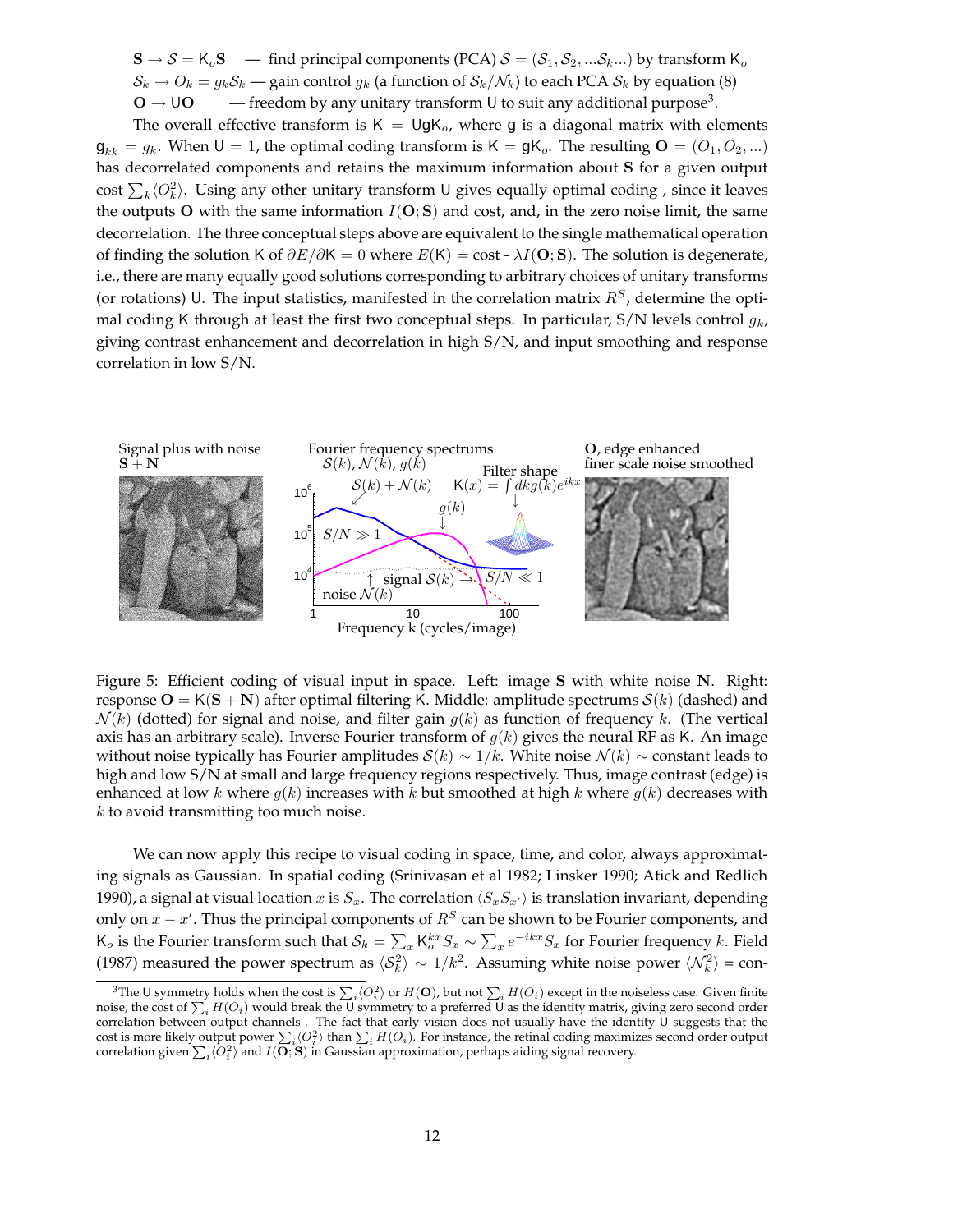$\mathbf{S} \to \mathcal{S} = \mathsf{K}_{o} \mathbf{S}$  — find principal components (PCA)  $\mathcal{S} = (\mathcal{S}_1, \mathcal{S}_2, ... \mathcal{S}_k...)$  by transform  $\mathsf{K}_{o}$  $S_k \to O_k = g_k S_k$  — gain control  $g_k$  (a function of  $S_k/N_k$ ) to each PCA  $S_k$  by equation (8)  $\mathbf{O} \to \mathsf{U}\mathbf{O}$  — freedom by any unitary transform U to suit any additional purpose<sup>3</sup>.

The overall effective transform is  $K = \bigcup gK_o$ , where g is a diagonal matrix with elements  $\mathbf{g}_{kk} = g_k$ . When  $\mathsf{U} = 1$ , the optimal coding transform is  $\mathsf{K} = \mathsf{g}\mathsf{K}_o$ . The resulting  $\mathsf{O} = (O_1, O_2, ...)$ has decorrelated components and retains the maximum information about S for a given output cost  $\sum_{k} \langle O_k^2 \rangle$ . Using any other unitary transform U gives equally optimal coding , since it leaves the outputs O with the same information  $I(O; S)$  and cost, and, in the zero noise limit, the same decorrelation. The three conceptual steps above are equivalent to the single mathematical operation of finding the solution K of  $\partial E/\partial K = 0$  where  $E(K) = \text{cost} \cdot \lambda I(\mathbf{O}; \mathbf{S})$ . The solution is degenerate, i.e., there are many equally good solutions corresponding to arbitrary choices of unitary transforms (or rotations) U. The input statistics, manifested in the correlation matrix  $R<sup>S</sup>$ , determine the optimal coding K through at least the first two conceptual steps. In particular, S/N levels control  $g_k$ , giving contrast enhancement and decorrelation in high S/N, and input smoothing and response correlation in low S/N.



Figure 5: Efficient coding of visual input in space. Left: image S with white noise N. Right: response  $O = K(S + N)$  after optimal filtering K. Middle: amplitude spectrums  $S(k)$  (dashed) and  $\mathcal{N}(k)$  (dotted) for signal and noise, and filter gain  $g(k)$  as function of frequency k. (The vertical axis has an arbitrary scale). Inverse Fourier transform of  $g(k)$  gives the neural RF as K. An image without noise typically has Fourier amplitudes  $S(k) \sim 1/k$ . White noise  $\mathcal{N}(k) \sim$  constant leads to high and low S/N at small and large frequency regions respectively. Thus, image contrast (edge) is enhanced at low k where  $g(k)$  increases with k but smoothed at high k where  $g(k)$  decreases with k to avoid transmitting too much noise.

We can now apply this recipe to visual coding in space, time, and color, always approximating signals as Gaussian. In spatial coding (Srinivasan et al 1982; Linsker 1990; Atick and Redlich 1990), a signal at visual location x is  $S_x$ . The correlation  $\langle S_xS_{x'}\rangle$  is translation invariant, depending only on  $x - x'$ . Thus the principal components of  $R<sup>S</sup>$  can be shown to be Fourier components, and K<sub>o</sub> is the Fourier transform such that  $S_k = \sum_x \mathsf{K}^{kx}_o S_x \sim \sum_x e^{-ikx} S_x$  for Fourier frequency k. Field (1987) measured the power spectrum as  $\langle S_k^2 \rangle \sim 1/k^2$ . Assuming white noise power  $\langle \mathcal{N}_k^2 \rangle$  = con-

<sup>&</sup>lt;sup>3</sup>The U symmetry holds when the cost is  $\sum_i \langle O_i^2 \rangle$  or  $H(\mathbf{O})$ , but not  $\sum_i H(O_i)$  except in the noiseless case. Given finite noise, the cost of  $\sum_i H(O_i)$  would break the U symmetry to a preferred U as the identity ma correlation between output channels . The fact that early vision does not usually have the identity U suggests that the cost is more likely output power  $\sum_i \langle O_i^2 \rangle$  than  $\sum_i H(O_i)$ . For instance, the retinal coding maximizes second order output correlation given  $\sum_i \langle O_i^2 \rangle$  and  $I(\overline{O};S)$  in Gaussian approximation, perhaps aiding signal recovery.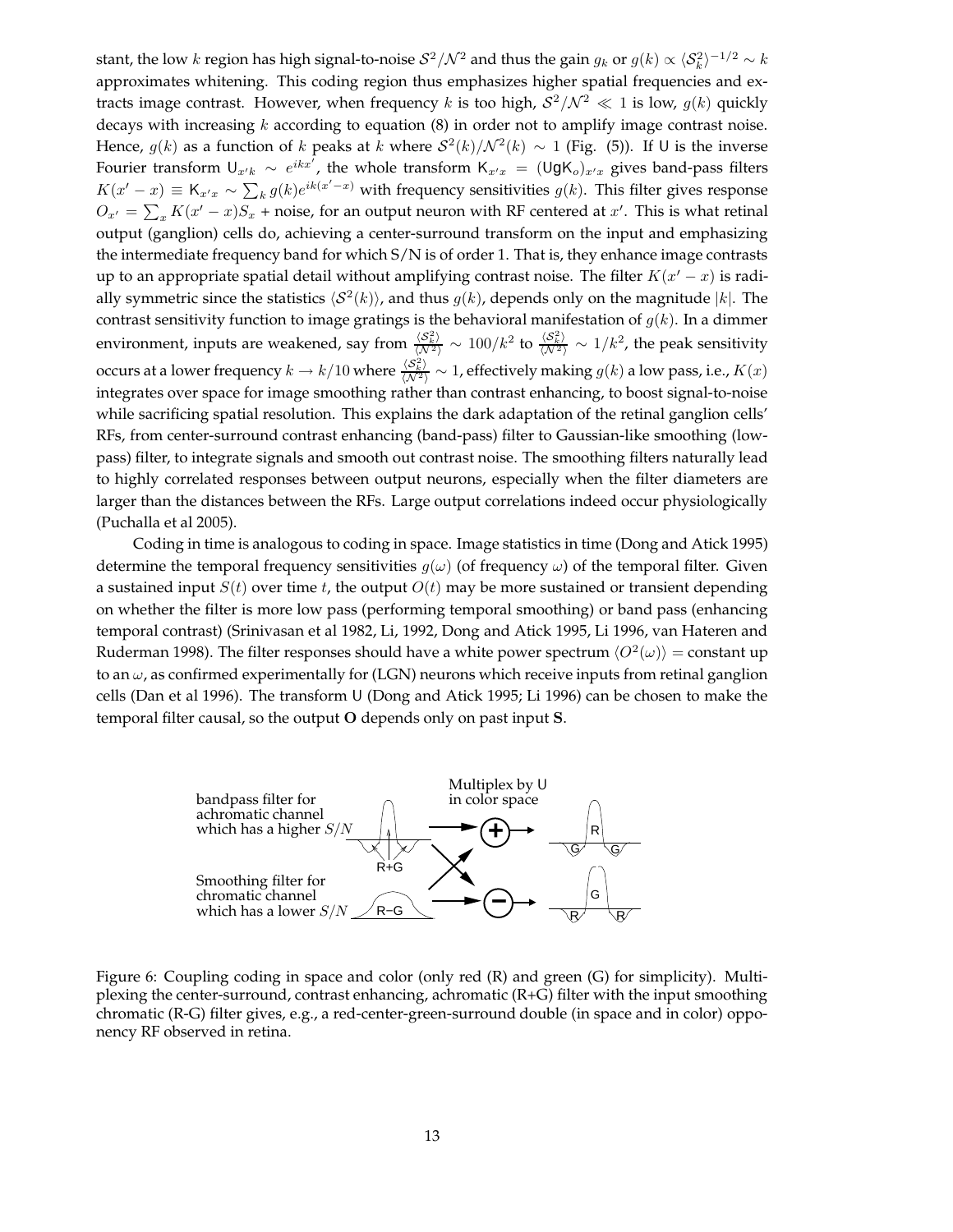stant, the low  $k$  region has high signal-to-noise  $S^2/\mathcal{N}^2$  and thus the gain  $g_k$  or  $g(k)\propto \langle S_k^2\rangle^{-1/2}\sim k$ approximates whitening. This coding region thus emphasizes higher spatial frequencies and extracts image contrast. However, when frequency k is too high,  $S^2/N^2 \ll 1$  is low,  $g(k)$  quickly decays with increasing  $k$  according to equation  $(8)$  in order not to amplify image contrast noise. Hence,  $g(k)$  as a function of k peaks at k where  $S^2(k)/N^2(k) \sim 1$  (Fig. (5)). If U is the inverse Fourier transform  $U_{x'k} \sim e^{ikx^T}$ , the whole transform  $K_{x'x} = (UgK_o)_{x'x}$  gives band-pass filters  $K(x'-x) \equiv K_{x'x} \sim \sum_k g(k)e^{ik(x'-x)}$  with frequency sensitivities  $g(k)$ . This filter gives response  $O_{x'} = \sum_{x} K(x'-x)S_x$  + noise, for an output neuron with RF centered at  $x'$ . This is what retinal output (ganglion) cells do, achieving a center-surround transform on the input and emphasizing the intermediate frequency band for which S/N is of order 1. That is, they enhance image contrasts up to an appropriate spatial detail without amplifying contrast noise. The filter  $K(x'-x)$  is radially symmetric since the statistics  $\langle S^2(k) \rangle$ , and thus  $g(k)$ , depends only on the magnitude  $|k|$ . The contrast sensitivity function to image gratings is the behavioral manifestation of  $g(k)$ . In a dimmer environment, inputs are weakened, say from  $\frac{\langle S_k^2\rangle}{\langle N^2\rangle} \sim 100/k^2$  to  $\frac{\langle S_k^2\rangle}{\langle N^2\rangle} \sim 1/k^2$ , the peak sensitivity occurs at a lower frequency  $k\to k/10$  where  $\frac{\langle S_k^2\rangle}{\langle N^2\rangle}\sim 1$ , effectively making  $g(k)$  a low pass, i.e.,  $K(x)$ integrates over space for image smoothing rather than contrast enhancing, to boost signal-to-noise while sacrificing spatial resolution. This explains the dark adaptation of the retinal ganglion cells' RFs, from center-surround contrast enhancing (band-pass) filter to Gaussian-like smoothing (lowpass) filter, to integrate signals and smooth out contrast noise. The smoothing filters naturally lead to highly correlated responses between output neurons, especially when the filter diameters are larger than the distances between the RFs. Large output correlations indeed occur physiologically (Puchalla et al 2005).

Coding in time is analogous to coding in space. Image statistics in time (Dong and Atick 1995) determine the temporal frequency sensitivities  $g(\omega)$  (of frequency  $\omega$ ) of the temporal filter. Given a sustained input  $S(t)$  over time t, the output  $O(t)$  may be more sustained or transient depending on whether the filter is more low pass (performing temporal smoothing) or band pass (enhancing temporal contrast) (Srinivasan et al 1982, Li, 1992, Dong and Atick 1995, Li 1996, van Hateren and Ruderman 1998). The filter responses should have a white power spectrum  $\langle O^2(\omega)\rangle =$  constant up to an  $\omega$ , as confirmed experimentally for (LGN) neurons which receive inputs from retinal ganglion cells (Dan et al 1996). The transform U (Dong and Atick 1995; Li 1996) can be chosen to make the temporal filter causal, so the output O depends only on past input S.



Figure 6: Coupling coding in space and color (only red (R) and green (G) for simplicity). Multiplexing the center-surround, contrast enhancing, achromatic (R+G) filter with the input smoothing chromatic (R-G) filter gives, e.g., a red-center-green-surround double (in space and in color) opponency RF observed in retina.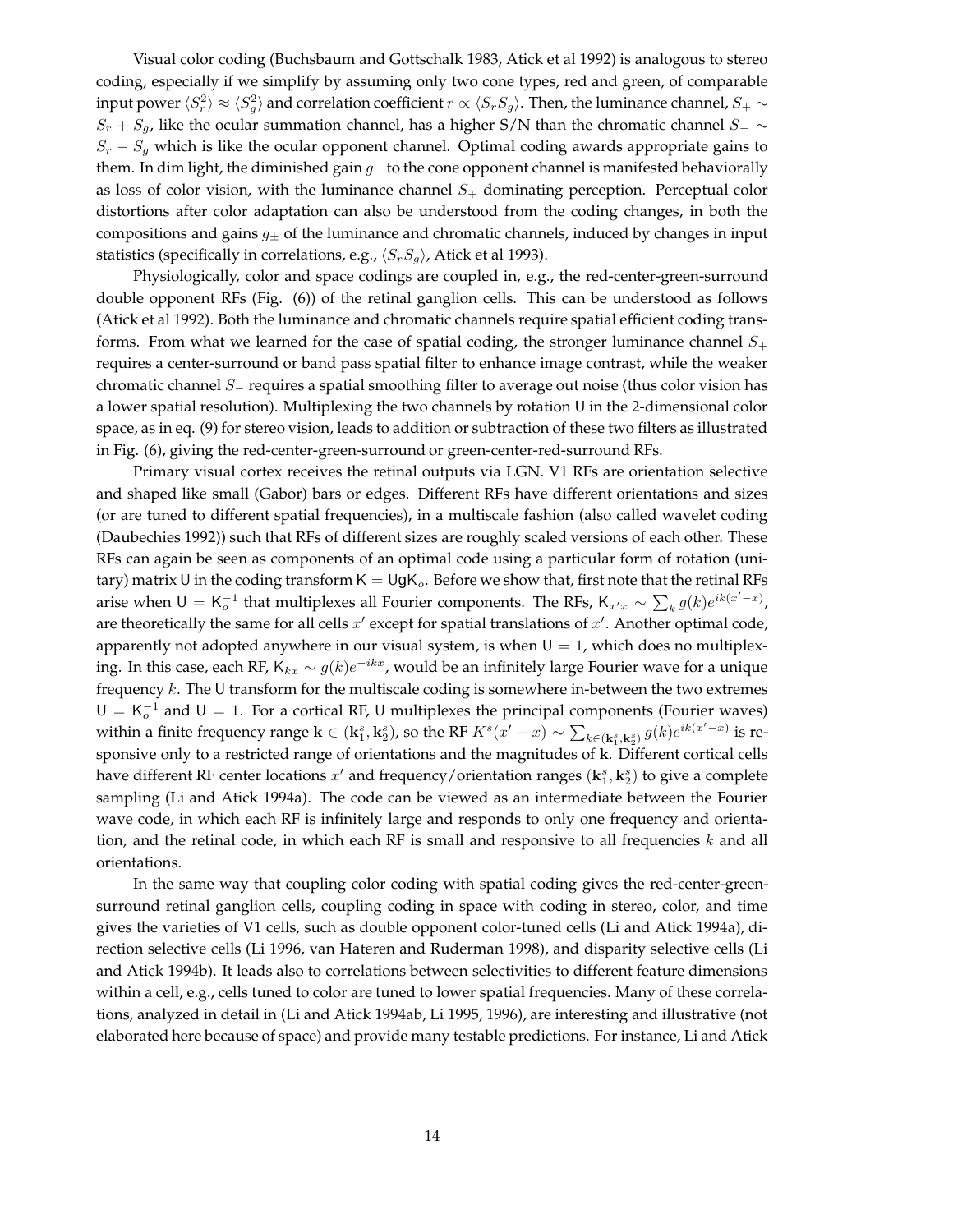Visual color coding (Buchsbaum and Gottschalk 1983, Atick et al 1992) is analogous to stereo coding, especially if we simplify by assuming only two cone types, red and green, of comparable input power  $\langle S_r^2\rangle\approx \langle S_g^2\rangle$  and correlation coefficient  $r\propto \langle S_rS_g\rangle$ . Then, the luminance channel,  $S_+\sim$  $S_r + S_g$ , like the ocular summation channel, has a higher S/N than the chromatic channel  $S_-\sim$  $S_r - S_q$  which is like the ocular opponent channel. Optimal coding awards appropriate gains to them. In dim light, the diminished gain g<sup>−</sup> to the cone opponent channel is manifested behaviorally as loss of color vision, with the luminance channel  $S<sub>+</sub>$  dominating perception. Perceptual color distortions after color adaptation can also be understood from the coding changes, in both the compositions and gains  $g_{\pm}$  of the luminance and chromatic channels, induced by changes in input statistics (specifically in correlations, e.g.,  $\langle S_rS_g \rangle$ , Atick et al 1993).

Physiologically, color and space codings are coupled in, e.g., the red-center-green-surround double opponent RFs (Fig. (6)) of the retinal ganglion cells. This can be understood as follows (Atick et al 1992). Both the luminance and chromatic channels require spatial efficient coding transforms. From what we learned for the case of spatial coding, the stronger luminance channel  $S_+$ requires a center-surround or band pass spatial filter to enhance image contrast, while the weaker chromatic channel S<sup>−</sup> requires a spatial smoothing filter to average out noise (thus color vision has a lower spatial resolution). Multiplexing the two channels by rotation U in the 2-dimensional color space, as in eq. (9) for stereo vision, leads to addition or subtraction of these two filters as illustrated in Fig. (6), giving the red-center-green-surround or green-center-red-surround RFs.

Primary visual cortex receives the retinal outputs via LGN. V1 RFs are orientation selective and shaped like small (Gabor) bars or edges. Different RFs have different orientations and sizes (or are tuned to different spatial frequencies), in a multiscale fashion (also called wavelet coding (Daubechies 1992)) such that RFs of different sizes are roughly scaled versions of each other. These RFs can again be seen as components of an optimal code using a particular form of rotation (unitary) matrix U in the coding transform  $K = UgK_o$ . Before we show that, first note that the retinal RFs arise when  $\mathsf{U} = \mathsf{K}_o^{-1}$  that multiplexes all Fourier components. The RFs,  $\mathsf{K}_{x^r x} \sim \sum_k g(k) e^{ik(x^r - x)}$ , are theoretically the same for all cells  $x'$  except for spatial translations of  $x'$ . Another optimal code, apparently not adopted anywhere in our visual system, is when  $U = 1$ , which does no multiplexing. In this case, each RF,  $\mathsf{K}_{kx} \sim g(k)e^{-ikx}$ , would be an infinitely large Fourier wave for a unique frequency k. The U transform for the multiscale coding is somewhere in-between the two extremes  $U = K_o^{-1}$  and  $U = 1$ . For a cortical RF, U multiplexes the principal components (Fourier waves) within a finite frequency range  $\mathbf{k} \in (\mathbf{k}_1^s, \mathbf{k}_2^s)$ , so the RF  $K^s(x'-x) \sim \sum_{k \in (\mathbf{k}_1^s, \mathbf{k}_2^s)} g(k) e^{ik(x'-x)}$  is responsive only to a restricted range of orientations and the magnitudes of k. Different cortical cells have different RF center locations  $x'$  and frequency/orientation ranges  $(\mathbf{k}_1^s, \mathbf{k}_2^s)$  to give a complete sampling (Li and Atick 1994a). The code can be viewed as an intermediate between the Fourier wave code, in which each RF is infinitely large and responds to only one frequency and orientation, and the retinal code, in which each RF is small and responsive to all frequencies  $k$  and all orientations.

In the same way that coupling color coding with spatial coding gives the red-center-greensurround retinal ganglion cells, coupling coding in space with coding in stereo, color, and time gives the varieties of V1 cells, such as double opponent color-tuned cells (Li and Atick 1994a), direction selective cells (Li 1996, van Hateren and Ruderman 1998), and disparity selective cells (Li and Atick 1994b). It leads also to correlations between selectivities to different feature dimensions within a cell, e.g., cells tuned to color are tuned to lower spatial frequencies. Many of these correlations, analyzed in detail in (Li and Atick 1994ab, Li 1995, 1996), are interesting and illustrative (not elaborated here because of space) and provide many testable predictions. For instance, Li and Atick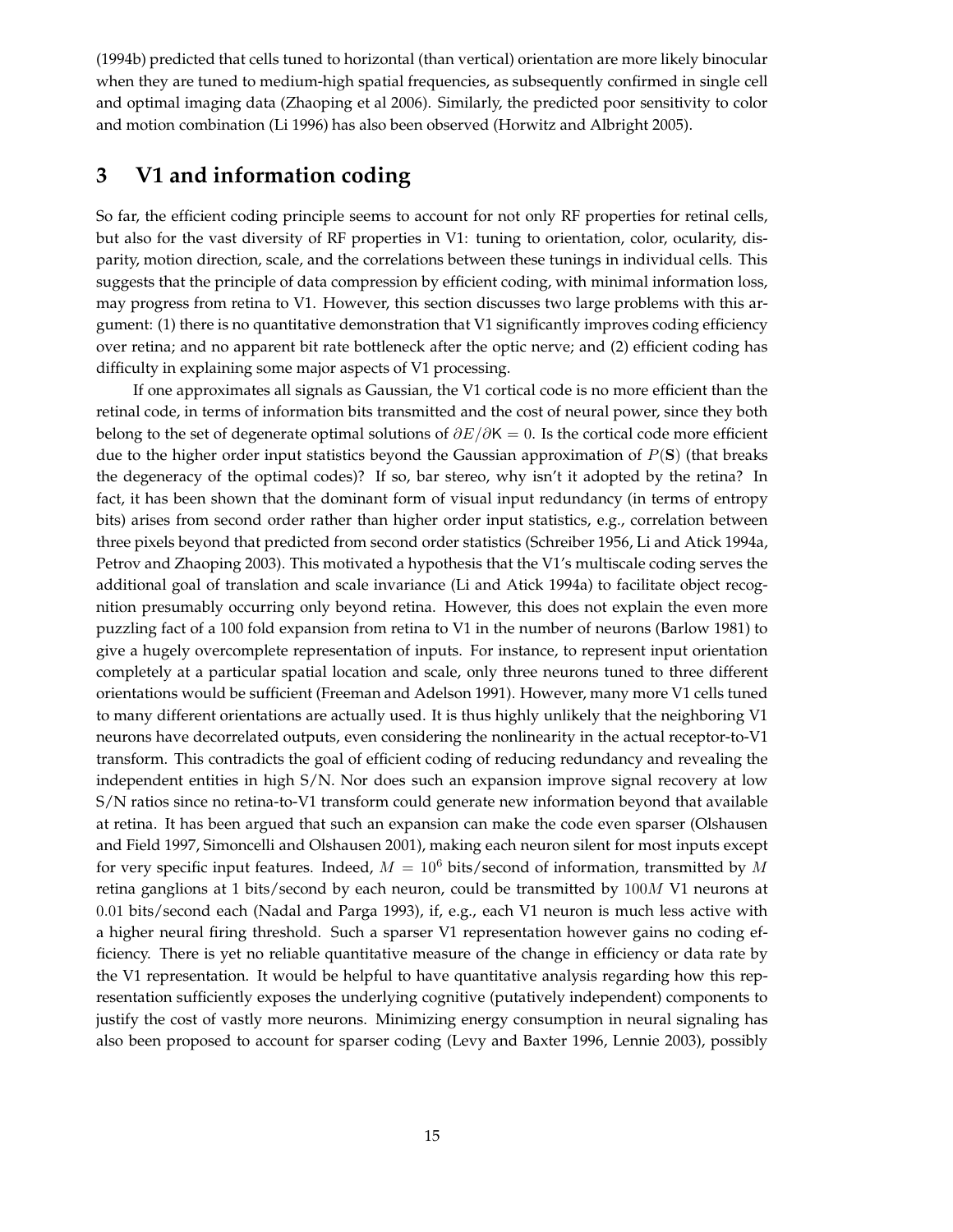(1994b) predicted that cells tuned to horizontal (than vertical) orientation are more likely binocular when they are tuned to medium-high spatial frequencies, as subsequently confirmed in single cell and optimal imaging data (Zhaoping et al 2006). Similarly, the predicted poor sensitivity to color and motion combination (Li 1996) has also been observed (Horwitz and Albright 2005).

# **3 V1 and information coding**

So far, the efficient coding principle seems to account for not only RF properties for retinal cells, but also for the vast diversity of RF properties in V1: tuning to orientation, color, ocularity, disparity, motion direction, scale, and the correlations between these tunings in individual cells. This suggests that the principle of data compression by efficient coding, with minimal information loss, may progress from retina to V1. However, this section discusses two large problems with this argument: (1) there is no quantitative demonstration that V1 significantly improves coding efficiency over retina; and no apparent bit rate bottleneck after the optic nerve; and (2) efficient coding has difficulty in explaining some major aspects of V1 processing.

If one approximates all signals as Gaussian, the V1 cortical code is no more efficient than the retinal code, in terms of information bits transmitted and the cost of neural power, since they both belong to the set of degenerate optimal solutions of  $\partial E/\partial K = 0$ . Is the cortical code more efficient due to the higher order input statistics beyond the Gaussian approximation of  $P(S)$  (that breaks the degeneracy of the optimal codes)? If so, bar stereo, why isn't it adopted by the retina? In fact, it has been shown that the dominant form of visual input redundancy (in terms of entropy bits) arises from second order rather than higher order input statistics, e.g., correlation between three pixels beyond that predicted from second order statistics (Schreiber 1956, Li and Atick 1994a, Petrov and Zhaoping 2003). This motivated a hypothesis that the V1's multiscale coding serves the additional goal of translation and scale invariance (Li and Atick 1994a) to facilitate object recognition presumably occurring only beyond retina. However, this does not explain the even more puzzling fact of a 100 fold expansion from retina to V1 in the number of neurons (Barlow 1981) to give a hugely overcomplete representation of inputs. For instance, to represent input orientation completely at a particular spatial location and scale, only three neurons tuned to three different orientations would be sufficient (Freeman and Adelson 1991). However, many more V1 cells tuned to many different orientations are actually used. It is thus highly unlikely that the neighboring V1 neurons have decorrelated outputs, even considering the nonlinearity in the actual receptor-to-V1 transform. This contradicts the goal of efficient coding of reducing redundancy and revealing the independent entities in high S/N. Nor does such an expansion improve signal recovery at low S/N ratios since no retina-to-V1 transform could generate new information beyond that available at retina. It has been argued that such an expansion can make the code even sparser (Olshausen and Field 1997, Simoncelli and Olshausen 2001), making each neuron silent for most inputs except for very specific input features. Indeed,  $M = 10^6$  bits/second of information, transmitted by M retina ganglions at 1 bits/second by each neuron, could be transmitted by 100M V1 neurons at 0.01 bits/second each (Nadal and Parga 1993), if, e.g., each V1 neuron is much less active with a higher neural firing threshold. Such a sparser V1 representation however gains no coding efficiency. There is yet no reliable quantitative measure of the change in efficiency or data rate by the V1 representation. It would be helpful to have quantitative analysis regarding how this representation sufficiently exposes the underlying cognitive (putatively independent) components to justify the cost of vastly more neurons. Minimizing energy consumption in neural signaling has also been proposed to account for sparser coding (Levy and Baxter 1996, Lennie 2003), possibly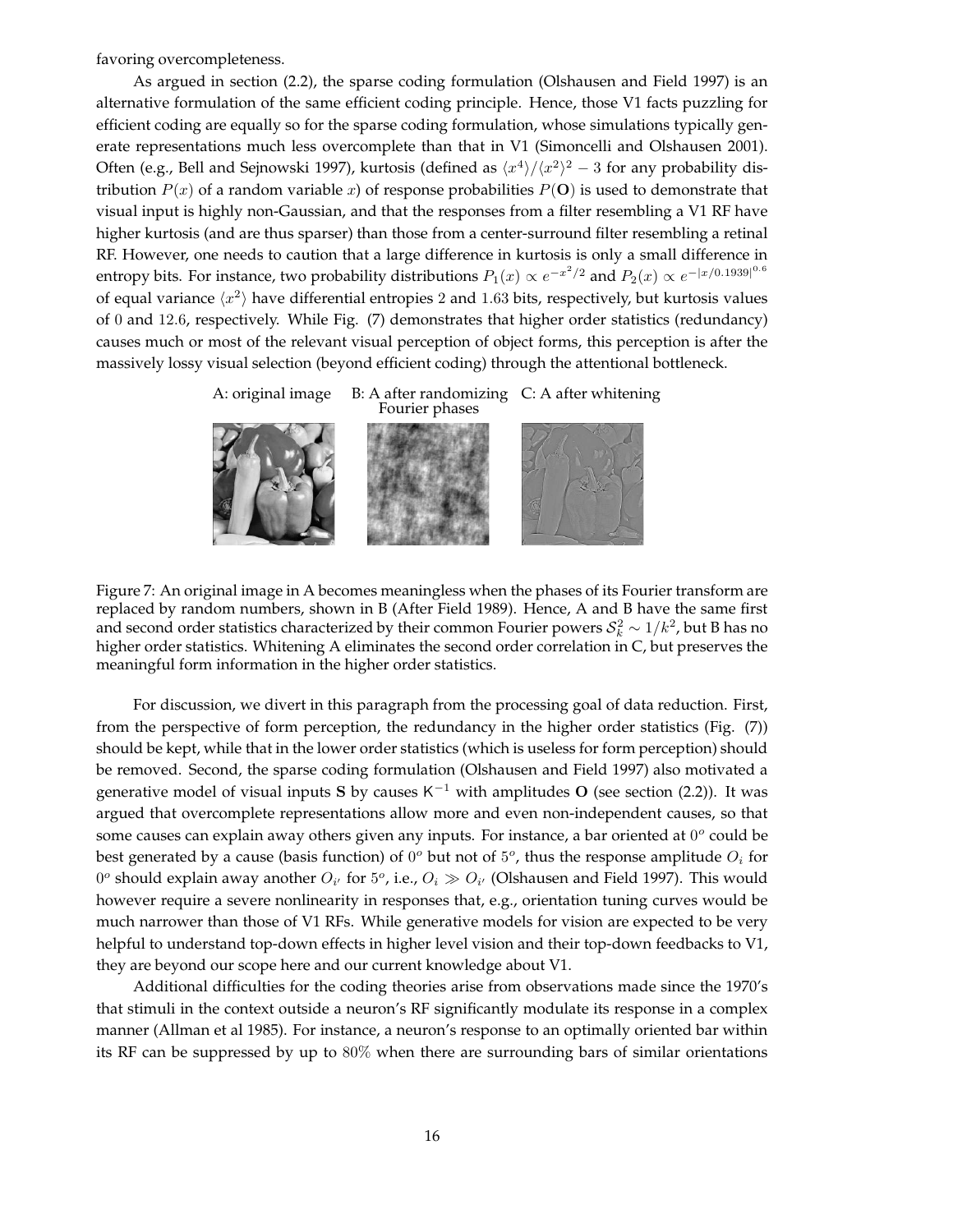favoring overcompleteness.

As argued in section (2.2), the sparse coding formulation (Olshausen and Field 1997) is an alternative formulation of the same efficient coding principle. Hence, those V1 facts puzzling for efficient coding are equally so for the sparse coding formulation, whose simulations typically generate representations much less overcomplete than that in V1 (Simoncelli and Olshausen 2001). Often (e.g., Bell and Sejnowski 1997), kurtosis (defined as  $\langle x^4 \rangle / \langle x^2 \rangle^2 - 3$  for any probability distribution  $P(x)$  of a random variable x) of response probabilities  $P(\mathbf{O})$  is used to demonstrate that visual input is highly non-Gaussian, and that the responses from a filter resembling a V1 RF have higher kurtosis (and are thus sparser) than those from a center-surround filter resembling a retinal RF. However, one needs to caution that a large difference in kurtosis is only a small difference in entropy bits. For instance, two probability distributions  $P_1(x) \propto e^{-x^2/2}$  and  $P_2(x) \propto e^{-|x/0.1939|^{0.6}}$ of equal variance  $\langle x^2 \rangle$  have differential entropies 2 and 1.63 bits, respectively, but kurtosis values of 0 and 12.6, respectively. While Fig. (7) demonstrates that higher order statistics (redundancy) causes much or most of the relevant visual perception of object forms, this perception is after the massively lossy visual selection (beyond efficient coding) through the attentional bottleneck.



Figure 7: An original image in A becomes meaningless when the phases of its Fourier transform are replaced by random numbers, shown in B (After Field 1989). Hence, A and B have the same first and second order statistics characterized by their common Fourier powers  $S_k^2 \sim 1/k^2$ , but B has no higher order statistics. Whitening A eliminates the second order correlation in C, but preserves the meaningful form information in the higher order statistics.

For discussion, we divert in this paragraph from the processing goal of data reduction. First, from the perspective of form perception, the redundancy in the higher order statistics (Fig. (7)) should be kept, while that in the lower order statistics (which is useless for form perception) should be removed. Second, the sparse coding formulation (Olshausen and Field 1997) also motivated a generative model of visual inputs S by causes K<sup>-1</sup> with amplitudes O (see section (2.2)). It was argued that overcomplete representations allow more and even non-independent causes, so that some causes can explain away others given any inputs. For instance, a bar oriented at  $0^o$  could be best generated by a cause (basis function) of  $0^o$  but not of  $5^o$ , thus the response amplitude  $O_i$  for  $0^o$  should explain away another  $O_{i'}$  for  $5^o$ , i.e.,  $O_i \gg O_{i'}$  (Olshausen and Field 1997). This would however require a severe nonlinearity in responses that, e.g., orientation tuning curves would be much narrower than those of V1 RFs. While generative models for vision are expected to be very helpful to understand top-down effects in higher level vision and their top-down feedbacks to V1, they are beyond our scope here and our current knowledge about V1.

Additional difficulties for the coding theories arise from observations made since the 1970's that stimuli in the context outside a neuron's RF significantly modulate its response in a complex manner (Allman et al 1985). For instance, a neuron's response to an optimally oriented bar within its RF can be suppressed by up to 80% when there are surrounding bars of similar orientations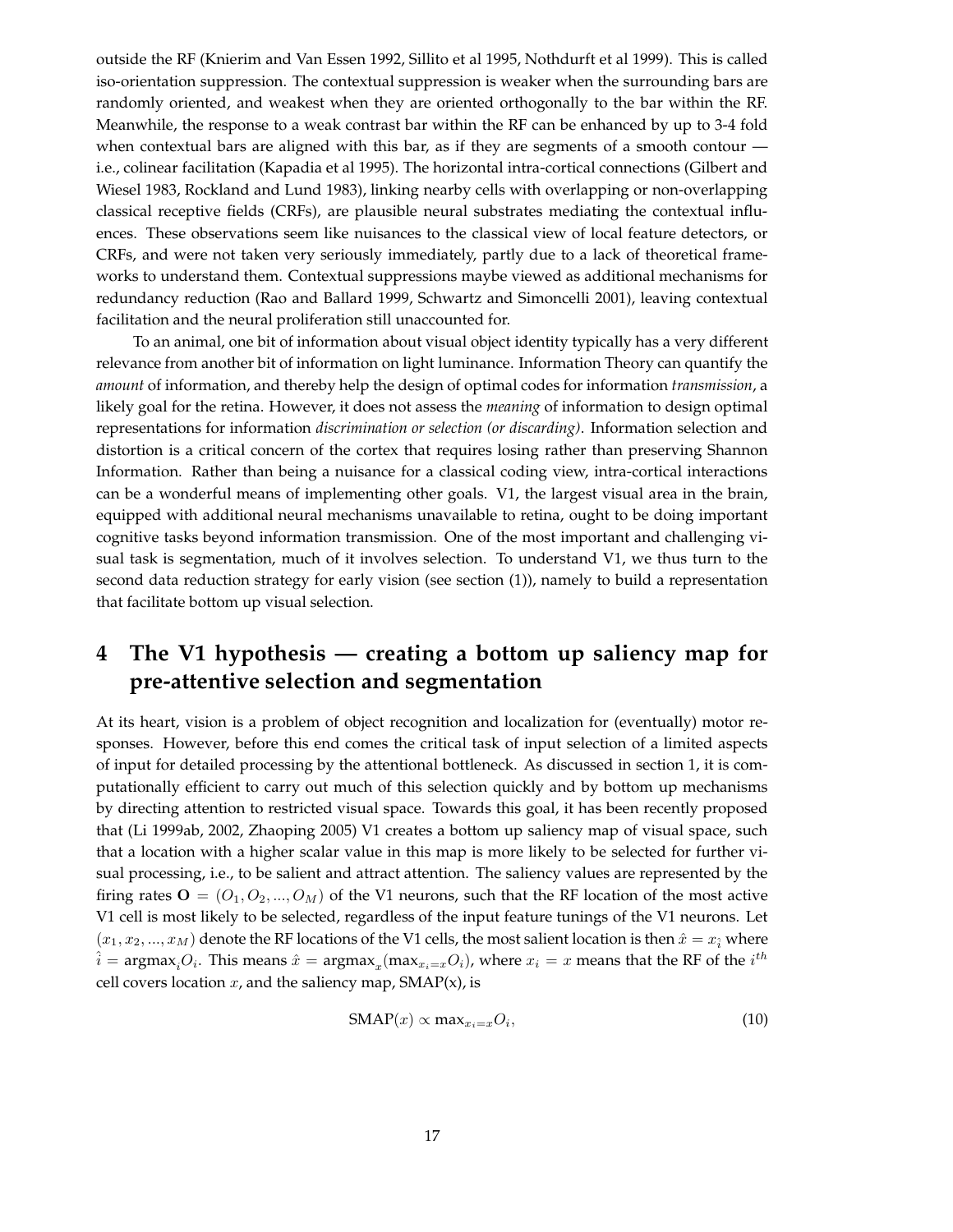outside the RF (Knierim and Van Essen 1992, Sillito et al 1995, Nothdurft et al 1999). This is called iso-orientation suppression. The contextual suppression is weaker when the surrounding bars are randomly oriented, and weakest when they are oriented orthogonally to the bar within the RF. Meanwhile, the response to a weak contrast bar within the RF can be enhanced by up to 3-4 fold when contextual bars are aligned with this bar, as if they are segments of a smooth contour i.e., colinear facilitation (Kapadia et al 1995). The horizontal intra-cortical connections (Gilbert and Wiesel 1983, Rockland and Lund 1983), linking nearby cells with overlapping or non-overlapping classical receptive fields (CRFs), are plausible neural substrates mediating the contextual influences. These observations seem like nuisances to the classical view of local feature detectors, or CRFs, and were not taken very seriously immediately, partly due to a lack of theoretical frameworks to understand them. Contextual suppressions maybe viewed as additional mechanisms for redundancy reduction (Rao and Ballard 1999, Schwartz and Simoncelli 2001), leaving contextual facilitation and the neural proliferation still unaccounted for.

To an animal, one bit of information about visual object identity typically has a very different relevance from another bit of information on light luminance. Information Theory can quantify the *amount* of information, and thereby help the design of optimal codes for information *transmission*, a likely goal for the retina. However, it does not assess the *meaning* of information to design optimal representations for information *discrimination or selection (or discarding)*. Information selection and distortion is a critical concern of the cortex that requires losing rather than preserving Shannon Information. Rather than being a nuisance for a classical coding view, intra-cortical interactions can be a wonderful means of implementing other goals. V1, the largest visual area in the brain, equipped with additional neural mechanisms unavailable to retina, ought to be doing important cognitive tasks beyond information transmission. One of the most important and challenging visual task is segmentation, much of it involves selection. To understand V1, we thus turn to the second data reduction strategy for early vision (see section (1)), namely to build a representation that facilitate bottom up visual selection.

# **4 The V1 hypothesis — creating a bottom up saliency map for pre-attentive selection and segmentation**

At its heart, vision is a problem of object recognition and localization for (eventually) motor responses. However, before this end comes the critical task of input selection of a limited aspects of input for detailed processing by the attentional bottleneck. As discussed in section 1, it is computationally efficient to carry out much of this selection quickly and by bottom up mechanisms by directing attention to restricted visual space. Towards this goal, it has been recently proposed that (Li 1999ab, 2002, Zhaoping 2005) V1 creates a bottom up saliency map of visual space, such that a location with a higher scalar value in this map is more likely to be selected for further visual processing, i.e., to be salient and attract attention. The saliency values are represented by the firing rates  $\mathbf{O} = (O_1, O_2, ..., O_M)$  of the V1 neurons, such that the RF location of the most active V1 cell is most likely to be selected, regardless of the input feature tunings of the V1 neurons. Let  $(x_1, x_2, ..., x_M)$  denote the RF locations of the V1 cells, the most salient location is then  $\hat{x} = x_i$  where  $\hat{i}$  = argmax<sub>i</sub> $O_i$ . This means  $\hat{x}$  = argmax<sub>x</sub>(max<sub>xi=x</sub> $O_i$ ), where  $x_i = x$  means that the RF of the  $i^{th}$ cell covers location  $x$ , and the saliency map,  $SMAP(x)$ , is

$$
SMAP(x) \propto \max_{x_i = x} O_i,
$$
\n(10)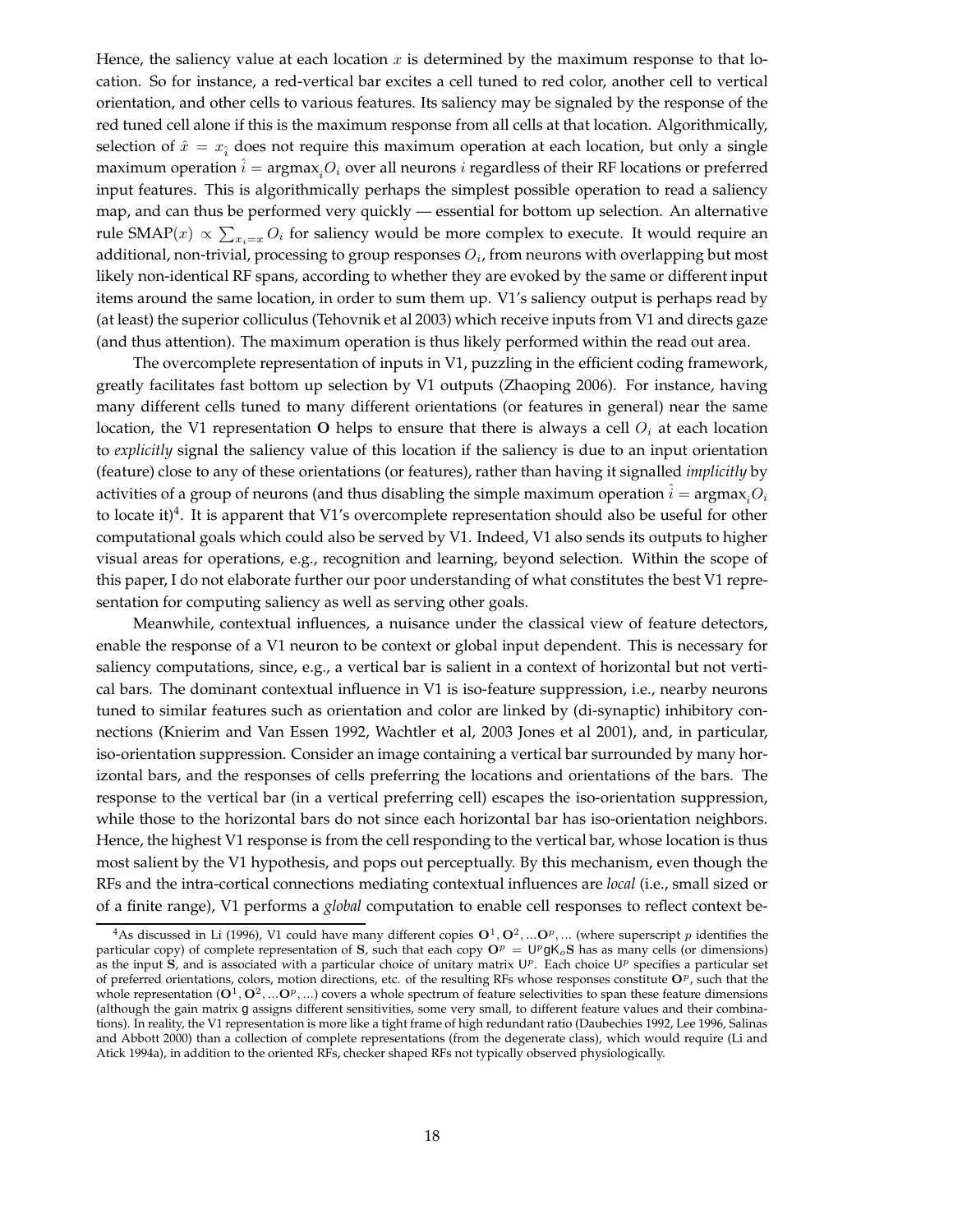Hence, the saliency value at each location  $x$  is determined by the maximum response to that location. So for instance, a red-vertical bar excites a cell tuned to red color, another cell to vertical orientation, and other cells to various features. Its saliency may be signaled by the response of the red tuned cell alone if this is the maximum response from all cells at that location. Algorithmically, selection of  $\hat{x} = x_i$  does not require this maximum operation at each location, but only a single maximum operation  $\hat{i} = \text{argmax}_{i} O_i$  over all neurons i regardless of their RF locations or preferred input features. This is algorithmically perhaps the simplest possible operation to read a saliency map, and can thus be performed very quickly — essential for bottom up selection. An alternative rule SMAP $(x) \propto \sum_{x_i=x} O_i$  for saliency would be more complex to execute. It would require an additional, non-trivial, processing to group responses  $O_i$ , from neurons with overlapping but most likely non-identical RF spans, according to whether they are evoked by the same or different input items around the same location, in order to sum them up. V1's saliency output is perhaps read by (at least) the superior colliculus (Tehovnik et al 2003) which receive inputs from V1 and directs gaze (and thus attention). The maximum operation is thus likely performed within the read out area.

The overcomplete representation of inputs in V1, puzzling in the efficient coding framework, greatly facilitates fast bottom up selection by V1 outputs (Zhaoping 2006). For instance, having many different cells tuned to many different orientations (or features in general) near the same location, the V1 representation O helps to ensure that there is always a cell  $O_i$  at each location to *explicitly* signal the saliency value of this location if the saliency is due to an input orientation (feature) close to any of these orientations (or features), rather than having it signalled *implicitly* by activities of a group of neurons (and thus disabling the simple maximum operation  $i = \text{argmax}_{i} O_i$ to locate it)<sup>4</sup>. It is apparent that V1's overcomplete representation should also be useful for other computational goals which could also be served by V1. Indeed, V1 also sends its outputs to higher visual areas for operations, e.g., recognition and learning, beyond selection. Within the scope of this paper, I do not elaborate further our poor understanding of what constitutes the best V1 representation for computing saliency as well as serving other goals.

Meanwhile, contextual influences, a nuisance under the classical view of feature detectors, enable the response of a V1 neuron to be context or global input dependent. This is necessary for saliency computations, since, e.g., a vertical bar is salient in a context of horizontal but not vertical bars. The dominant contextual influence in V1 is iso-feature suppression, i.e., nearby neurons tuned to similar features such as orientation and color are linked by (di-synaptic) inhibitory connections (Knierim and Van Essen 1992, Wachtler et al, 2003 Jones et al 2001), and, in particular, iso-orientation suppression. Consider an image containing a vertical bar surrounded by many horizontal bars, and the responses of cells preferring the locations and orientations of the bars. The response to the vertical bar (in a vertical preferring cell) escapes the iso-orientation suppression, while those to the horizontal bars do not since each horizontal bar has iso-orientation neighbors. Hence, the highest V1 response is from the cell responding to the vertical bar, whose location is thus most salient by the V1 hypothesis, and pops out perceptually. By this mechanism, even though the RFs and the intra-cortical connections mediating contextual influences are *local* (i.e., small sized or of a finite range), V1 performs a *global* computation to enable cell responses to reflect context be-

<sup>&</sup>lt;sup>4</sup>As discussed in Li (1996), V1 could have many different copies  $O^1, O^2, ...O^p, ...$  (where superscript p identifies the particular copy) of complete representation of S, such that each copy  $O^p = U^p g K_o S$  has as many cells (or dimensions) as the input  $\hat{S}$ , and is associated with a particular choice of unitary matrix  $\mathsf{U}^p$ . Each choice  $\mathsf{U}^p$  specifies a particular set of preferred orientations, colors, motion directions, etc. of the resulting RFs whose responses constitute  $O^p$ , such that the whole representation  $(O^1, O^2, ... O^p, ...)$  covers a whole spectrum of feature selectivities to span these feature dimensions (although the gain matrix g assigns different sensitivities, some very small, to different feature values and their combinations). In reality, the V1 representation is more like a tight frame of high redundant ratio (Daubechies 1992, Lee 1996, Salinas and Abbott 2000) than a collection of complete representations (from the degenerate class), which would require (Li and Atick 1994a), in addition to the oriented RFs, checker shaped RFs not typically observed physiologically.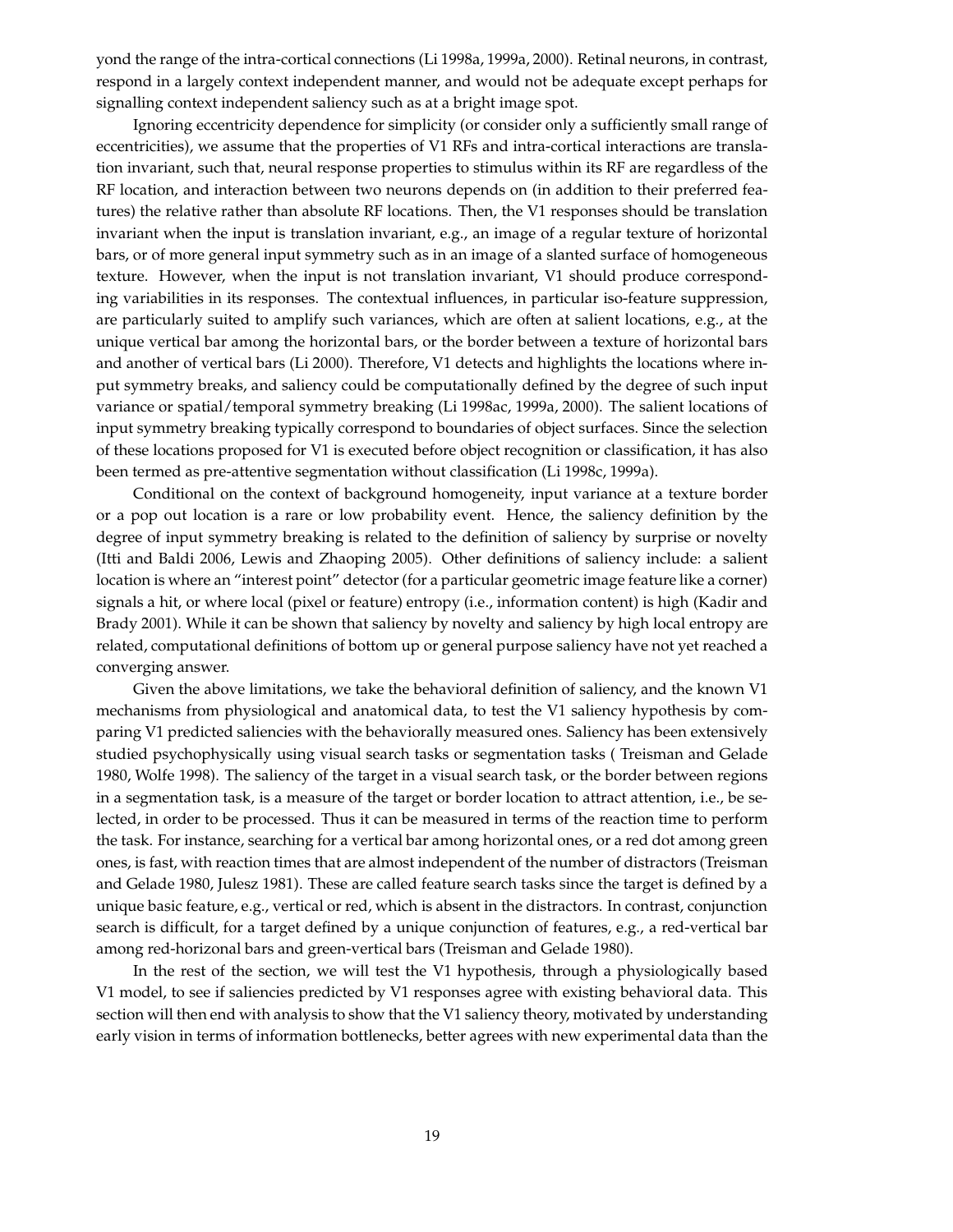yond the range of the intra-cortical connections (Li 1998a, 1999a, 2000). Retinal neurons, in contrast, respond in a largely context independent manner, and would not be adequate except perhaps for signalling context independent saliency such as at a bright image spot.

Ignoring eccentricity dependence for simplicity (or consider only a sufficiently small range of eccentricities), we assume that the properties of V1 RFs and intra-cortical interactions are translation invariant, such that, neural response properties to stimulus within its RF are regardless of the RF location, and interaction between two neurons depends on (in addition to their preferred features) the relative rather than absolute RF locations. Then, the V1 responses should be translation invariant when the input is translation invariant, e.g., an image of a regular texture of horizontal bars, or of more general input symmetry such as in an image of a slanted surface of homogeneous texture. However, when the input is not translation invariant, V1 should produce corresponding variabilities in its responses. The contextual influences, in particular iso-feature suppression, are particularly suited to amplify such variances, which are often at salient locations, e.g., at the unique vertical bar among the horizontal bars, or the border between a texture of horizontal bars and another of vertical bars (Li 2000). Therefore, V1 detects and highlights the locations where input symmetry breaks, and saliency could be computationally defined by the degree of such input variance or spatial/temporal symmetry breaking (Li 1998ac, 1999a, 2000). The salient locations of input symmetry breaking typically correspond to boundaries of object surfaces. Since the selection of these locations proposed for V1 is executed before object recognition or classification, it has also been termed as pre-attentive segmentation without classification (Li 1998c, 1999a).

Conditional on the context of background homogeneity, input variance at a texture border or a pop out location is a rare or low probability event. Hence, the saliency definition by the degree of input symmetry breaking is related to the definition of saliency by surprise or novelty (Itti and Baldi 2006, Lewis and Zhaoping 2005). Other definitions of saliency include: a salient location is where an "interest point" detector (for a particular geometric image feature like a corner) signals a hit, or where local (pixel or feature) entropy (i.e., information content) is high (Kadir and Brady 2001). While it can be shown that saliency by novelty and saliency by high local entropy are related, computational definitions of bottom up or general purpose saliency have not yet reached a converging answer.

Given the above limitations, we take the behavioral definition of saliency, and the known V1 mechanisms from physiological and anatomical data, to test the V1 saliency hypothesis by comparing V1 predicted saliencies with the behaviorally measured ones. Saliency has been extensively studied psychophysically using visual search tasks or segmentation tasks ( Treisman and Gelade 1980, Wolfe 1998). The saliency of the target in a visual search task, or the border between regions in a segmentation task, is a measure of the target or border location to attract attention, i.e., be selected, in order to be processed. Thus it can be measured in terms of the reaction time to perform the task. For instance, searching for a vertical bar among horizontal ones, or a red dot among green ones, is fast, with reaction times that are almost independent of the number of distractors (Treisman and Gelade 1980, Julesz 1981). These are called feature search tasks since the target is defined by a unique basic feature, e.g., vertical or red, which is absent in the distractors. In contrast, conjunction search is difficult, for a target defined by a unique conjunction of features, e.g., a red-vertical bar among red-horizonal bars and green-vertical bars (Treisman and Gelade 1980).

In the rest of the section, we will test the V1 hypothesis, through a physiologically based V1 model, to see if saliencies predicted by V1 responses agree with existing behavioral data. This section will then end with analysis to show that the V1 saliency theory, motivated by understanding early vision in terms of information bottlenecks, better agrees with new experimental data than the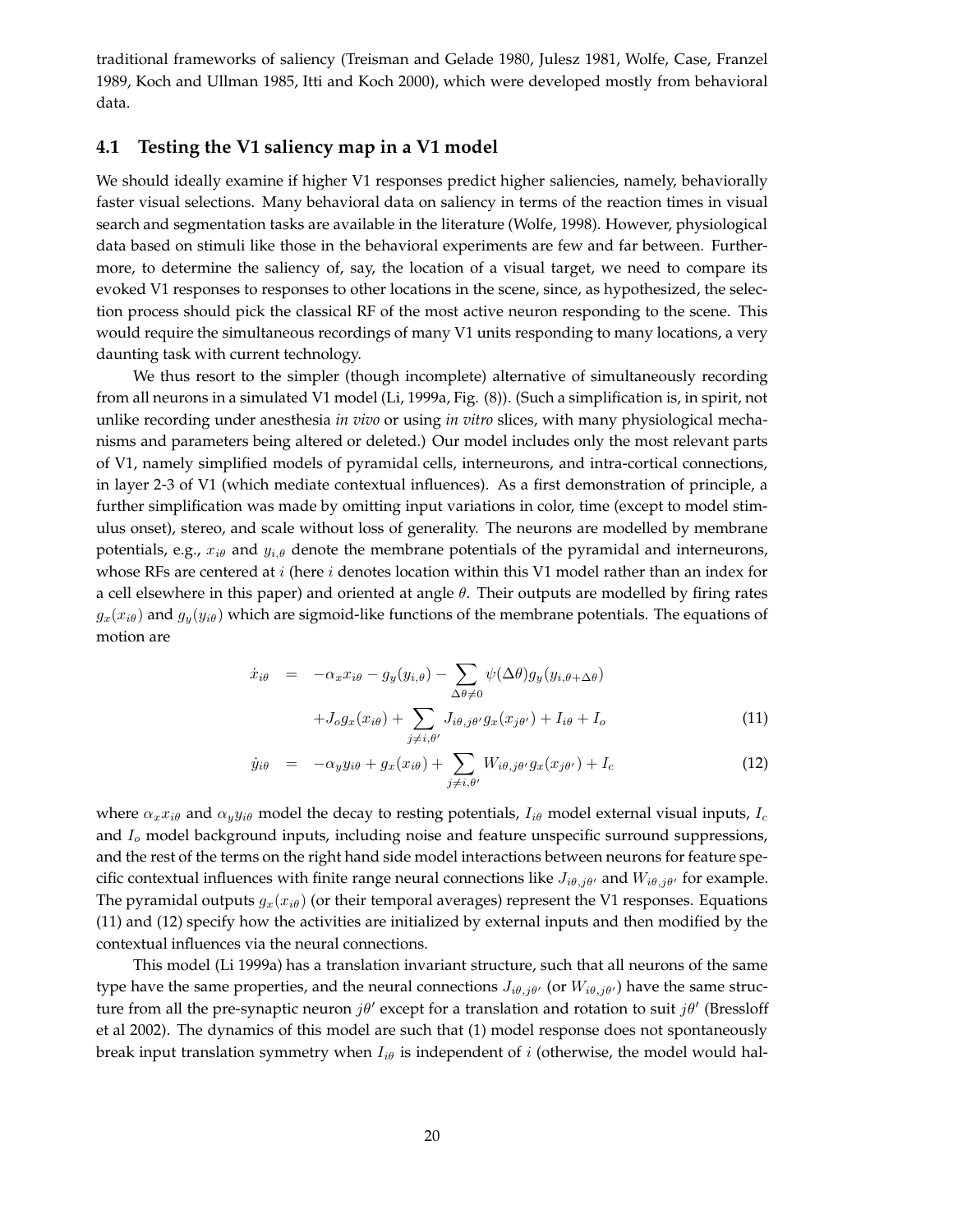traditional frameworks of saliency (Treisman and Gelade 1980, Julesz 1981, Wolfe, Case, Franzel 1989, Koch and Ullman 1985, Itti and Koch 2000), which were developed mostly from behavioral data.

## **4.1 Testing the V1 saliency map in a V1 model**

We should ideally examine if higher V1 responses predict higher saliencies, namely, behaviorally faster visual selections. Many behavioral data on saliency in terms of the reaction times in visual search and segmentation tasks are available in the literature (Wolfe, 1998). However, physiological data based on stimuli like those in the behavioral experiments are few and far between. Furthermore, to determine the saliency of, say, the location of a visual target, we need to compare its evoked V1 responses to responses to other locations in the scene, since, as hypothesized, the selection process should pick the classical RF of the most active neuron responding to the scene. This would require the simultaneous recordings of many V1 units responding to many locations, a very daunting task with current technology.

We thus resort to the simpler (though incomplete) alternative of simultaneously recording from all neurons in a simulated V1 model (Li, 1999a, Fig. (8)). (Such a simplification is, in spirit, not unlike recording under anesthesia *in vivo* or using *in vitro* slices, with many physiological mechanisms and parameters being altered or deleted.) Our model includes only the most relevant parts of V1, namely simplified models of pyramidal cells, interneurons, and intra-cortical connections, in layer 2-3 of V1 (which mediate contextual influences). As a first demonstration of principle, a further simplification was made by omitting input variations in color, time (except to model stimulus onset), stereo, and scale without loss of generality. The neurons are modelled by membrane potentials, e.g.,  $x_{i\theta}$  and  $y_{i,\theta}$  denote the membrane potentials of the pyramidal and interneurons, whose RFs are centered at  $i$  (here  $i$  denotes location within this V1 model rather than an index for a cell elsewhere in this paper) and oriented at angle  $\theta$ . Their outputs are modelled by firing rates  $g_x(x_{i\theta})$  and  $g_y(y_{i\theta})$  which are sigmoid-like functions of the membrane potentials. The equations of motion are

$$
\dot{x}_{i\theta} = -\alpha_{x}x_{i\theta} - g_{y}(y_{i,\theta}) - \sum_{\Delta\theta \neq 0} \psi(\Delta\theta)g_{y}(y_{i,\theta + \Delta\theta}) \n+ J_{o}g_{x}(x_{i\theta}) + \sum_{\Delta\theta, j\theta, j\theta, g_{x}(x_{j\theta'})} I_{i\theta} + I_{o}
$$
\n(11)

$$
\dot{y}_{i\theta} = -\alpha_y y_{i\theta} + g_x(x_{i\theta}) + \sum_{j \neq i, \theta'} W_{i\theta, j\theta'} g_x(x_{j\theta'}) + I_c \tag{12}
$$

where  $\alpha_x x_{i\theta}$  and  $\alpha_y y_{i\theta}$  model the decay to resting potentials,  $I_{i\theta}$  model external visual inputs,  $I_c$ and  $I<sub>o</sub>$  model background inputs, including noise and feature unspecific surround suppressions, and the rest of the terms on the right hand side model interactions between neurons for feature specific contextual influences with finite range neural connections like  $J_{i\theta,j\theta'}$  and  $W_{i\theta,j\theta'}$  for example. The pyramidal outputs  $g_x(x_{i\theta})$  (or their temporal averages) represent the V1 responses. Equations (11) and (12) specify how the activities are initialized by external inputs and then modified by the contextual influences via the neural connections.

 $j\neq i,\theta'$ 

This model (Li 1999a) has a translation invariant structure, such that all neurons of the same type have the same properties, and the neural connections  $J_{i\theta,j\theta'}$  (or  $W_{i\theta,j\theta'}$ ) have the same structure from all the pre-synaptic neuron  $j\theta'$  except for a translation and rotation to suit  $j\theta'$  (Bressloff et al 2002). The dynamics of this model are such that (1) model response does not spontaneously break input translation symmetry when  $I_{i\theta}$  is independent of i (otherwise, the model would hal-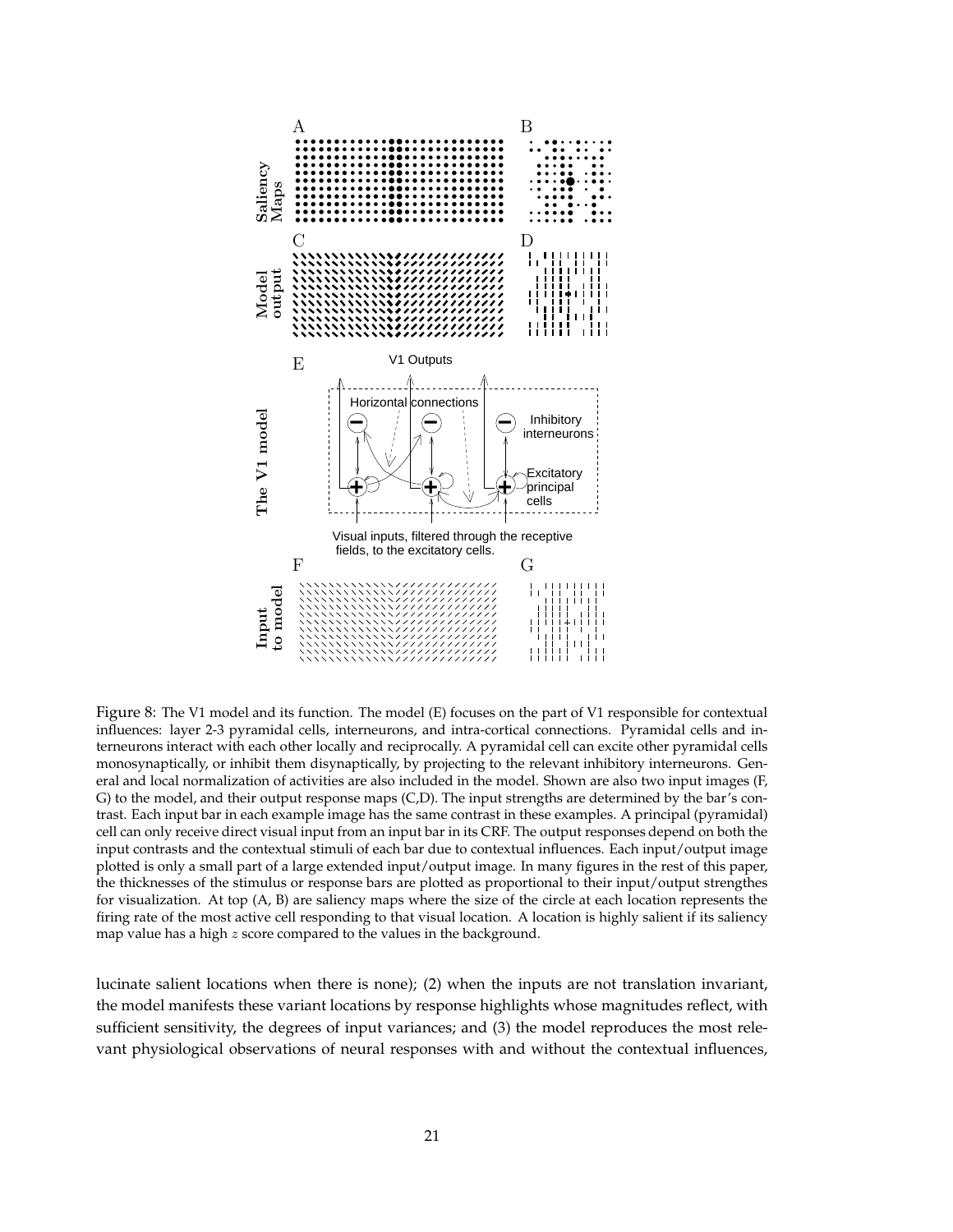

Figure 8: The V1 model and its function. The model (E) focuses on the part of V1 responsible for contextual influences: layer 2-3 pyramidal cells, interneurons, and intra-cortical connections. Pyramidal cells and interneurons interact with each other locally and reciprocally. A pyramidal cell can excite other pyramidal cells monosynaptically, or inhibit them disynaptically, by projecting to the relevant inhibitory interneurons. General and local normalization of activities are also included in the model. Shown are also two input images (F, G) to the model, and their output response maps (C,D). The input strengths are determined by the bar's contrast. Each input bar in each example image has the same contrast in these examples. A principal (pyramidal) cell can only receive direct visual input from an input bar in its CRF. The output responses depend on both the input contrasts and the contextual stimuli of each bar due to contextual influences. Each input/output image plotted is only a small part of a large extended input/output image. In many figures in the rest of this paper, the thicknesses of the stimulus or response bars are plotted as proportional to their input/output strengthes for visualization. At top (A, B) are saliency maps where the size of the circle at each location represents the firing rate of the most active cell responding to that visual location. A location is highly salient if its saliency map value has a high z score compared to the values in the background.

lucinate salient locations when there is none); (2) when the inputs are not translation invariant, the model manifests these variant locations by response highlights whose magnitudes reflect, with sufficient sensitivity, the degrees of input variances; and (3) the model reproduces the most relevant physiological observations of neural responses with and without the contextual influences,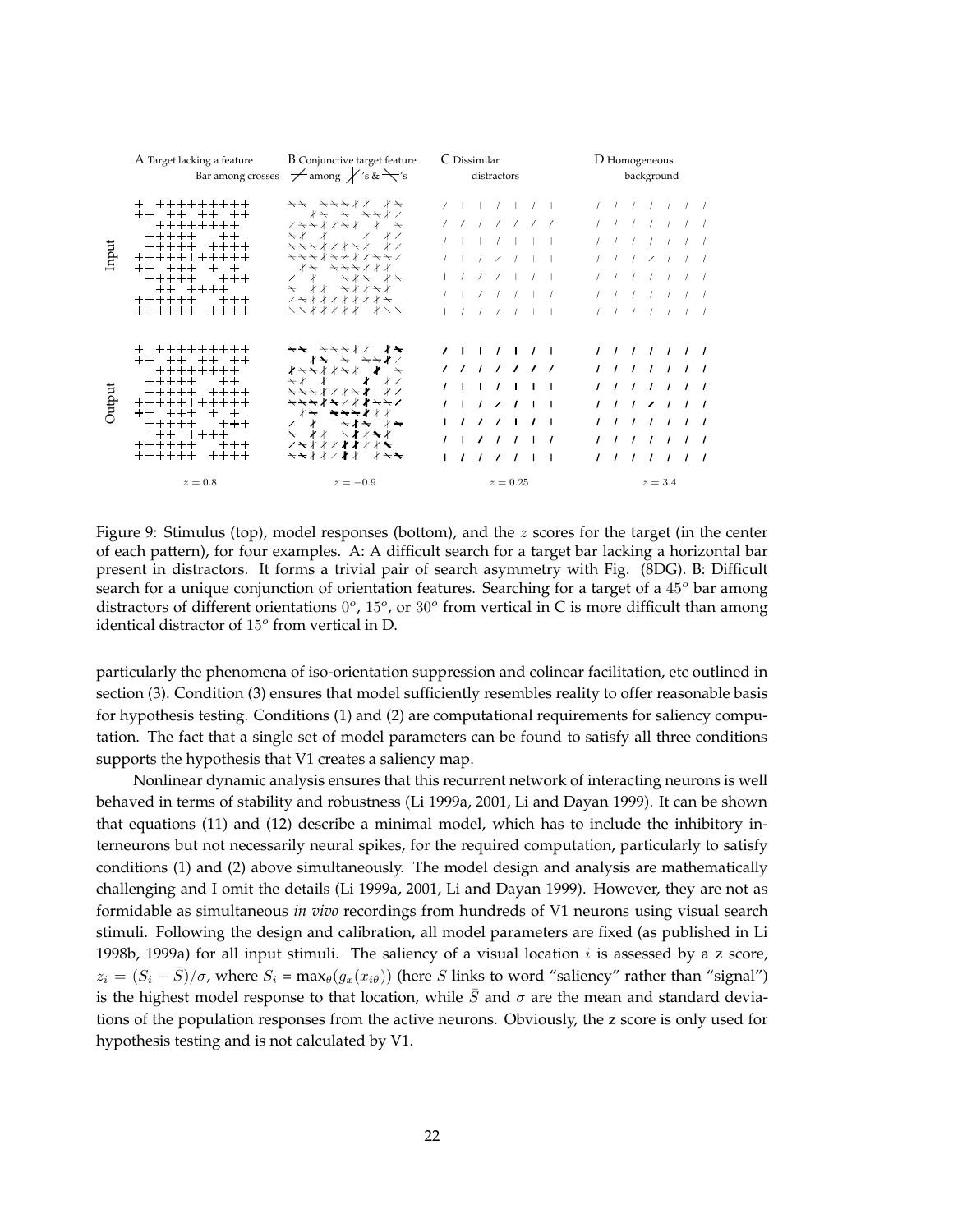|        | A Target lacking a feature                                                                                                                                                                     | <b>B</b> Conjunctive target feature<br>Bar among crosses $\rightarrow$ among $\swarrow$ 's & $\searrow$ 's                                                                                                                                                                                                                    | C Dissimilar<br>distractors                                                                                                                                                                                     | D Homogeneous<br>background                                                                                                                                                                           |
|--------|------------------------------------------------------------------------------------------------------------------------------------------------------------------------------------------------|-------------------------------------------------------------------------------------------------------------------------------------------------------------------------------------------------------------------------------------------------------------------------------------------------------------------------------|-----------------------------------------------------------------------------------------------------------------------------------------------------------------------------------------------------------------|-------------------------------------------------------------------------------------------------------------------------------------------------------------------------------------------------------|
| Input  | + +++++++++<br>++ ++ ++ ++<br>++++++++<br>$+ + + + +$ $+ +$<br>$+ + + + +$ $+ + + +$<br>+++++   +++++<br>$++$ $++$ $+$ $+$<br>$++++++++$<br>$++$ $++$ $++$<br>$+ + + + + +$ +++<br>++++++ ++++ | ナナ ナナナトト トナ<br>ノキ キ キキメイ<br>$x \rightarrow +$<br>$\rightarrow$ $\prime$ $\prime$ $\prime$ $\prime$ $\prime$ $\prime$<br>キチナオオオナ オオ<br>***********<br>メキ キキキメメ<br>$\leftarrow$ $\leftarrow$ $\leftarrow$ $\leftarrow$ $\leftarrow$ $\leftarrow$ $\leftarrow$ $\leftarrow$ $\leftarrow$ $\leftarrow$ $\leftarrow$<br>キナメメメメ メチナ | $7 + 1 + 7 + 7 +$<br>$1 - 1 - 1 - 1 - 1 - 1 - 1$<br>$1 + 1 + 1 + 1 + 1$<br>$1 - 1 - 2 - 1 - 1 - 1$<br>$1$ $1$ $2$ $2$ $1$ $1$<br>$1 \quad 1 \quad 2 \quad 1 \quad 1 \quad 1 \quad 1$<br>$1$ $1$ $1$ $2$ $1$ $1$ | $1$ $1$ $1$ $1$ $1$ $1$<br>$I = I - I - I - I - I - I$<br>$I = I - I - I - I - I - I$<br>$1$ $1$ $1$ $2$ $1$ $1$ $1$<br>$1$ $1$ $1$ $1$ $1$ $1$<br>$1$ $1$ $1$ $1$ $1$ $1$<br>$1$ $1$ $1$ $1$ $1$ $1$ |
| Output | + +++++++++<br>$++$ $++$ $++$ $++$<br>++++++++<br>$++++$ ++<br>+++++ + + + + + +<br>$++$ $++$ $++$ $+$<br>+++++ +++<br>$++ + + + + +$<br>++++++ +++<br>$+ + + + + +$ ++++                      | $\star\star$ $\star\star\star$ / $\star\star$<br>∤ <del>ヽ</del> ヽ/ / ヽ/  ★<br>トイン オンオンオンオフト オンオフト オンマイ おおし おおし おおし かいしゃ<br><del>ヽヽヽ</del> ∤∤∤ <del>ヽ</del> ∤ ∤∤<br><b>`````````</b> ``<br>∦ <del>⋋</del> ★★★∤∤∤<br><del>ヽ</del> ∤∤ <del>ヽ</del> ∤∤★∤<br><b>メートメインメイント</b><br>★★**/#* *★★                                      | 1 1 1 1 1 1 1 1<br>1 1 1 1 1 1 1<br>1 1 1 1 1 1 1<br>1 1 7 7 1 1 1<br>$1$ / / / 1 / 1<br>1 1 2 1 1 1 1<br>$1$ <i>1 1 1 1</i> 1 1                                                                                | 1 1 1 1 1 1 1<br>1 1 1 1 1 1 1<br>1 1 1 1 1 1 1<br>1117111<br>1 1 1 1 1 1 1<br>1 1 1 1 1 1 1<br>1 1 1 1 1 1 1                                                                                         |
|        | $z=0.8$                                                                                                                                                                                        | $z=-0.9$                                                                                                                                                                                                                                                                                                                      | $z=0.25$                                                                                                                                                                                                        | $z=3.4$                                                                                                                                                                                               |

Figure 9: Stimulus (top), model responses (bottom), and the z scores for the target (in the center of each pattern), for four examples. A: A difficult search for a target bar lacking a horizontal bar present in distractors. It forms a trivial pair of search asymmetry with Fig. (8DG). B: Difficult search for a unique conjunction of orientation features. Searching for a target of a  $45^{\circ}$  bar among distractors of different orientations  $0^{\circ}$ ,  $15^{\circ}$ , or  $30^{\circ}$  from vertical in C is more difficult than among identical distractor of  $15^{\circ}$  from vertical in D.

particularly the phenomena of iso-orientation suppression and colinear facilitation, etc outlined in section (3). Condition (3) ensures that model sufficiently resembles reality to offer reasonable basis for hypothesis testing. Conditions (1) and (2) are computational requirements for saliency computation. The fact that a single set of model parameters can be found to satisfy all three conditions supports the hypothesis that V1 creates a saliency map.

Nonlinear dynamic analysis ensures that this recurrent network of interacting neurons is well behaved in terms of stability and robustness (Li 1999a, 2001, Li and Dayan 1999). It can be shown that equations (11) and (12) describe a minimal model, which has to include the inhibitory interneurons but not necessarily neural spikes, for the required computation, particularly to satisfy conditions (1) and (2) above simultaneously. The model design and analysis are mathematically challenging and I omit the details (Li 1999a, 2001, Li and Dayan 1999). However, they are not as formidable as simultaneous *in vivo* recordings from hundreds of V1 neurons using visual search stimuli. Following the design and calibration, all model parameters are fixed (as published in Li 1998b, 1999a) for all input stimuli. The saliency of a visual location  $i$  is assessed by a z score,  $z_i = (S_i - S)/\sigma$ , where  $S_i = \max_{\theta}(g_x(x_{i\theta}))$  (here S links to word "saliency" rather than "signal") is the highest model response to that location, while  $\bar{S}$  and  $\sigma$  are the mean and standard deviations of the population responses from the active neurons. Obviously, the z score is only used for hypothesis testing and is not calculated by V1.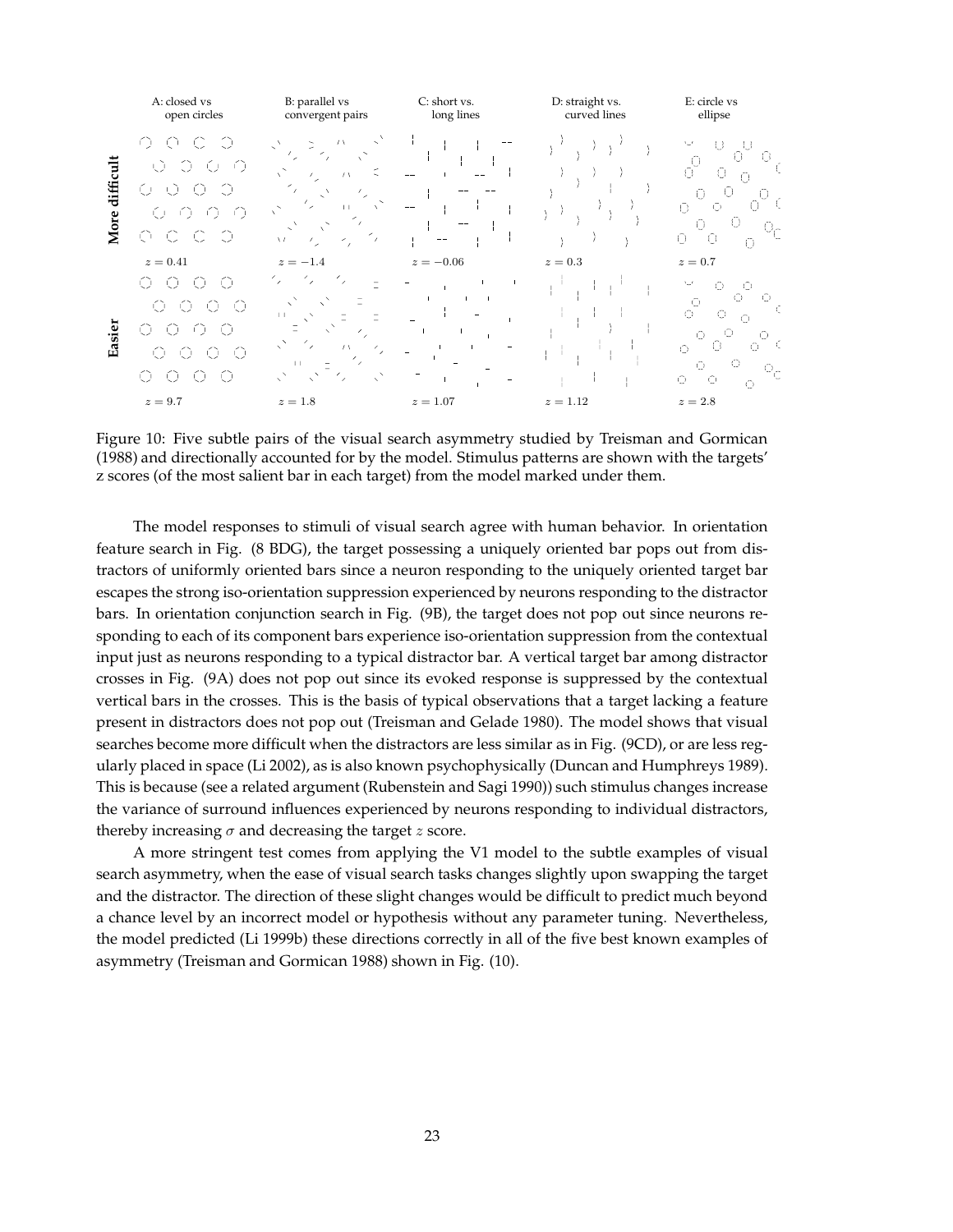

Figure 10: Five subtle pairs of the visual search asymmetry studied by Treisman and Gormican (1988) and directionally accounted for by the model. Stimulus patterns are shown with the targets' z scores (of the most salient bar in each target) from the model marked under them.

The model responses to stimuli of visual search agree with human behavior. In orientation feature search in Fig. (8 BDG), the target possessing a uniquely oriented bar pops out from distractors of uniformly oriented bars since a neuron responding to the uniquely oriented target bar escapes the strong iso-orientation suppression experienced by neurons responding to the distractor bars. In orientation conjunction search in Fig. (9B), the target does not pop out since neurons responding to each of its component bars experience iso-orientation suppression from the contextual input just as neurons responding to a typical distractor bar. A vertical target bar among distractor crosses in Fig. (9A) does not pop out since its evoked response is suppressed by the contextual vertical bars in the crosses. This is the basis of typical observations that a target lacking a feature present in distractors does not pop out (Treisman and Gelade 1980). The model shows that visual searches become more difficult when the distractors are less similar as in Fig. (9CD), or are less regularly placed in space (Li 2002), as is also known psychophysically (Duncan and Humphreys 1989). This is because (see a related argument (Rubenstein and Sagi 1990)) such stimulus changes increase the variance of surround influences experienced by neurons responding to individual distractors, thereby increasing  $\sigma$  and decreasing the target z score.

A more stringent test comes from applying the V1 model to the subtle examples of visual search asymmetry, when the ease of visual search tasks changes slightly upon swapping the target and the distractor. The direction of these slight changes would be difficult to predict much beyond a chance level by an incorrect model or hypothesis without any parameter tuning. Nevertheless, the model predicted (Li 1999b) these directions correctly in all of the five best known examples of asymmetry (Treisman and Gormican 1988) shown in Fig. (10).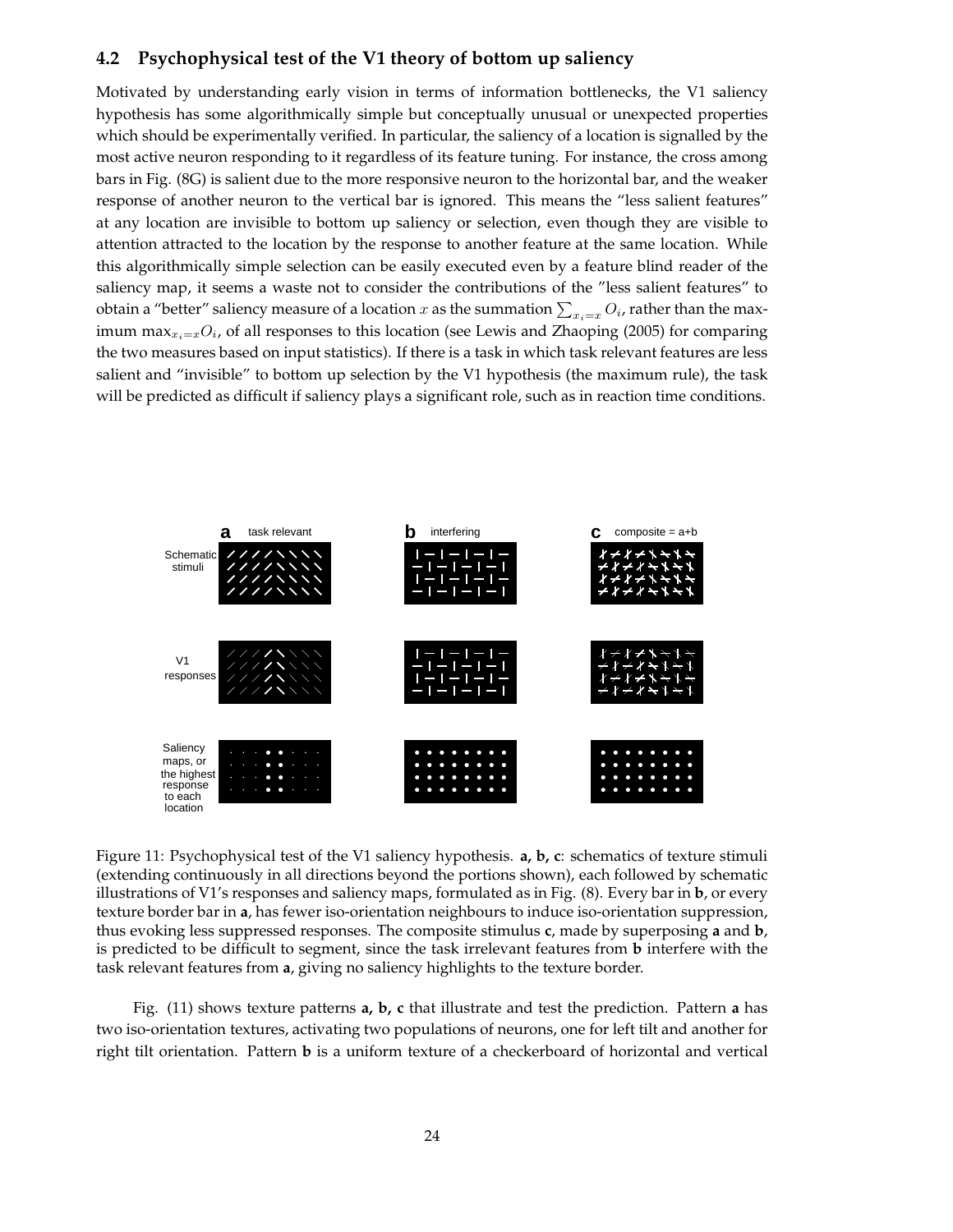## **4.2 Psychophysical test of the V1 theory of bottom up saliency**

Motivated by understanding early vision in terms of information bottlenecks, the V1 saliency hypothesis has some algorithmically simple but conceptually unusual or unexpected properties which should be experimentally verified. In particular, the saliency of a location is signalled by the most active neuron responding to it regardless of its feature tuning. For instance, the cross among bars in Fig. (8G) is salient due to the more responsive neuron to the horizontal bar, and the weaker response of another neuron to the vertical bar is ignored. This means the "less salient features" at any location are invisible to bottom up saliency or selection, even though they are visible to attention attracted to the location by the response to another feature at the same location. While this algorithmically simple selection can be easily executed even by a feature blind reader of the saliency map, it seems a waste not to consider the contributions of the "less salient features" to obtain a "better" saliency measure of a location  $x$  as the summation  $\sum_{x_i=x} O_i$ , rather than the maximum max $_{x_i=x}O_i$ , of all responses to this location (see Lewis and Zhaoping (2005) for comparing the two measures based on input statistics). If there is a task in which task relevant features are less salient and "invisible" to bottom up selection by the V1 hypothesis (the maximum rule), the task will be predicted as difficult if saliency plays a significant role, such as in reaction time conditions.



Figure 11: Psychophysical test of the V1 saliency hypothesis. **a, b, c**: schematics of texture stimuli (extending continuously in all directions beyond the portions shown), each followed by schematic illustrations of V1's responses and saliency maps, formulated as in Fig. (8). Every bar in **b**, or every texture border bar in **a**, has fewer iso-orientation neighbours to induce iso-orientation suppression, thus evoking less suppressed responses. The composite stimulus **c**, made by superposing **a** and **b**, is predicted to be difficult to segment, since the task irrelevant features from **b** interfere with the task relevant features from **a**, giving no saliency highlights to the texture border.

Fig. (11) shows texture patterns **a, b, c** that illustrate and test the prediction. Pattern **a** has two iso-orientation textures, activating two populations of neurons, one for left tilt and another for right tilt orientation. Pattern **b** is a uniform texture of a checkerboard of horizontal and vertical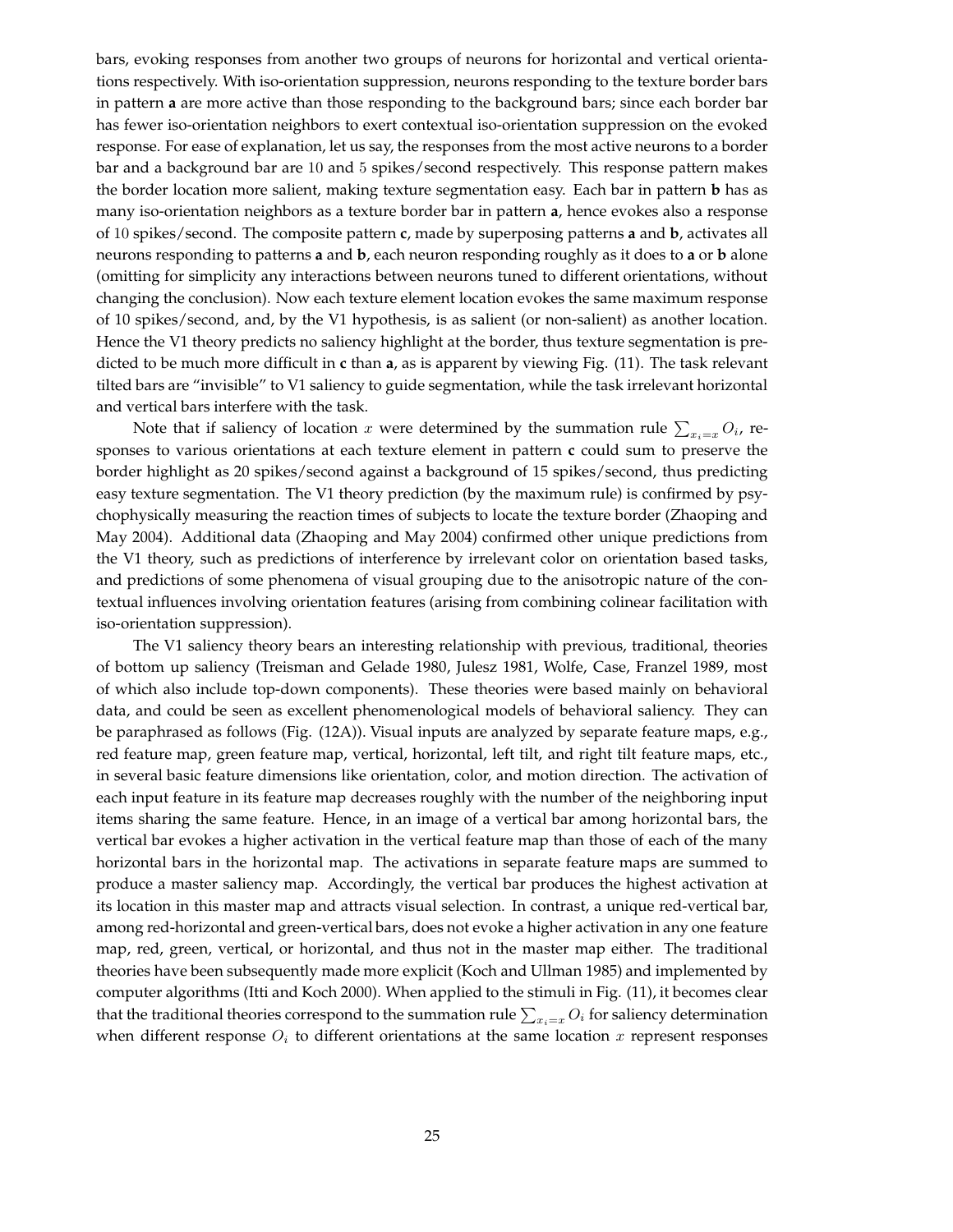bars, evoking responses from another two groups of neurons for horizontal and vertical orientations respectively. With iso-orientation suppression, neurons responding to the texture border bars in pattern **a** are more active than those responding to the background bars; since each border bar has fewer iso-orientation neighbors to exert contextual iso-orientation suppression on the evoked response. For ease of explanation, let us say, the responses from the most active neurons to a border bar and a background bar are 10 and 5 spikes/second respectively. This response pattern makes the border location more salient, making texture segmentation easy. Each bar in pattern **b** has as many iso-orientation neighbors as a texture border bar in pattern **a**, hence evokes also a response of 10 spikes/second. The composite pattern **c**, made by superposing patterns **a** and **b**, activates all neurons responding to patterns **a** and **b**, each neuron responding roughly as it does to **a** or **b** alone (omitting for simplicity any interactions between neurons tuned to different orientations, without changing the conclusion). Now each texture element location evokes the same maximum response of 10 spikes/second, and, by the V1 hypothesis, is as salient (or non-salient) as another location. Hence the V1 theory predicts no saliency highlight at the border, thus texture segmentation is predicted to be much more difficult in **c** than **a**, as is apparent by viewing Fig. (11). The task relevant tilted bars are "invisible" to V1 saliency to guide segmentation, while the task irrelevant horizontal and vertical bars interfere with the task.

Note that if saliency of location  $x$  were determined by the summation rule  $\sum_{x_i=x} O_i$ , responses to various orientations at each texture element in pattern **c** could sum to preserve the border highlight as 20 spikes/second against a background of 15 spikes/second, thus predicting easy texture segmentation. The V1 theory prediction (by the maximum rule) is confirmed by psychophysically measuring the reaction times of subjects to locate the texture border (Zhaoping and May 2004). Additional data (Zhaoping and May 2004) confirmed other unique predictions from the V1 theory, such as predictions of interference by irrelevant color on orientation based tasks, and predictions of some phenomena of visual grouping due to the anisotropic nature of the contextual influences involving orientation features (arising from combining colinear facilitation with iso-orientation suppression).

The V1 saliency theory bears an interesting relationship with previous, traditional, theories of bottom up saliency (Treisman and Gelade 1980, Julesz 1981, Wolfe, Case, Franzel 1989, most of which also include top-down components). These theories were based mainly on behavioral data, and could be seen as excellent phenomenological models of behavioral saliency. They can be paraphrased as follows (Fig. (12A)). Visual inputs are analyzed by separate feature maps, e.g., red feature map, green feature map, vertical, horizontal, left tilt, and right tilt feature maps, etc., in several basic feature dimensions like orientation, color, and motion direction. The activation of each input feature in its feature map decreases roughly with the number of the neighboring input items sharing the same feature. Hence, in an image of a vertical bar among horizontal bars, the vertical bar evokes a higher activation in the vertical feature map than those of each of the many horizontal bars in the horizontal map. The activations in separate feature maps are summed to produce a master saliency map. Accordingly, the vertical bar produces the highest activation at its location in this master map and attracts visual selection. In contrast, a unique red-vertical bar, among red-horizontal and green-vertical bars, does not evoke a higher activation in any one feature map, red, green, vertical, or horizontal, and thus not in the master map either. The traditional theories have been subsequently made more explicit (Koch and Ullman 1985) and implemented by computer algorithms (Itti and Koch 2000). When applied to the stimuli in Fig. (11), it becomes clear that the traditional theories correspond to the summation rule  $\sum_{x_i=x} O_i$  for saliency determination when different response  $O_i$  to different orientations at the same location x represent responses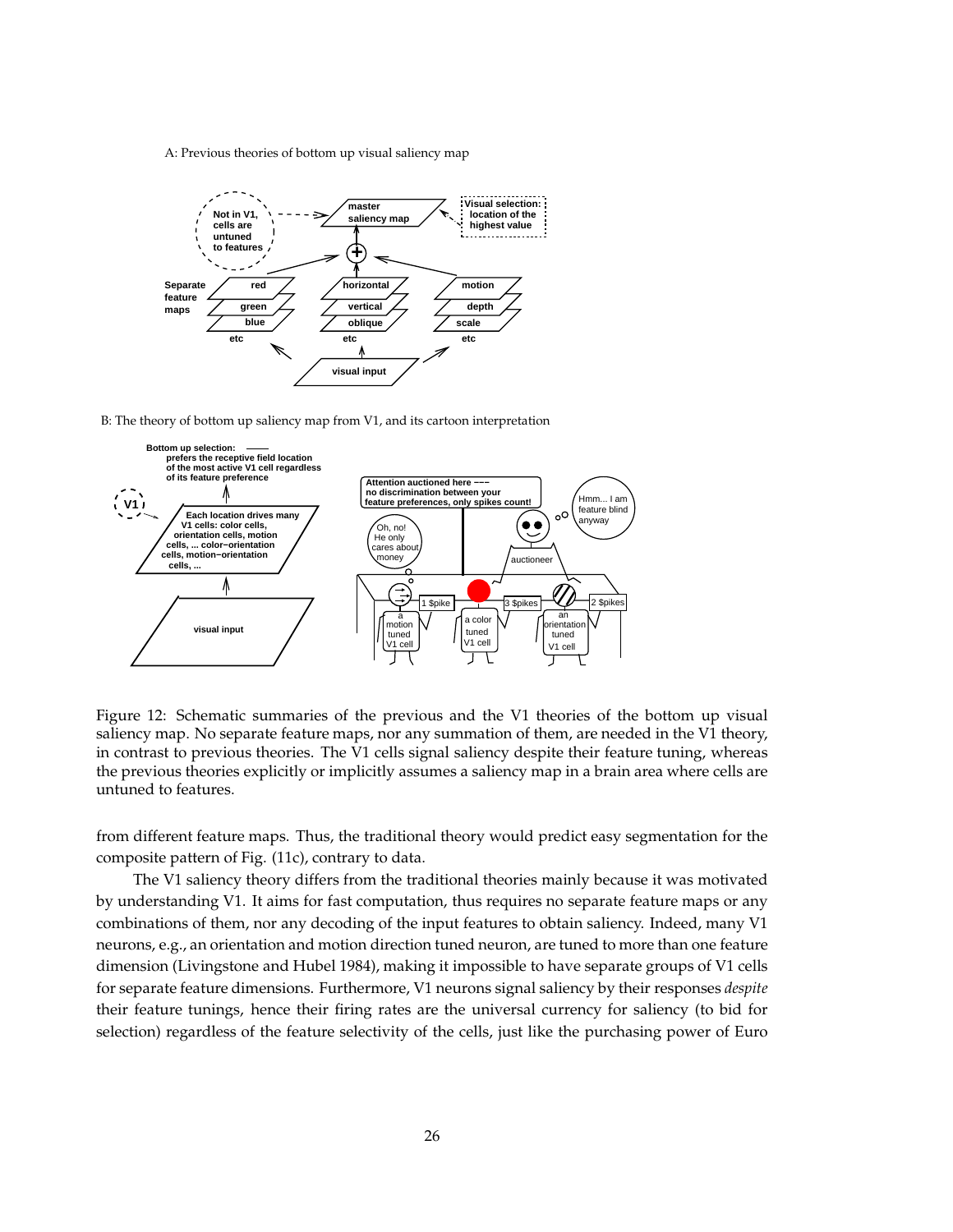A: Previous theories of bottom up visual saliency map



B: The theory of bottom up saliency map from V1, and its cartoon interpretation



Figure 12: Schematic summaries of the previous and the V1 theories of the bottom up visual saliency map. No separate feature maps, nor any summation of them, are needed in the V1 theory, in contrast to previous theories. The V1 cells signal saliency despite their feature tuning, whereas the previous theories explicitly or implicitly assumes a saliency map in a brain area where cells are untuned to features.

from different feature maps. Thus, the traditional theory would predict easy segmentation for the composite pattern of Fig. (11c), contrary to data.

The V1 saliency theory differs from the traditional theories mainly because it was motivated by understanding V1. It aims for fast computation, thus requires no separate feature maps or any combinations of them, nor any decoding of the input features to obtain saliency. Indeed, many V1 neurons, e.g., an orientation and motion direction tuned neuron, are tuned to more than one feature dimension (Livingstone and Hubel 1984), making it impossible to have separate groups of V1 cells for separate feature dimensions. Furthermore, V1 neurons signal saliency by their responses *despite* their feature tunings, hence their firing rates are the universal currency for saliency (to bid for selection) regardless of the feature selectivity of the cells, just like the purchasing power of Euro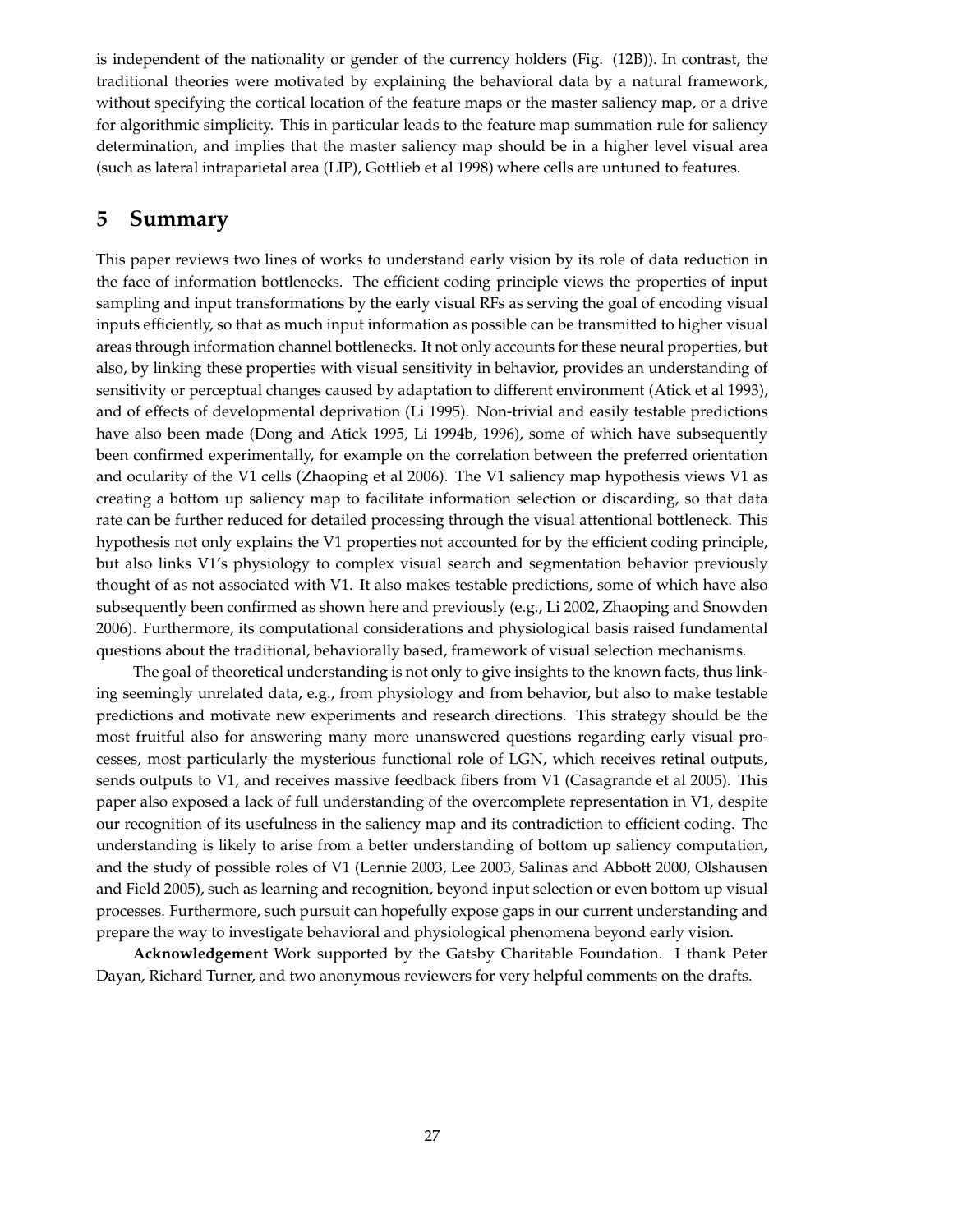is independent of the nationality or gender of the currency holders (Fig. (12B)). In contrast, the traditional theories were motivated by explaining the behavioral data by a natural framework, without specifying the cortical location of the feature maps or the master saliency map, or a drive for algorithmic simplicity. This in particular leads to the feature map summation rule for saliency determination, and implies that the master saliency map should be in a higher level visual area (such as lateral intraparietal area (LIP), Gottlieb et al 1998) where cells are untuned to features.

## **5 Summary**

This paper reviews two lines of works to understand early vision by its role of data reduction in the face of information bottlenecks. The efficient coding principle views the properties of input sampling and input transformations by the early visual RFs as serving the goal of encoding visual inputs efficiently, so that as much input information as possible can be transmitted to higher visual areas through information channel bottlenecks. It not only accounts for these neural properties, but also, by linking these properties with visual sensitivity in behavior, provides an understanding of sensitivity or perceptual changes caused by adaptation to different environment (Atick et al 1993), and of effects of developmental deprivation (Li 1995). Non-trivial and easily testable predictions have also been made (Dong and Atick 1995, Li 1994b, 1996), some of which have subsequently been confirmed experimentally, for example on the correlation between the preferred orientation and ocularity of the V1 cells (Zhaoping et al 2006). The V1 saliency map hypothesis views V1 as creating a bottom up saliency map to facilitate information selection or discarding, so that data rate can be further reduced for detailed processing through the visual attentional bottleneck. This hypothesis not only explains the V1 properties not accounted for by the efficient coding principle, but also links V1's physiology to complex visual search and segmentation behavior previously thought of as not associated with V1. It also makes testable predictions, some of which have also subsequently been confirmed as shown here and previously (e.g., Li 2002, Zhaoping and Snowden 2006). Furthermore, its computational considerations and physiological basis raised fundamental questions about the traditional, behaviorally based, framework of visual selection mechanisms.

The goal of theoretical understanding is not only to give insights to the known facts, thus linking seemingly unrelated data, e.g., from physiology and from behavior, but also to make testable predictions and motivate new experiments and research directions. This strategy should be the most fruitful also for answering many more unanswered questions regarding early visual processes, most particularly the mysterious functional role of LGN, which receives retinal outputs, sends outputs to V1, and receives massive feedback fibers from V1 (Casagrande et al 2005). This paper also exposed a lack of full understanding of the overcomplete representation in V1, despite our recognition of its usefulness in the saliency map and its contradiction to efficient coding. The understanding is likely to arise from a better understanding of bottom up saliency computation, and the study of possible roles of V1 (Lennie 2003, Lee 2003, Salinas and Abbott 2000, Olshausen and Field 2005), such as learning and recognition, beyond input selection or even bottom up visual processes. Furthermore, such pursuit can hopefully expose gaps in our current understanding and prepare the way to investigate behavioral and physiological phenomena beyond early vision.

**Acknowledgement** Work supported by the Gatsby Charitable Foundation. I thank Peter Dayan, Richard Turner, and two anonymous reviewers for very helpful comments on the drafts.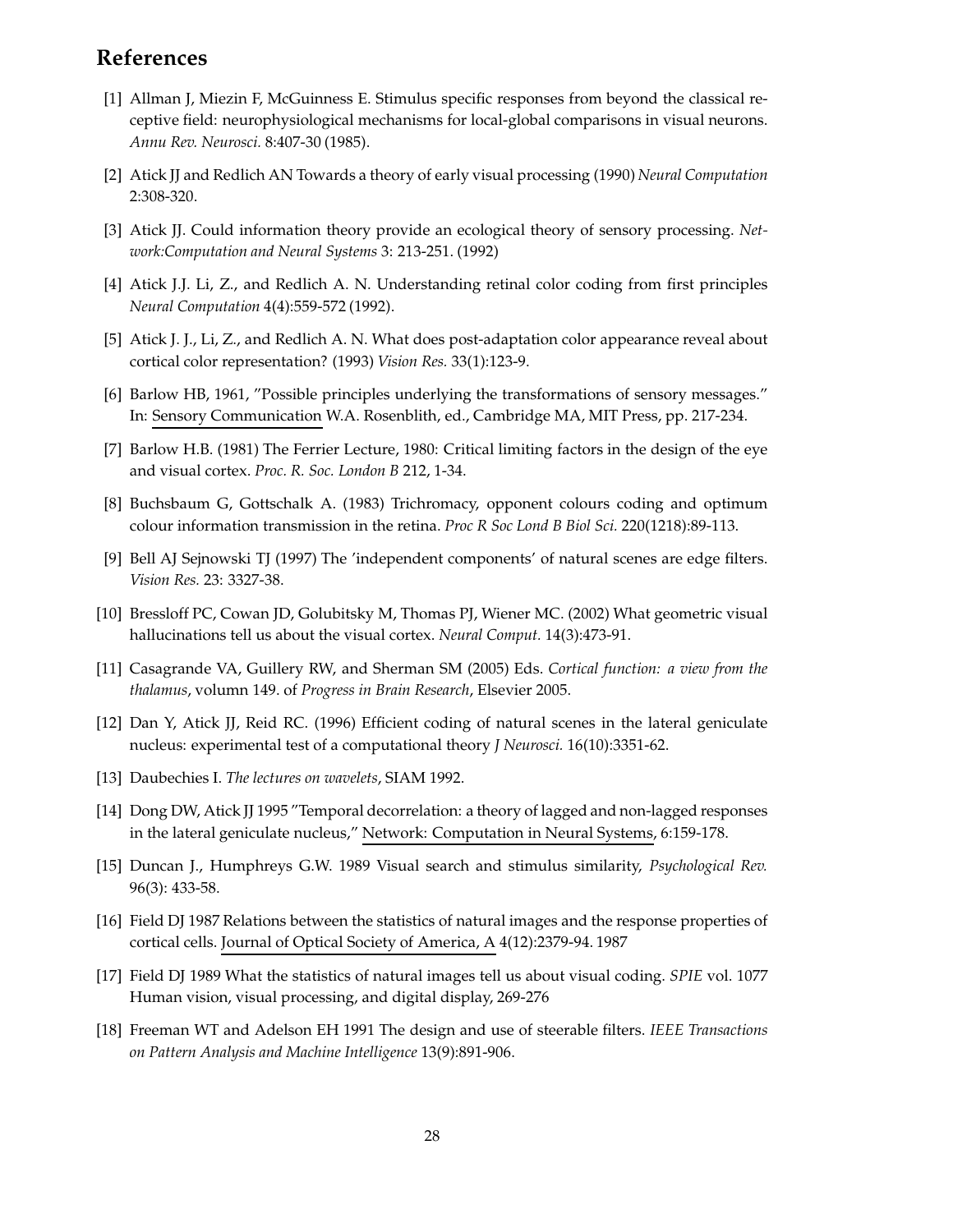# **References**

- [1] Allman J, Miezin F, McGuinness E. Stimulus specific responses from beyond the classical receptive field: neurophysiological mechanisms for local-global comparisons in visual neurons. *Annu Rev. Neurosci.* 8:407-30 (1985).
- [2] Atick JJ and Redlich AN Towards a theory of early visual processing (1990) *Neural Computation* 2:308-320.
- [3] Atick JJ. Could information theory provide an ecological theory of sensory processing. *Network:Computation and Neural Systems* 3: 213-251. (1992)
- [4] Atick J.J. Li, Z., and Redlich A. N. Understanding retinal color coding from first principles *Neural Computation* 4(4):559-572 (1992).
- [5] Atick J. J., Li, Z., and Redlich A. N. What does post-adaptation color appearance reveal about cortical color representation? (1993) *Vision Res.* 33(1):123-9.
- [6] Barlow HB, 1961, "Possible principles underlying the transformations of sensory messages." In: Sensory Communication W.A. Rosenblith, ed., Cambridge MA, MIT Press, pp. 217-234.
- [7] Barlow H.B. (1981) The Ferrier Lecture, 1980: Critical limiting factors in the design of the eye and visual cortex. *Proc. R. Soc. London B* 212, 1-34.
- [8] Buchsbaum G, Gottschalk A. (1983) Trichromacy, opponent colours coding and optimum colour information transmission in the retina. *Proc R Soc Lond B Biol Sci.* 220(1218):89-113.
- [9] Bell AJ Sejnowski TJ (1997) The 'independent components' of natural scenes are edge filters. *Vision Res.* 23: 3327-38.
- [10] Bressloff PC, Cowan JD, Golubitsky M, Thomas PJ, Wiener MC. (2002) What geometric visual hallucinations tell us about the visual cortex. *Neural Comput.* 14(3):473-91.
- [11] Casagrande VA, Guillery RW, and Sherman SM (2005) Eds. *Cortical function: a view from the thalamus*, volumn 149. of *Progress in Brain Research*, Elsevier 2005.
- [12] Dan Y, Atick JJ, Reid RC. (1996) Efficient coding of natural scenes in the lateral geniculate nucleus: experimental test of a computational theory *J Neurosci.* 16(10):3351-62.
- [13] Daubechies I. *The lectures on wavelets*, SIAM 1992.
- [14] Dong DW, Atick JJ 1995 "Temporal decorrelation: a theory of lagged and non-lagged responses in the lateral geniculate nucleus," Network: Computation in Neural Systems, 6:159-178.
- [15] Duncan J., Humphreys G.W. 1989 Visual search and stimulus similarity, *Psychological Rev.* 96(3): 433-58.
- [16] Field DJ 1987 Relations between the statistics of natural images and the response properties of cortical cells. Journal of Optical Society of America, A 4(12):2379-94. 1987
- [17] Field DJ 1989 What the statistics of natural images tell us about visual coding. *SPIE* vol. 1077 Human vision, visual processing, and digital display, 269-276
- [18] Freeman WT and Adelson EH 1991 The design and use of steerable filters. *IEEE Transactions on Pattern Analysis and Machine Intelligence* 13(9):891-906.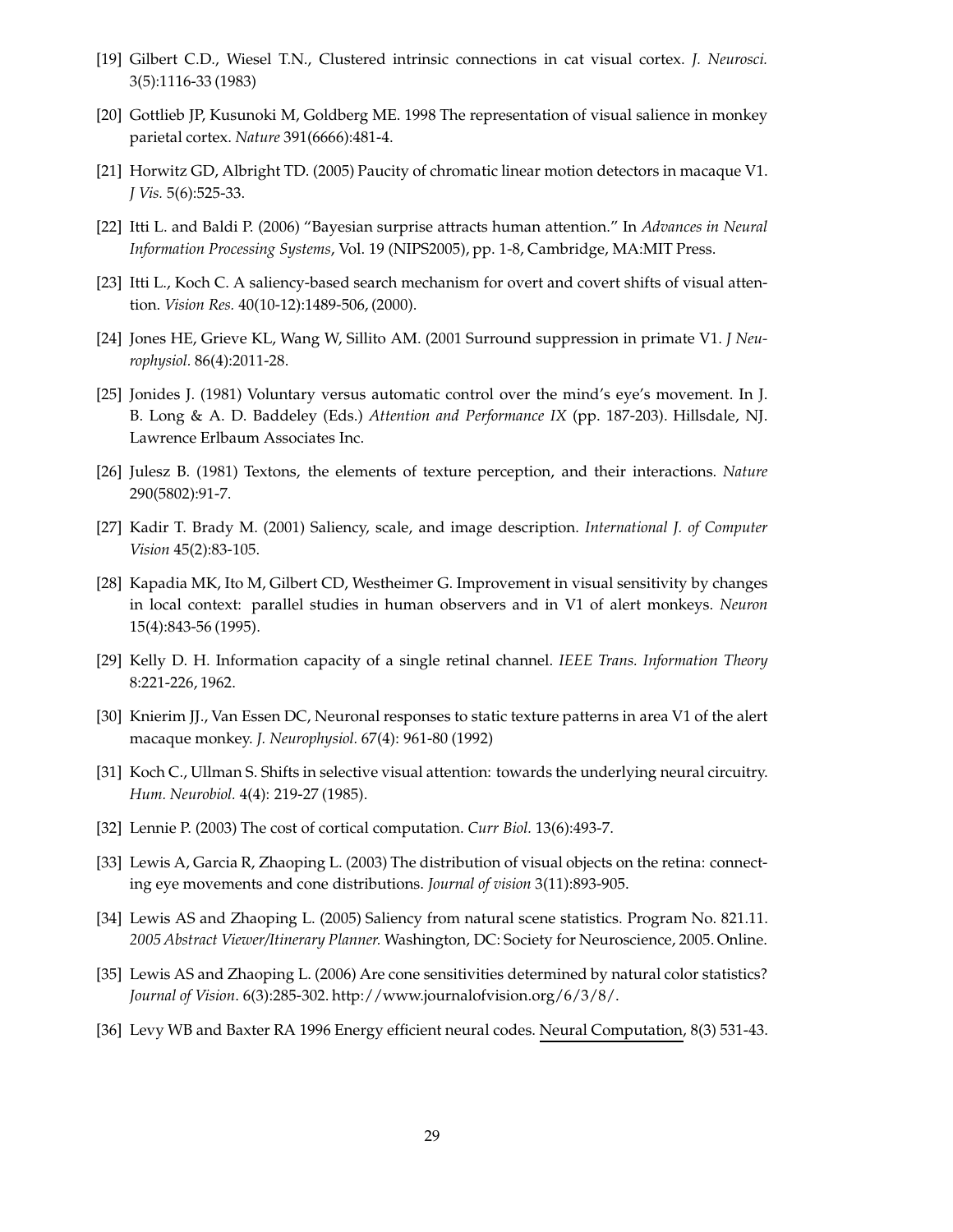- [19] Gilbert C.D., Wiesel T.N., Clustered intrinsic connections in cat visual cortex. *J. Neurosci.* 3(5):1116-33 (1983)
- [20] Gottlieb JP, Kusunoki M, Goldberg ME. 1998 The representation of visual salience in monkey parietal cortex. *Nature* 391(6666):481-4.
- [21] Horwitz GD, Albright TD. (2005) Paucity of chromatic linear motion detectors in macaque V1. *J Vis.* 5(6):525-33.
- [22] Itti L. and Baldi P. (2006) "Bayesian surprise attracts human attention." In *Advances in Neural Information Processing Systems*, Vol. 19 (NIPS2005), pp. 1-8, Cambridge, MA:MIT Press.
- [23] Itti L., Koch C. A saliency-based search mechanism for overt and covert shifts of visual attention. *Vision Res.* 40(10-12):1489-506, (2000).
- [24] Jones HE, Grieve KL, Wang W, Sillito AM. (2001 Surround suppression in primate V1. *J Neurophysiol.* 86(4):2011-28.
- [25] Jonides J. (1981) Voluntary versus automatic control over the mind's eye's movement. In J. B. Long & A. D. Baddeley (Eds.) *Attention and Performance IX* (pp. 187-203). Hillsdale, NJ. Lawrence Erlbaum Associates Inc.
- [26] Julesz B. (1981) Textons, the elements of texture perception, and their interactions. *Nature* 290(5802):91-7.
- [27] Kadir T. Brady M. (2001) Saliency, scale, and image description. *International J. of Computer Vision* 45(2):83-105.
- [28] Kapadia MK, Ito M, Gilbert CD, Westheimer G. Improvement in visual sensitivity by changes in local context: parallel studies in human observers and in V1 of alert monkeys. *Neuron* 15(4):843-56 (1995).
- [29] Kelly D. H. Information capacity of a single retinal channel. *IEEE Trans. Information Theory* 8:221-226, 1962.
- [30] Knierim JJ., Van Essen DC, Neuronal responses to static texture patterns in area V1 of the alert macaque monkey. *J. Neurophysiol.* 67(4): 961-80 (1992)
- [31] Koch C., Ullman S. Shifts in selective visual attention: towards the underlying neural circuitry. *Hum. Neurobiol.* 4(4): 219-27 (1985).
- [32] Lennie P. (2003) The cost of cortical computation. *Curr Biol.* 13(6):493-7.
- [33] Lewis A, Garcia R, Zhaoping L. (2003) The distribution of visual objects on the retina: connecting eye movements and cone distributions. *Journal of vision* 3(11):893-905.
- [34] Lewis AS and Zhaoping L. (2005) Saliency from natural scene statistics. Program No. 821.11. *2005 Abstract Viewer/Itinerary Planner.* Washington, DC: Society for Neuroscience, 2005. Online.
- [35] Lewis AS and Zhaoping L. (2006) Are cone sensitivities determined by natural color statistics? *Journal of Vision*. 6(3):285-302. http://www.journalofvision.org/6/3/8/.
- [36] Levy WB and Baxter RA 1996 Energy efficient neural codes. Neural Computation, 8(3) 531-43.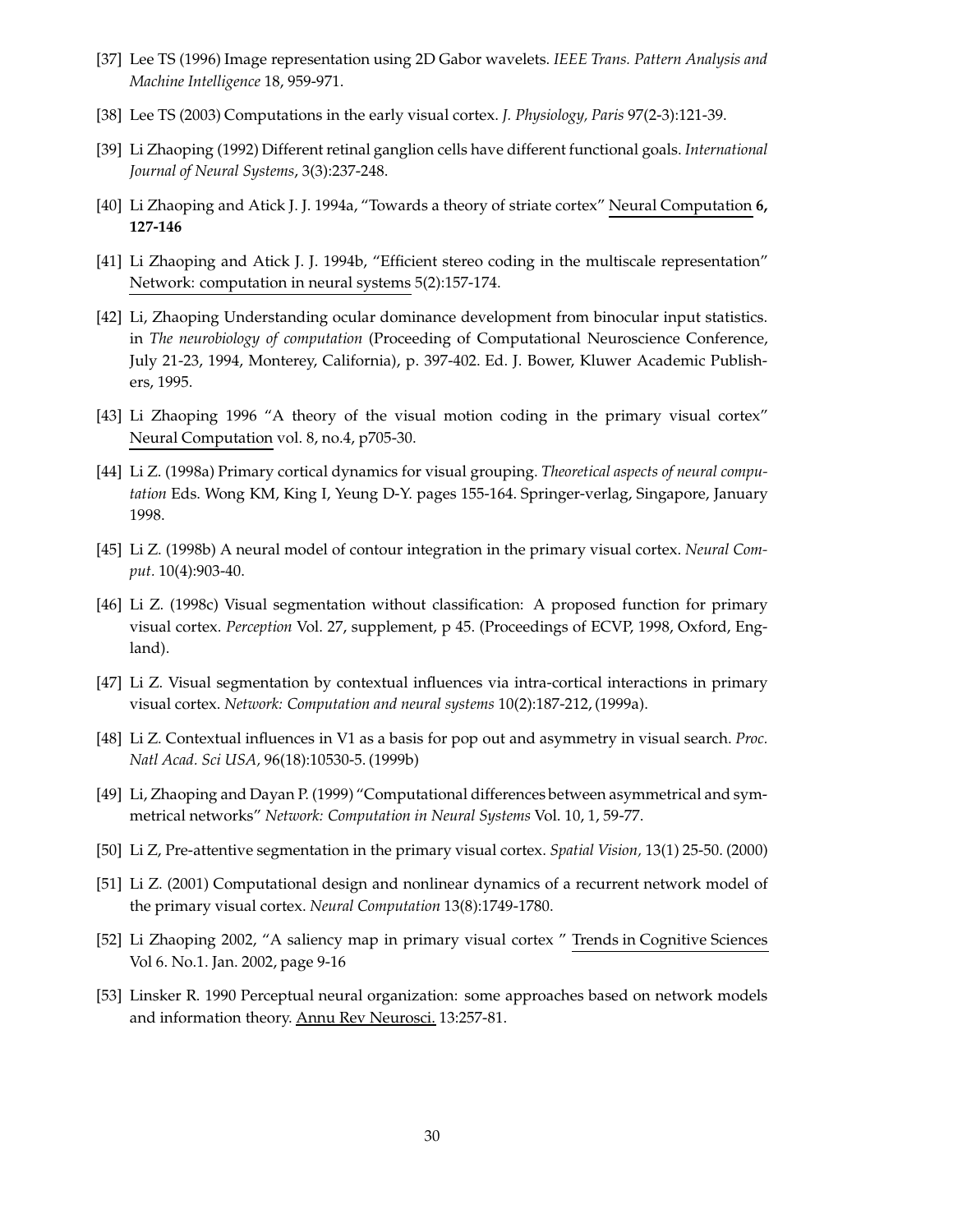- [37] Lee TS (1996) Image representation using 2D Gabor wavelets. *IEEE Trans. Pattern Analysis and Machine Intelligence* 18, 959-971.
- [38] Lee TS (2003) Computations in the early visual cortex. *J. Physiology, Paris* 97(2-3):121-39.
- [39] Li Zhaoping (1992) Differentretinal ganglion cells have different functional goals. *International Journal of Neural Systems*, 3(3):237-248.
- [40] Li Zhaoping and Atick J. J. 1994a, "Towards a theory of striate cortex" Neural Computation **6, 127-146**
- [41] Li Zhaoping and Atick J. J. 1994b, "Efficient stereo coding in the multiscale representation" Network: computation in neural systems 5(2):157-174.
- [42] Li, Zhaoping Understanding ocular dominance development from binocular input statistics. in *The neurobiology of computation* (Proceeding of Computational Neuroscience Conference, July 21-23, 1994, Monterey, California), p. 397-402. Ed. J. Bower, Kluwer Academic Publishers, 1995.
- [43] Li Zhaoping 1996 "A theory of the visual motion coding in the primary visual cortex" Neural Computation vol. 8, no.4, p705-30.
- [44] Li Z. (1998a) Primary cortical dynamics for visual grouping. *Theoretical aspects of neural computation* Eds. Wong KM, King I, Yeung D-Y. pages 155-164. Springer-verlag, Singapore, January 1998.
- [45] Li Z. (1998b) A neural model of contour integration in the primary visual cortex. *Neural Comput.* 10(4):903-40.
- [46] Li Z. (1998c) Visual segmentation without classification: A proposed function for primary visual cortex. *Perception* Vol. 27, supplement, p 45. (Proceedings of ECVP, 1998, Oxford, England).
- [47] Li Z. Visual segmentation by contextual influences via intra-cortical interactions in primary visual cortex. *Network: Computation and neural systems* 10(2):187-212, (1999a).
- [48] Li Z. Contextual influences in V1 as a basis for pop out and asymmetry in visual search. *Proc. Natl Acad. Sci USA,* 96(18):10530-5. (1999b)
- [49] Li, Zhaoping and Dayan P. (1999) "Computational differences between asymmetrical and symmetrical networks" *Network: Computation in Neural Systems* Vol. 10, 1, 59-77.
- [50] Li Z, Pre-attentive segmentation in the primary visual cortex. *Spatial Vision,* 13(1) 25-50. (2000)
- [51] Li Z. (2001) Computational design and nonlinear dynamics of a recurrent network model of the primary visual cortex. *Neural Computation* 13(8):1749-1780.
- [52] Li Zhaoping 2002, "A saliency map in primary visual cortex " Trends in Cognitive Sciences Vol 6. No.1. Jan. 2002, page 9-16
- [53] Linsker R. 1990 Perceptual neural organization: some approaches based on network models and information theory. Annu Rev Neurosci. 13:257-81.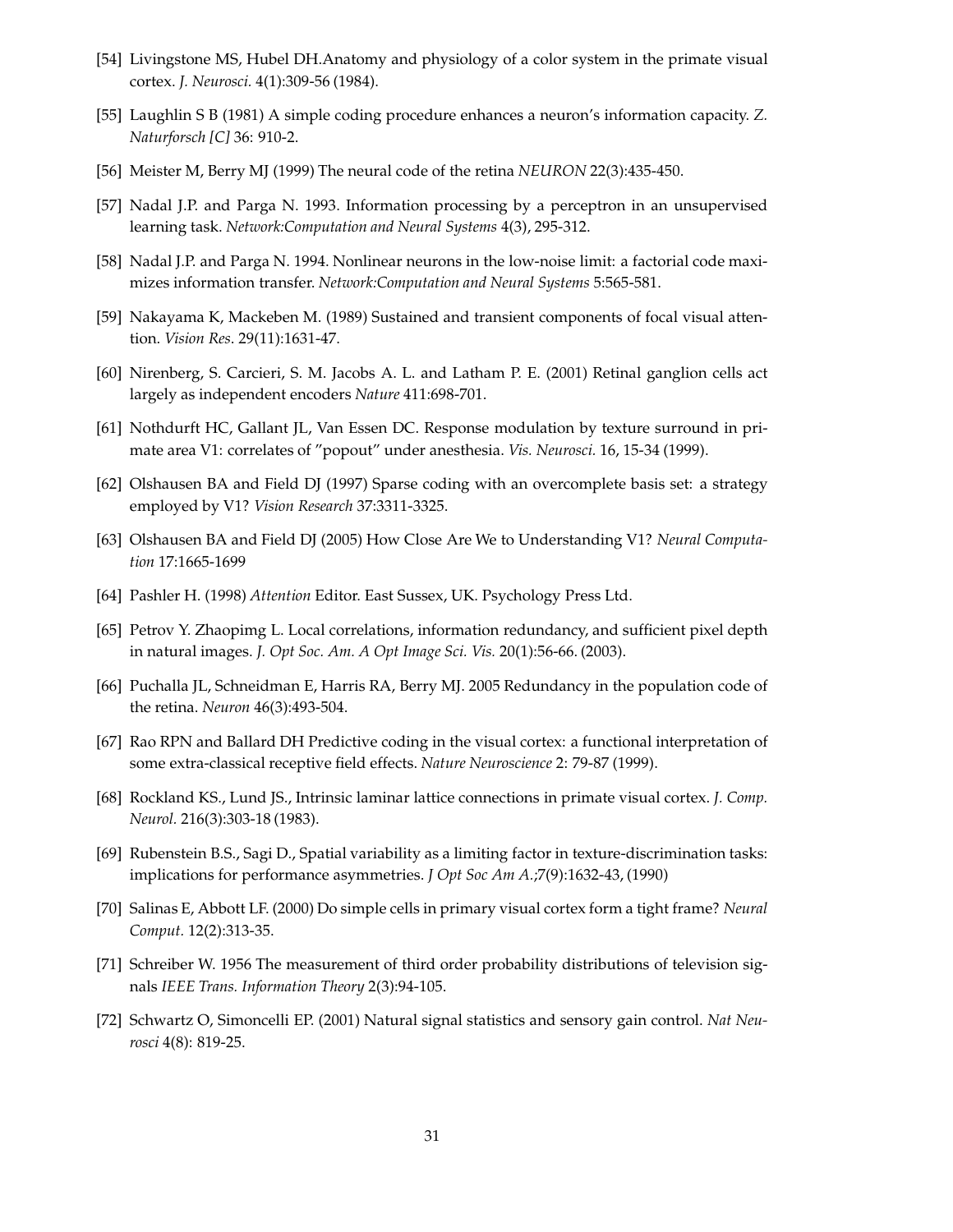- [54] Livingstone MS, Hubel DH.Anatomy and physiology of a color system in the primate visual cortex. *J. Neurosci.* 4(1):309-56 (1984).
- [55] Laughlin S B (1981) A simple coding procedure enhances a neuron's information capacity. *Z. Naturforsch [C]* 36: 910-2.
- [56] Meister M, Berry MJ (1999) The neural code of the retina *NEURON* 22(3):435-450.
- [57] Nadal J.P. and Parga N. 1993. Information processing by a perceptron in an unsupervised learning task. *Network:Computation and Neural Systems* 4(3), 295-312.
- [58] Nadal J.P. and Parga N. 1994. Nonlinear neurons in the low-noise limit: a factorial code maximizes information transfer. *Network:Computation and Neural Systems* 5:565-581.
- [59] Nakayama K, Mackeben M. (1989) Sustained and transient components of focal visual attention. *Vision Res*. 29(11):1631-47.
- [60] Nirenberg, S. Carcieri, S. M. Jacobs A. L. and Latham P. E. (2001) Retinal ganglion cells act largely as independent encoders *Nature* 411:698-701.
- [61] Nothdurft HC, Gallant JL, Van Essen DC. Response modulation by texture surround in primate area V1: correlates of "popout" under anesthesia. *Vis. Neurosci.* 16, 15-34 (1999).
- [62] Olshausen BA and Field DJ (1997) Sparse coding with an overcomplete basis set: a strategy employed by V1? *Vision Research* 37:3311-3325.
- [63] Olshausen BA and Field DJ (2005) How Close Are We to Understanding V1? *Neural Computation* 17:1665-1699
- [64] Pashler H. (1998) *Attention* Editor. East Sussex, UK. Psychology Press Ltd.
- [65] Petrov Y. Zhaopimg L. Local correlations, information redundancy, and sufficient pixel depth in natural images. *J. Opt Soc. Am. A Opt Image Sci. Vis.* 20(1):56-66. (2003).
- [66] Puchalla JL, Schneidman E, Harris RA, Berry MJ. 2005 Redundancy in the population code of the retina. *Neuron* 46(3):493-504.
- [67] Rao RPN and Ballard DH Predictive coding in the visual cortex: a functional interpretation of some extra-classical receptive field effects. *Nature Neuroscience* 2: 79-87 (1999).
- [68] Rockland KS., Lund JS., Intrinsic laminar lattice connections in primate visual cortex. *J. Comp. Neurol.* 216(3):303-18 (1983).
- [69] Rubenstein B.S., Sagi D., Spatial variability as a limiting factor in texture-discrimination tasks: implications for performance asymmetries. *J Opt Soc Am A.*;7(9):1632-43, (1990)
- [70] Salinas E, Abbott LF. (2000) Do simple cells in primary visual cortex form a tight frame? *Neural Comput.* 12(2):313-35.
- [71] Schreiber W. 1956 The measurement of third order probability distributions of television signals *IEEE Trans. Information Theory* 2(3):94-105.
- [72] Schwartz O, Simoncelli EP. (2001) Natural signal statistics and sensory gain control. *Nat Neurosci* 4(8): 819-25.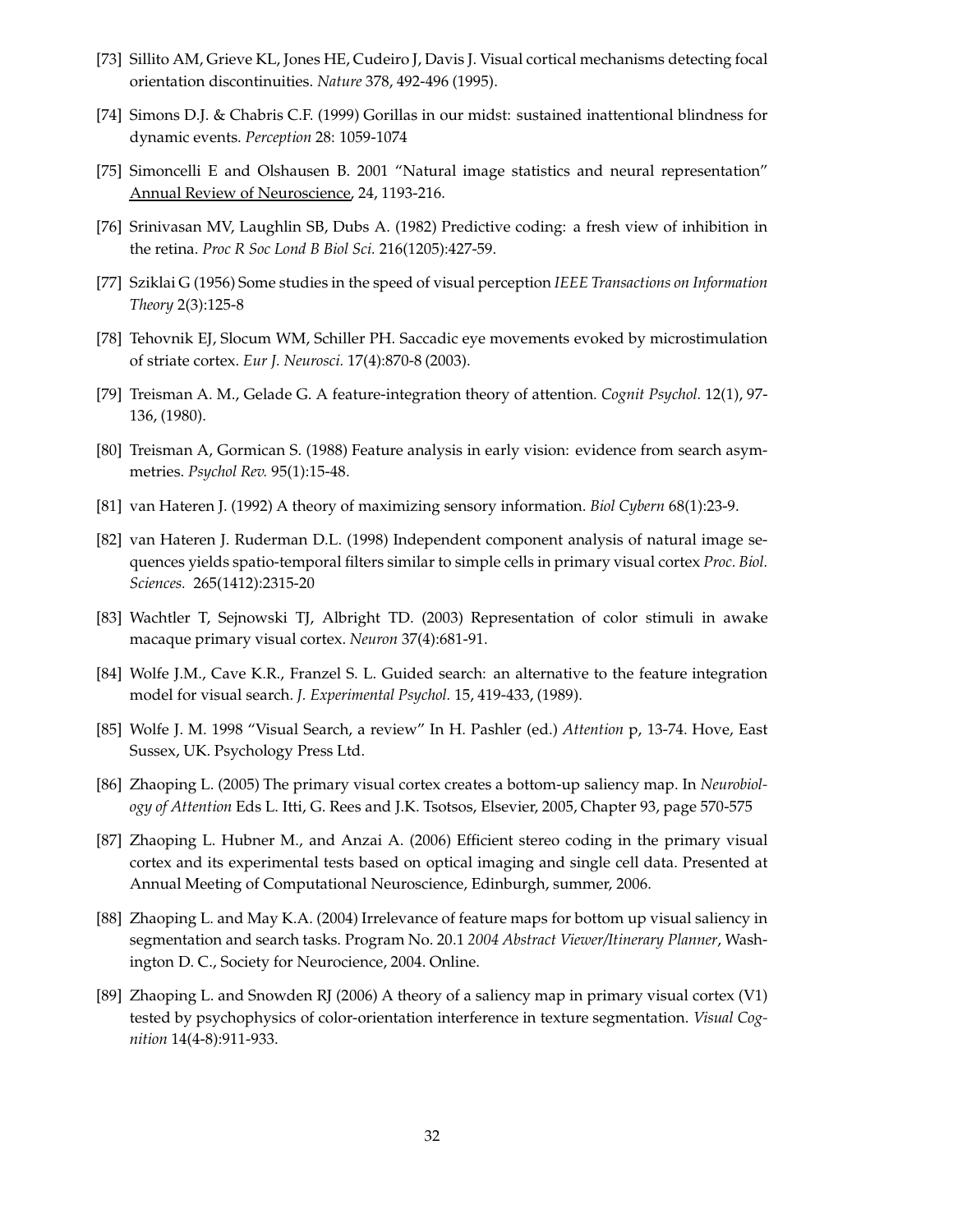- [73] Sillito AM, Grieve KL, Jones HE, Cudeiro J, Davis J. Visual cortical mechanisms detecting focal orientation discontinuities. *Nature* 378, 492-496 (1995).
- [74] Simons D.J. & Chabris C.F. (1999) Gorillas in our midst: sustained inattentional blindness for dynamic events. *Perception* 28: 1059-1074
- [75] Simoncelli E and Olshausen B. 2001 "Natural image statistics and neural representation" Annual Review of Neuroscience, 24, 1193-216.
- [76] Srinivasan MV, Laughlin SB, Dubs A. (1982) Predictive coding: a fresh view of inhibition in the retina. *Proc R Soc Lond B Biol Sci.* 216(1205):427-59.
- [77] Sziklai G (1956) Some studies in the speed of visual perception *IEEE Transactions on Information Theory* 2(3):125-8
- [78] Tehovnik EJ, Slocum WM, Schiller PH. Saccadic eye movements evoked by microstimulation of striate cortex. *Eur J. Neurosci.* 17(4):870-8 (2003).
- [79] Treisman A. M., Gelade G. A feature-integration theory of attention. *Cognit Psychol.* 12(1), 97- 136, (1980).
- [80] Treisman A, Gormican S. (1988) Feature analysis in early vision: evidence from search asymmetries. *Psychol Rev.* 95(1):15-48.
- [81] van Hateren J. (1992) A theory of maximizing sensory information. *Biol Cybern* 68(1):23-9.
- [82] van Hateren J. Ruderman D.L. (1998) Independent component analysis of natural image sequences yields spatio-temporal filters similar to simple cells in primary visual cortex *Proc. Biol. Sciences.* 265(1412):2315-20
- [83] Wachtler T, Sejnowski TJ, Albright TD. (2003) Representation of color stimuli in awake macaque primary visual cortex. *Neuron* 37(4):681-91.
- [84] Wolfe J.M., Cave K.R., Franzel S. L. Guided search: an alternative to the feature integration model for visual search. *J. Experimental Psychol.* 15, 419-433, (1989).
- [85] Wolfe J. M. 1998 "Visual Search, a review" In H. Pashler (ed.) *Attention* p, 13-74. Hove, East Sussex, UK. Psychology Press Ltd.
- [86] Zhaoping L. (2005) The primary visual cortex creates a bottom-up saliency map. In *Neurobiology of Attention* Eds L. Itti, G. Rees and J.K. Tsotsos, Elsevier, 2005, Chapter 93, page 570-575
- [87] Zhaoping L. Hubner M., and Anzai A. (2006) Efficient stereo coding in the primary visual cortex and its experimental tests based on optical imaging and single cell data. Presented at Annual Meeting of Computational Neuroscience, Edinburgh, summer, 2006.
- [88] Zhaoping L. and May K.A. (2004) Irrelevance of feature maps for bottom up visual saliency in segmentation and search tasks. Program No. 20.1 *2004 Abstract Viewer/Itinerary Planner*, Washington D. C., Society for Neurocience, 2004. Online.
- [89] Zhaoping L. and Snowden RJ (2006) A theory of a saliency map in primary visual cortex (V1) tested by psychophysics of color-orientation interference in texture segmentation. *Visual Cognition* 14(4-8):911-933.